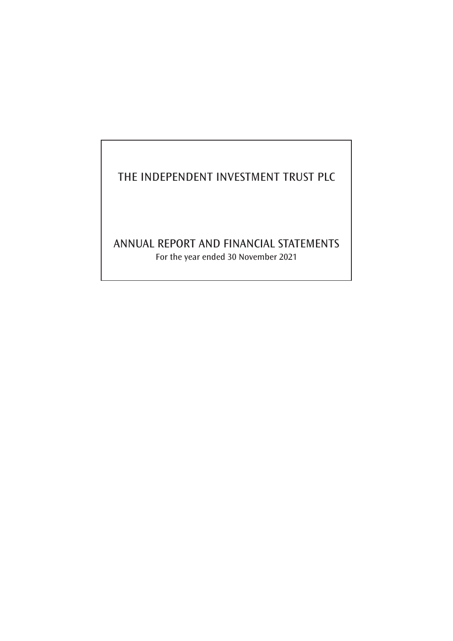# THE INDEPENDENT INVESTMENT TRUST PLC

# ANNUAL REPORT AND FINANCIAL STATEMENTS For the year ended 30 November 2021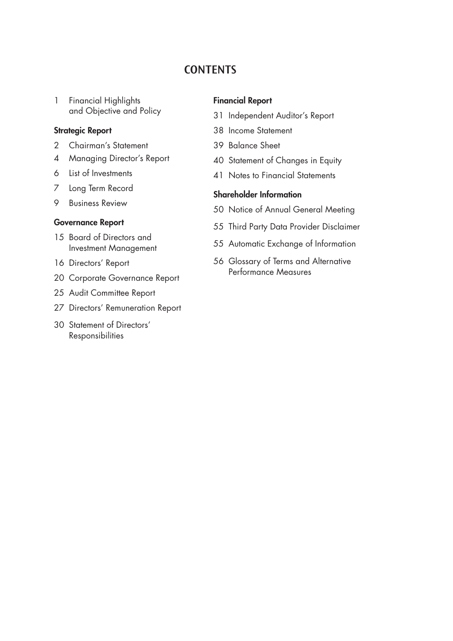# **CONTENTS**

 Financial Highlights and Objective and Policy

# Strategic Report

- Chairman's Statement
- Managing Director's Report
- List of Investments
- Long Term Record
- Business Review

# Governance Report

- Board of Directors and Investment Management
- Directors' Report
- Corporate Governance Report
- Audit Committee Report
- Directors' Remuneration Report
- Statement of Directors' Responsibilities

# Financial Report

- Independent Auditor's Report
- Income Statement
- Balance Sheet
- Statement of Changes in Equity
- Notes to Financial Statements

# Shareholder Information

- Notice of Annual General Meeting
- Third Party Data Provider Disclaimer
- Automatic Exchange of Information
- 56 Glossary of Terms and Alternative Performance Measures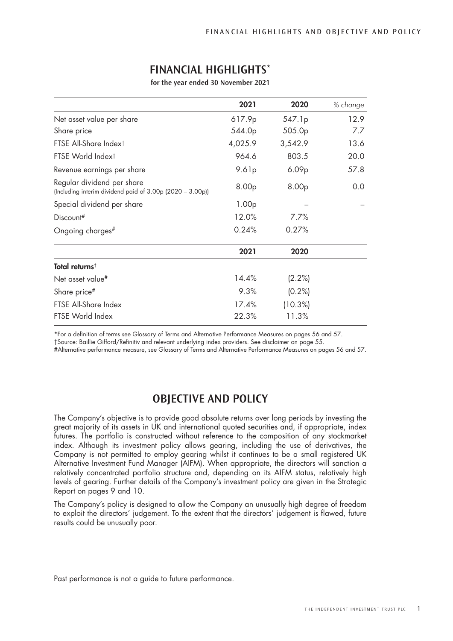|                                                                                         | 2021              | 2020              | % change |
|-----------------------------------------------------------------------------------------|-------------------|-------------------|----------|
| Net asset value per share                                                               | 617.9p            | 547.1p            | 12.9     |
| Share price                                                                             | 544.0p            | 505.0p            | 7.7      |
| FTSE All-Share Index <sup>t</sup>                                                       | 4,025.9           | 3,542.9           | 13.6     |
| FTSE World Indext                                                                       | 964.6             | 803.5             | 20.0     |
| Revenue earnings per share                                                              | 9.61p             | 6.09 <sub>p</sub> | 57.8     |
| Regular dividend per share<br>(Including interim dividend paid of 3.00p (2020 - 3.00p)) | 8.00p             | 8.00p             | 0.0      |
| Special dividend per share                                                              | 1.00 <sub>p</sub> |                   |          |
| Discount#                                                                               | 12.0%             | 7.7%              |          |
| Ongoing charges#                                                                        | 0.24%             | 0.27%             |          |
|                                                                                         | 2021              | 2020              |          |
| Total returns <sup>t</sup>                                                              |                   |                   |          |
| Net asset value#                                                                        | 14.4%             | (2.2%)            |          |
| Share price#                                                                            | 9.3%              | $(0.2\%)$         |          |
| FTSE All-Share Index                                                                    | 17.4%             | $(10.3\%)$        |          |
| FTSE World Index                                                                        | 22.3%             | 11.3%             |          |

# **FINANCIAL HIGHLIGHTS**\*

**for the year ended 30 November 2021**

\*For a definition of terms see Glossary of Terms and Alternative Performance Measures on pages 56 and 57.

†Source: Baillie Gifford/Refinitiv and relevant underlying index providers. See disclaimer on page 55.

#Alternative performance measure, see Glossary of Terms and Alternative Performance Measures on pages 56 and 57.

# **OBJECTIVE AND POLICY**

The Company's objective is to provide good absolute returns over long periods by investing the great majority of its assets in UK and international quoted securities and, if appropriate, index futures. The portfolio is constructed without reference to the composition of any stockmarket index. Although its investment policy allows gearing, including the use of derivatives, the Company is not permitted to employ gearing whilst it continues to be a small registered UK Alternative Investment Fund Manager (AIFM). When appropriate, the directors will sanction a relatively concentrated portfolio structure and, depending on its AIFM status, relatively high levels of gearing. Further details of the Company's investment policy are given in the Strategic Report on pages 9 and 10.

The Company's policy is designed to allow the Company an unusually high degree of freedom to exploit the directors' judgement. To the extent that the directors' judgement is flawed, future results could be unusually poor.

Past performance is not a guide to future performance.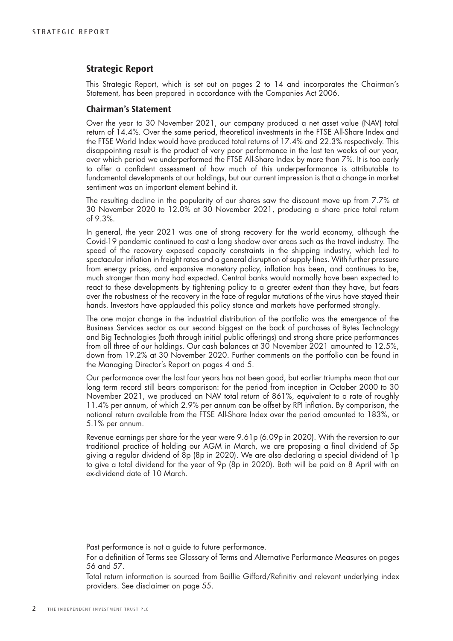# **Strategic Report**

This Strategic Report, which is set out on pages 2 to 14 and incorporates the Chairman's Statement, has been prepared in accordance with the Companies Act 2006.

# **Chairman's Statement**

Over the year to 30 November 2021, our company produced a net asset value (NAV) total return of 14.4%. Over the same period, theoretical investments in the FTSE All-Share Index and the FTSE World Index would have produced total returns of 17.4% and 22.3% respectively. This disappointing result is the product of very poor performance in the last ten weeks of our year, over which period we underperformed the FTSE All-Share Index by more than 7%. It is too early to offer a confident assessment of how much of this underperformance is attributable to fundamental developments at our holdings, but our current impression is that a change in market sentiment was an important element behind it.

The resulting decline in the popularity of our shares saw the discount move up from 7.7% at 30 November 2020 to 12.0% at 30 November 2021, producing a share price total return of 9.3%.

In general, the year 2021 was one of strong recovery for the world economy, although the Covid-19 pandemic continued to cast a long shadow over areas such as the travel industry. The speed of the recovery exposed capacity constraints in the shipping industry, which led to spectacular inflation in freight rates and a general disruption of supply lines. With further pressure from energy prices, and expansive monetary policy, inflation has been, and continues to be, much stronger than many had expected. Central banks would normally have been expected to react to these developments by tightening policy to a greater extent than they have, but fears over the robustness of the recovery in the face of regular mutations of the virus have stayed their hands. Investors have applauded this policy stance and markets have performed strongly.

The one major change in the industrial distribution of the portfolio was the emergence of the Business Services sector as our second biggest on the back of purchases of Bytes Technology and Big Technologies (both through initial public offerings) and strong share price performances from all three of our holdings. Our cash balances at 30 November 2021 amounted to 12.5%, down from 19.2% at 30 November 2020. Further comments on the portfolio can be found in the Managing Director's Report on pages 4 and 5.

Our performance over the last four years has not been good, but earlier triumphs mean that our long term record still bears comparison: for the period from inception in October 2000 to 30 November 2021, we produced an NAV total return of 861%, equivalent to a rate of roughly 11.4% per annum, of which 2.9% per annum can be offset by RPI inflation. By comparison, the notional return available from the FTSE All-Share Index over the period amounted to 183%, or 5.1% per annum.

Revenue earnings per share for the year were 9.61p (6.09p in 2020). With the reversion to our traditional practice of holding our AGM in March, we are proposing a final dividend of 5p giving a regular dividend of 8p (8p in 2020). We are also declaring a special dividend of 1p to give a total dividend for the year of 9p (8p in 2020). Both will be paid on 8 April with an ex-dividend date of 10 March.

Past performance is not a guide to future performance.

For a definition of Terms see Glossary of Terms and Alternative Performance Measures on pages 56 and 57.

Total return information is sourced from Baillie Gifford/Refinitiv and relevant underlying index providers. See disclaimer on page 55.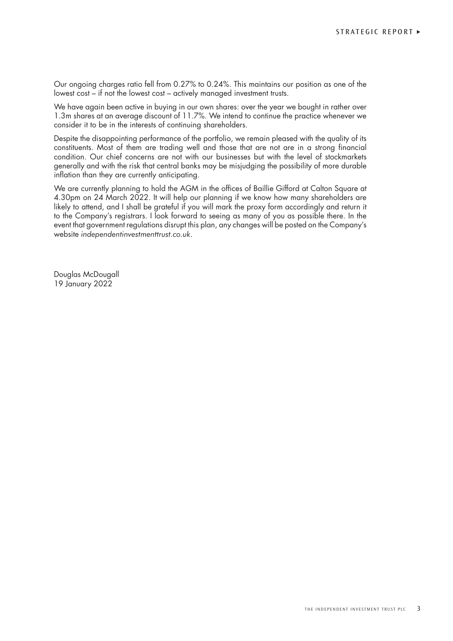Our ongoing charges ratio fell from 0.27% to 0.24%. This maintains our position as one of the lowest cost – if not the lowest cost – actively managed investment trusts.

We have again been active in buying in our own shares: over the year we bought in rather over 1.3m shares at an average discount of 11.7%. We intend to continue the practice whenever we consider it to be in the interests of continuing shareholders.

Despite the disappointing performance of the portfolio, we remain pleased with the quality of its constituents. Most of them are trading well and those that are not are in a strong financial condition. Our chief concerns are not with our businesses but with the level of stockmarkets generally and with the risk that central banks may be misjudging the possibility of more durable inflation than they are currently anticipating.

We are currently planning to hold the AGM in the offices of Baillie Gifford at Calton Square at 4.30pm on 24 March 2022. It will help our planning if we know how many shareholders are likely to attend, and I shall be grateful if you will mark the proxy form accordingly and return it to the Company's registrars. I look forward to seeing as many of you as possible there. In the event that government regulations disrupt this plan, any changes will be posted on the Company's website *independentinvestmenttrust.co.uk*.

Douglas McDougall 19 January 2022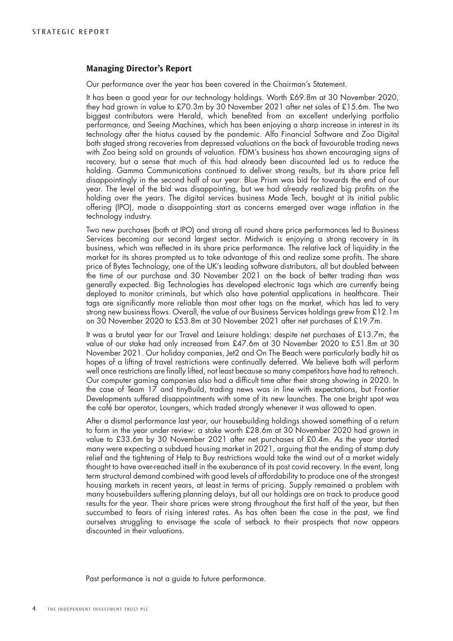# **Managing Director's Report**

Our performance over the year has been covered in the Chairman's Statement.

It has been a good year for our technology holdings. Worth £69.8m at 30 November 2020, they had grown in value to £70.3m by 30 November 2021 after net sales of £15.6m. The two biggest contributors were Herald, which benefited from an excellent underlying portfolio performance, and Seeing Machines, which has been enjoying a sharp increase in interest in its technology after the hiatus caused by the pandemic. Alfa Financial Software and Zoo Digital both staged strong recoveries from depressed valuations on the back of favourable trading news with Zoo being sold on grounds of valuation. FDM's business has shown encouraging signs of recovery, but a sense that much of this had already been discounted led us to reduce the holding. Gamma Communications continued to deliver strong results, but its share price fell disappointingly in the second half of our year. Blue Prism was bid for towards the end of our year. The level of the bid was disappointing, but we had already realized big profits on the holding over the years. The digital services business Made Tech, bought at its initial public offering (IPO), made a disappointing start as concerns emerged over wage inflation in the technology industry.

Two new purchases (both at IPO) and strong all round share price performances led to Business Services becoming our second largest sector. Midwich is enjoying a strong recovery in its business, which was reflected in its share price performance. The relative lack of liquidity in the market for its shares prompted us to take advantage of this and realize some profits. The share price of Bytes Technology, one of the UK's leading software distributors, all but doubled between the time of our purchase and 30 November 2021 on the back of better trading than was generally expected. Big Technologies has developed electronic tags which are currently being deployed to monitor criminals, but which also have potential applications in healthcare. Their tags are significantly more reliable than most other tags on the market, which has led to very strong new business flows. Overall, the value of our Business Services holdings grew from £12.1m on 30 November 2020 to £53.8m at 30 November 2021 after net purchases of £19.7m.

It was a brutal year for our Travel and Leisure holdings: despite net purchases of £13.7m, the value of our stake had only increased from £47.6m at 30 November 2020 to £51.8m at 30 November 2021. Our holiday companies, Jet2 and On The Beach were particularly badly hit as hopes of a lifting of travel restrictions were continually deferred. We believe both will perform well once restrictions are finally lifted, not least because so many competitors have had to retrench. Our computer gaming companies also had a difficult time after their strong showing in 2020. In the case of Team 17 and tinyBuild, trading news was in line with expectations, but Frontier Developments suffered disappointments with some of its new launches. The one bright spot was the café bar operator, Loungers, which traded strongly whenever it was allowed to open.

After a dismal performance last year, our housebuilding holdings showed something of a return to form in the year under review: a stake worth £28.6m at 30 November 2020 had grown in value to £33.6m by 30 November 2021 after net purchases of £0.4m. As the year started many were expecting a subdued housing market in 2021, arguing that the ending of stamp duty relief and the tightening of Help to Buy restrictions would take the wind out of a market widely thought to have over-reached itself in the exuberance of its post covid recovery. In the event, long term structural demand combined with good levels of affordability to produce one of the strongest housing markets in recent years, at least in terms of pricing. Supply remained a problem with many housebuilders suffering planning delays, but all our holdings are on track to produce good results for the year. Their share prices were strong throughout the first half of the year, but then succumbed to fears of rising interest rates. As has often been the case in the past, we find ourselves struggling to envisage the scale of setback to their prospects that now appears discounted in their valuations.

Past performance is not a guide to future performance.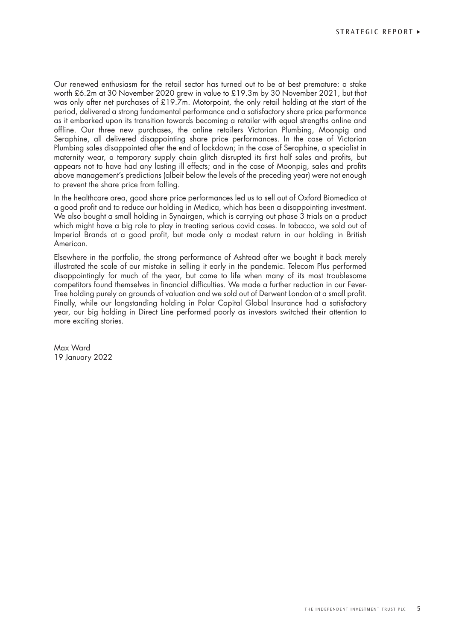Our renewed enthusiasm for the retail sector has turned out to be at best premature: a stake worth £6.2m at 30 November 2020 grew in value to £19.3m by 30 November 2021, but that was only after net purchases of £19.7m. Motorpoint, the only retail holding at the start of the period, delivered a strong fundamental performance and a satisfactory share price performance as it embarked upon its transition towards becoming a retailer with equal strengths online and offline. Our three new purchases, the online retailers Victorian Plumbing, Moonpig and Seraphine, all delivered disappointing share price performances. In the case of Victorian Plumbing sales disappointed after the end of lockdown; in the case of Seraphine, a specialist in maternity wear, a temporary supply chain glitch disrupted its first half sales and profits, but appears not to have had any lasting ill effects; and in the case of Moonpig, sales and profits above management's predictions (albeit below the levels of the preceding year) were not enough to prevent the share price from falling.

In the healthcare area, good share price performances led us to sell out of Oxford Biomedica at a good profit and to reduce our holding in Medica, which has been a disappointing investment. We also bought a small holding in Synairgen, which is carrying out phase 3 trials on a product which might have a big role to play in treating serious covid cases. In tobacco, we sold out of Imperial Brands at a good profit, but made only a modest return in our holding in British American.

Elsewhere in the portfolio, the strong performance of Ashtead after we bought it back merely illustrated the scale of our mistake in selling it early in the pandemic. Telecom Plus performed disappointingly for much of the year, but came to life when many of its most troublesome competitors found themselves in financial difficulties. We made a further reduction in our Fever-Tree holding purely on grounds of valuation and we sold out of Derwent London at a small profit. Finally, while our longstanding holding in Polar Capital Global Insurance had a satisfactory year, our big holding in Direct Line performed poorly as investors switched their attention to more exciting stories.

Max Ward 19 January 2022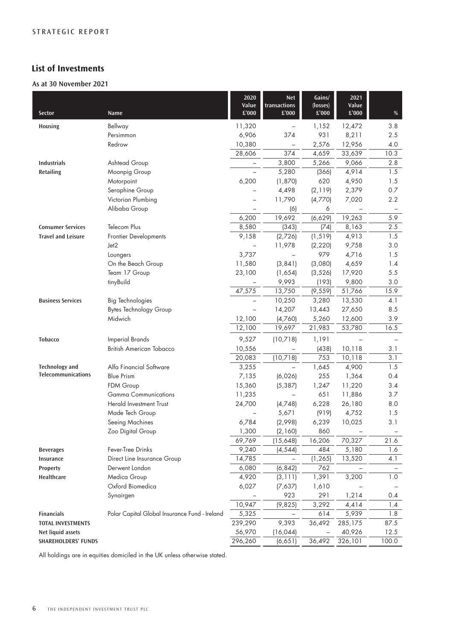# **List of Investments**

# **As at 30 November 2021**

| Sector                     | Name                                          | 2020<br>Value<br>$\pounds'000$ | <b>Net</b><br>transactions<br>£'000 | Gains/<br>(losses)<br>$\pounds$ 000 | 2021<br>Value<br>$\pounds'000$ | $\%$  |
|----------------------------|-----------------------------------------------|--------------------------------|-------------------------------------|-------------------------------------|--------------------------------|-------|
| Housing                    | Bellway                                       | 11,320                         | $\qquad \qquad -$                   | 1,152                               | 12,472                         | 3.8   |
|                            | Persimmon                                     | 6,906                          | 374                                 | 931                                 | 8,211                          | 2.5   |
|                            | Redrow                                        | 10,380                         |                                     | 2,576                               | 12,956                         | 4.0   |
|                            |                                               | 28,606                         | 374                                 | 4,659                               | 33,639                         | 10.3  |
| <b>Industrials</b>         | Ashtead Group                                 |                                | 3,800                               | 5,266                               | 9,066                          | 2.8   |
| Retailing                  | Moonpig Group                                 |                                | 5,280                               | (366)                               | 4,914                          | 1.5   |
|                            | Motorpoint                                    | 6,200                          | (1,870)                             | 620                                 | 4,950                          | 1.5   |
|                            | Seraphine Group                               |                                | 4,498                               | (2, 119)                            | 2,379                          | 0.7   |
|                            | Victorian Plumbing                            | $\overline{\phantom{0}}$       | 11,790                              | (4,770)                             | 7,020                          | 2.2   |
|                            | Alibaba Group                                 |                                | (6)                                 | 6                                   |                                |       |
|                            |                                               | 6,200                          | 19,692                              | (6,629)                             | 19,263                         | 5.9   |
| <b>Consumer Services</b>   | Telecom Plus                                  | 8,580                          | (343)                               | (74)                                | 8,163                          | 2.5   |
| <b>Travel and Leisure</b>  | Frontier Developments                         | 9,158                          | (2,726)                             | (1, 519)                            | 4,913                          | 1.5   |
|                            | Jet2                                          |                                | 11,978                              | (2, 220)                            | 9,758                          | 3.0   |
|                            | Loungers                                      | 3,737                          |                                     | 979                                 | 4,716                          | 1.5   |
|                            | On the Beach Group                            | 11,580                         | (3, 841)                            | (3,080)                             | 4,659                          | 1.4   |
|                            | Team 17 Group                                 | 23,100                         | (1,654)                             | (3, 526)                            | 17,920                         | 5.5   |
|                            | tinyBuild                                     |                                | 9,993                               | (193)                               | 9,800                          | 3.0   |
|                            |                                               | 47,575                         | 13,750                              | (9, 559)                            | 51,766                         | 15.9  |
| <b>Business Services</b>   | <b>Big Technologies</b>                       | $\qquad \qquad -$              | 10,250                              | 3,280                               | 13,530                         | 4.1   |
|                            | <b>Bytes Technology Group</b>                 | $\qquad \qquad -$              | 14,207                              | 13,443                              | 27,650                         | 8.5   |
|                            | Midwich                                       | 12,100                         | (4,760)                             | 5,260                               | 12,600                         | 3.9   |
|                            |                                               | 12,100                         | 19,697                              | 21,983                              | 53,780                         | 16.5  |
| <b>Tobacco</b>             | <b>Imperial Brands</b>                        | 9,527                          | (10,718)                            | 1,191                               |                                |       |
|                            | <b>British American Tobacco</b>               | 10,556                         |                                     | (438)                               | 10,118                         | 3.1   |
|                            |                                               | 20,083                         | (10,718)                            | 753                                 | 10,118                         | 3.1   |
| <b>Technology and</b>      | Alfa Financial Software                       | 3,255                          | $\equiv$                            | 1,645                               | 4,900                          | 1.5   |
| <b>Telecommunications</b>  | <b>Blue Prism</b>                             | 7,135                          | (6,026)                             | 255                                 | 1,364                          | 0.4   |
|                            | FDM Group                                     | 15,360                         | (5, 387)                            | 1,247                               | 11,220                         | 3.4   |
|                            | <b>Gamma Communications</b>                   | 11,235                         | $\equiv$                            | 651                                 | 11,886                         | 3.7   |
|                            | Herald Investment Trust                       | 24,700                         | (4,748)                             | 6,228                               | 26,180                         | 8.0   |
|                            | Made Tech Group                               |                                | 5,671                               | (919)                               | 4,752                          | 1.5   |
|                            | Seeing Machines                               | 6,784                          | (2,998)                             | 6,239                               | 10,025                         | 3.1   |
|                            | Zoo Digital Group                             | 1,300                          | (2, 160)                            | 860                                 |                                |       |
|                            |                                               | 69,769                         | (15,648)                            | 16,206                              | 70,327                         | 21.6  |
| <b>Beverages</b>           | Fever-Tree Drinks                             | 9,240                          | (4, 544)                            | 484                                 | 5,180                          | 1.6   |
| Insurance                  | Direct Line Insurance Group                   | 14,785                         |                                     | (1, 265)                            | 13,520                         | 4.1   |
| Property                   | Derwent London                                | 6,080                          | (6, 842)                            | 762                                 |                                |       |
| Healthcare                 | Medica Group                                  | 4,920                          | (3, 111)                            | 1,391                               | 3,200                          | 1.0   |
|                            | Oxford Biomedica                              | 6,027                          | (7,637)                             | 1,610                               |                                |       |
|                            | Synairgen                                     |                                | 923                                 | 291                                 | 1,214                          | 0.4   |
|                            |                                               | 10,947                         | (9,825)                             | 3,292                               | 4,414                          | 1.4   |
| <b>Financials</b>          | Polar Capital Global Insurance Fund - Ireland | 5,325                          |                                     | 614                                 | 5,939                          | 1.8   |
| <b>TOTAL INVESTMENTS</b>   |                                               | 239,290                        | 9,393                               | 36,492                              | 285,175                        | 87.5  |
| Net liquid assets          |                                               | 56,970                         | (16, 044)                           |                                     | 40,926                         | 12.5  |
| <b>SHAREHOLDERS' FUNDS</b> |                                               | 296,260                        | (6,651)                             | 36,492                              | 326,101                        | 100.0 |

All holdings are in equities domiciled in the UK unless otherwise stated.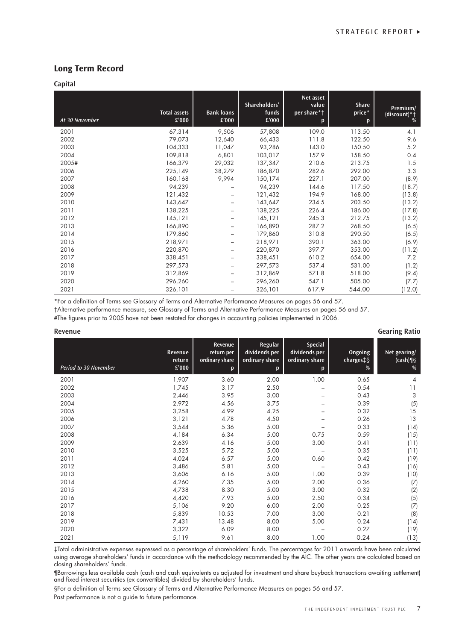# **Long Term Record**

#### **Capital**

| At 30 November | <b>Total assets</b><br>£'000 | <b>Bank loans</b><br>£'000 | Shareholders'<br>funds<br>£'000 | Net asset<br>value<br>per share*†<br>p | <b>Share</b><br>price*<br>p | Premium/<br>(discount)*†<br>% |
|----------------|------------------------------|----------------------------|---------------------------------|----------------------------------------|-----------------------------|-------------------------------|
| 2001           | 67,314                       | 9,506                      | 57,808                          | 109.0                                  | 113.50                      | 4.1                           |
| 2002           | 79,073                       | 12,640                     | 66,433                          | 111.8                                  | 122.50                      | 9.6                           |
| 2003           | 104,333                      | 11,047                     | 93,286                          | 143.0                                  | 150.50                      | 5.2                           |
| 2004           | 109,818                      | 6,801                      | 103,017                         | 157.9                                  | 158.50                      | 0.4                           |
| 2005#          | 166,379                      | 29,032                     | 137,347                         | 210.6                                  | 213.75                      | 1.5                           |
| 2006           | 225,149                      | 38,279                     | 186,870                         | 282.6                                  | 292.00                      | 3.3                           |
| 2007           | 160,168                      | 9,994                      | 150,174                         | 227.1                                  | 207.00                      | (8.9)                         |
| 2008           | 94,239                       |                            | 94,239                          | 144.6                                  | 117.50                      | (18.7)                        |
| 2009           | 121,432                      | -                          | 121,432                         | 194.9                                  | 168.00                      | (13.8)                        |
| 2010           | 143,647                      |                            | 143,647                         | 234.5                                  | 203.50                      | (13.2)                        |
| 2011           | 138,225                      |                            | 138,225                         | 226.4                                  | 186.00                      | (17.8)                        |
| 2012           | 145,121                      |                            | 145,121                         | 245.3                                  | 212.75                      | (13.2)                        |
| 2013           | 166,890                      |                            | 166,890                         | 287.2                                  | 268.50                      | (6.5)                         |
| 2014           | 179,860                      |                            | 179,860                         | 310.8                                  | 290.50                      | (6.5)                         |
| 2015           | 218,971                      |                            | 218,971                         | 390.1                                  | 363.00                      | (6.9)                         |
| 2016           | 220,870                      |                            | 220,870                         | 397.7                                  | 353.00                      | (11.2)                        |
| 2017           | 338,451                      |                            | 338,451                         | 610.2                                  | 654.00                      | 7.2                           |
| 2018           | 297,573                      | -                          | 297,573                         | 537.4                                  | 531.00                      | (1.2)                         |
| 2019           | 312,869                      |                            | 312,869                         | 571.8                                  | 518.00                      | (9.4)                         |
| 2020           | 296,260                      |                            | 296,260                         | 547.1                                  | 505.00                      | (7.7)                         |
| 2021           | 326,101                      | $\overline{\phantom{0}}$   | 326,101                         | 617.9                                  | 544.00                      | (12.0)                        |

\*For a definition of Terms see Glossary of Terms and Alternative Performance Measures on pages 56 and 57.

†Alternative performance measure, see Glossary of Terms and Alternative Performance Measures on pages 56 and 57.

#The figures prior to 2005 have not been restated for changes in accounting policies implemented in 2006.

#### **Revenue Gearing Ratio**

| Period to 30 November | Revenue<br>return<br>£'000 | Revenue<br>return per<br>ordinary share<br>p | Regular<br>dividends per<br>ordinary share<br>p | <b>Special</b><br>dividends per<br>ordinary share<br>p | Ongoing<br>charges‡§<br>% | Net gearing/<br>$(cash) \P$<br>% |
|-----------------------|----------------------------|----------------------------------------------|-------------------------------------------------|--------------------------------------------------------|---------------------------|----------------------------------|
| 2001                  | 1,907                      | 3.60                                         | 2.00                                            | 1.00                                                   | 0.65                      | $\overline{4}$                   |
| 2002                  | 1,745                      | 3.17                                         | 2.50                                            |                                                        | 0.54                      | 11                               |
| 2003                  | 2,446                      | 3.95                                         | 3.00                                            |                                                        | 0.43                      | 3                                |
| 2004                  | 2,972                      | 4.56                                         | 3.75                                            |                                                        | 0.39                      | (5)                              |
| 2005                  | 3,258                      | 4.99                                         | 4.25                                            |                                                        | 0.32                      | 15                               |
| 2006                  | 3,121                      | 4.78                                         | 4.50                                            |                                                        | 0.26                      | 13                               |
| 2007                  | 3,544                      | 5.36                                         | 5.00                                            |                                                        | 0.33                      | (14)                             |
| 2008                  | 4,184                      | 6.34                                         | 5.00                                            | 0.75                                                   | 0.59                      | (15)                             |
| 2009                  | 2,639                      | 4.16                                         | 5.00                                            | 3.00                                                   | 0.41                      | (11)                             |
| 2010                  | 3,525                      | 5.72                                         | 5.00                                            |                                                        | 0.35                      | (11)                             |
| 2011                  | 4,024                      | 6.57                                         | 5.00                                            | 0.60                                                   | 0.42                      | (19)                             |
| 2012                  | 3,486                      | 5.81                                         | 5.00                                            |                                                        | 0.43                      | (16)                             |
| 2013                  | 3,606                      | 6.16                                         | 5.00                                            | 1.00                                                   | 0.39                      | (10)                             |
| 2014                  | 4,260                      | 7.35                                         | 5.00                                            | 2.00                                                   | 0.36                      | (7)                              |
| 2015                  | 4,738                      | 8.30                                         | 5.00                                            | 3.00                                                   | 0.32                      | (2)                              |
| 2016                  | 4,420                      | 7.93                                         | 5.00                                            | 2.50                                                   | 0.34                      | (5)                              |
| 2017                  | 5,106                      | 9.20                                         | 6.00                                            | 2.00                                                   | 0.25                      | (7)                              |
| 2018                  | 5,839                      | 10.53                                        | 7.00                                            | 3.00                                                   | 0.21                      | (8)                              |
| 2019                  | 7,431                      | 13.48                                        | 8.00                                            | 5.00                                                   | 0.24                      | (14)                             |
| 2020                  | 3,322                      | 6.09                                         | 8.00                                            |                                                        | 0.27                      | (19)                             |
| 2021                  | 5,119                      | 9.61                                         | 8.00                                            | 1.00                                                   | 0.24                      | (13)                             |

‡Total administrative expenses expressed as a percentage of shareholders' funds. The percentages for 2011 onwards have been calculated using average shareholders' funds in accordance with the methodology recommended by the AIC. The other years are calculated based on closing shareholders' funds.

¶Borrowings less available cash (cash and cash equivalents as adjusted for investment and share buyback transactions awaiting settlement) and fixed interest securities (ex convertibles) divided by shareholders' funds.

§For a definition of Terms see Glossary of Terms and Alternative Performance Measures on pages 56 and 57. Past performance is not a guide to future performance.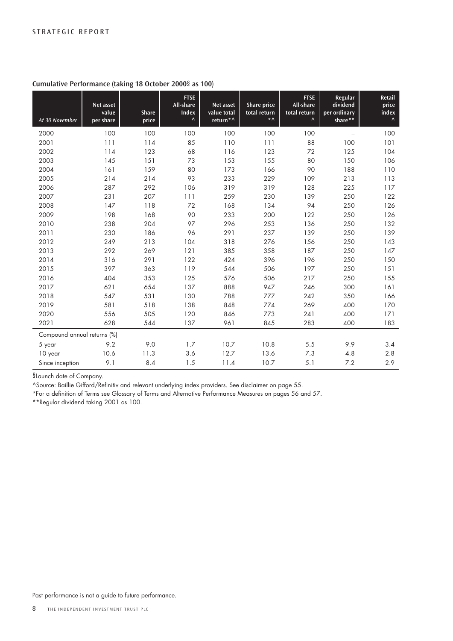| At 30 November              | Net asset<br>value<br>per share | <b>Share</b><br>price | <b>FTSE</b><br>All-share<br><b>Index</b><br>$\boldsymbol{\wedge}$ | Net asset<br>value total<br>return <sup>*</sup> | <b>Share price</b><br>total return<br>$\star$ $\wedge$ | <b>FTSE</b><br>All-share<br>total return<br>$\boldsymbol{\wedge}$ | Regular<br>dividend<br>per ordinary<br>share** | Retail<br>price<br>index<br>$\boldsymbol{\wedge}$ |
|-----------------------------|---------------------------------|-----------------------|-------------------------------------------------------------------|-------------------------------------------------|--------------------------------------------------------|-------------------------------------------------------------------|------------------------------------------------|---------------------------------------------------|
| 2000                        | 100                             | 100                   | 100                                                               | 100                                             | 100                                                    | 100                                                               | $\overline{\phantom{0}}$                       | 100                                               |
| 2001                        | 111                             | 114                   | 85                                                                | 110                                             | 111                                                    | 88                                                                | 100                                            | 101                                               |
| 2002                        | 114                             | 123                   | 68                                                                | 116                                             | 123                                                    | 72                                                                | 125                                            | 104                                               |
| 2003                        | 145                             | 151                   | 73                                                                | 153                                             | 155                                                    | 80                                                                | 150                                            | 106                                               |
| 2004                        | 161                             | 159                   | 80                                                                | 173                                             | 166                                                    | 90                                                                | 188                                            | 110                                               |
| 2005                        | 214                             | 214                   | 93                                                                | 233                                             | 229                                                    | 109                                                               | 213                                            | 113                                               |
| 2006                        | 287                             | 292                   | 106                                                               | 319                                             | 319                                                    | 128                                                               | 225                                            | 117                                               |
| 2007                        | 231                             | 207                   | 111                                                               | 259                                             | 230                                                    | 139                                                               | 250                                            | 122                                               |
| 2008                        | 147                             | 118                   | 72                                                                | 168                                             | 134                                                    | 94                                                                | 250                                            | 126                                               |
| 2009                        | 198                             | 168                   | 90                                                                | 233                                             | 200                                                    | 122                                                               | 250                                            | 126                                               |
| 2010                        | 238                             | 204                   | 97                                                                | 296                                             | 253                                                    | 136                                                               | 250                                            | 132                                               |
| 2011                        | 230                             | 186                   | 96                                                                | 291                                             | 237                                                    | 139                                                               | 250                                            | 139                                               |
| 2012                        | 249                             | 213                   | 104                                                               | 318                                             | 276                                                    | 156                                                               | 250                                            | 143                                               |
| 2013                        | 292                             | 269                   | 121                                                               | 385                                             | 358                                                    | 187                                                               | 250                                            | 147                                               |
| 2014                        | 316                             | 291                   | 122                                                               | 424                                             | 396                                                    | 196                                                               | 250                                            | 150                                               |
| 2015                        | 397                             | 363                   | 119                                                               | 544                                             | 506                                                    | 197                                                               | 250                                            | 151                                               |
| 2016                        | 404                             | 353                   | 125                                                               | 576                                             | 506                                                    | 217                                                               | 250                                            | 155                                               |
| 2017                        | 621                             | 654                   | 137                                                               | 888                                             | 947                                                    | 246                                                               | 300                                            | 161                                               |
| 2018                        | 547                             | 531                   | 130                                                               | 788                                             | 777                                                    | 242                                                               | 350                                            | 166                                               |
| 2019                        | 581                             | 518                   | 138                                                               | 848                                             | 774                                                    | 269                                                               | 400                                            | 170                                               |
| 2020                        | 556                             | 505                   | 120                                                               | 846                                             | 773                                                    | 241                                                               | 400                                            | 171                                               |
| 2021                        | 628                             | 544                   | 137                                                               | 961                                             | 845                                                    | 283                                                               | 400                                            | 183                                               |
| Compound annual returns (%) |                                 |                       |                                                                   |                                                 |                                                        |                                                                   |                                                |                                                   |
| 5 year                      | 9.2                             | 9.0                   | 1.7                                                               | 10.7                                            | 10.8                                                   | 5.5                                                               | 9.9                                            | 3.4                                               |
| 10 year                     | 10.6                            | 11.3                  | 3.6                                                               | 12.7                                            | 13.6                                                   | 7.3                                                               | 4.8                                            | 2.8                                               |
| Since inception             | 9.1                             | 8.4                   | 1.5                                                               | 11.4                                            | 10.7                                                   | 5.1                                                               | 7.2                                            | 2.9                                               |

# **Cumulative Performance (taking 18 October 2000**§ **as 100)**

§Launch date of Company.

^Source: Baillie Gifford/Refinitiv and relevant underlying index providers. See disclaimer on page 55.

\*For a definition of Terms see Glossary of Terms and Alternative Performance Measures on pages 56 and 57.

\*\*Regular dividend taking 2001 as 100.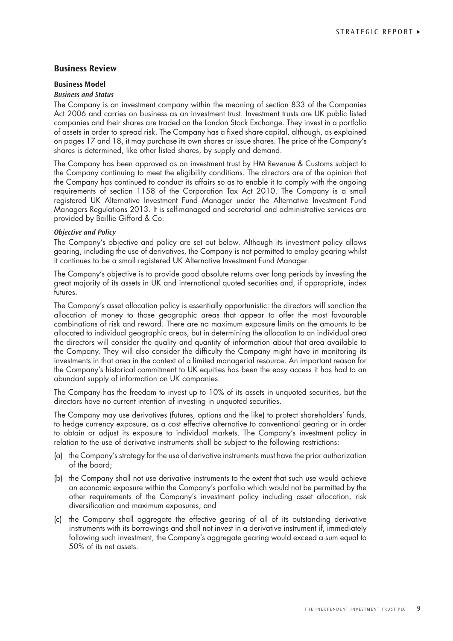# **Business Review**

#### **Business Model**

#### *Business and Status*

The Company is an investment company within the meaning of section 833 of the Companies Act 2006 and carries on business as an investment trust. Investment trusts are UK public listed companies and their shares are traded on the London Stock Exchange. They invest in a portfolio of assets in order to spread risk. The Company has a fixed share capital, although, as explained on pages 17 and 18, it may purchase its own shares or issue shares. The price of the Company's shares is determined, like other listed shares, by supply and demand.

The Company has been approved as an investment trust by HM Revenue & Customs subject to the Company continuing to meet the eligibility conditions. The directors are of the opinion that the Company has continued to conduct its affairs so as to enable it to comply with the ongoing requirements of section 1158 of the Corporation Tax Act 2010. The Company is a small registered UK Alternative Investment Fund Manager under the Alternative Investment Fund Managers Regulations 2013. It is self-managed and secretarial and administrative services are provided by Baillie Gifford & Co.

#### *Objective and Policy*

The Company's objective and policy are set out below. Although its investment policy allows gearing, including the use of derivatives, the Company is not permitted to employ gearing whilst it continues to be a small registered UK Alternative Investment Fund Manager.

The Company's objective is to provide good absolute returns over long periods by investing the great majority of its assets in UK and international quoted securities and, if appropriate, index futures.

The Company's asset allocation policy is essentially opportunistic: the directors will sanction the allocation of money to those geographic areas that appear to offer the most favourable combinations of risk and reward. There are no maximum exposure limits on the amounts to be allocated to individual geographic areas, but in determining the allocation to an individual area the directors will consider the quality and quantity of information about that area available to the Company. They will also consider the difficulty the Company might have in monitoring its investments in that area in the context of a limited managerial resource. An important reason for the Company's historical commitment to UK equities has been the easy access it has had to an abundant supply of information on UK companies.

The Company has the freedom to invest up to 10% of its assets in unquoted securities, but the directors have no current intention of investing in unquoted securities.

The Company may use derivatives (futures, options and the like) to protect shareholders' funds, to hedge currency exposure, as a cost effective alternative to conventional gearing or in order to obtain or adjust its exposure to individual markets. The Company's investment policy in relation to the use of derivative instruments shall be subject to the following restrictions:

- (a) the Company's strategy for the use of derivative instruments must have the prior authorization of the board;
- (b) the Company shall not use derivative instruments to the extent that such use would achieve an economic exposure within the Company's portfolio which would not be permitted by the other requirements of the Company's investment policy including asset allocation, risk diversification and maximum exposures; and
- (c) the Company shall aggregate the effective gearing of all of its outstanding derivative instruments with its borrowings and shall not invest in a derivative instrument if, immediately following such investment, the Company's aggregate gearing would exceed a sum equal to 50% of its net assets.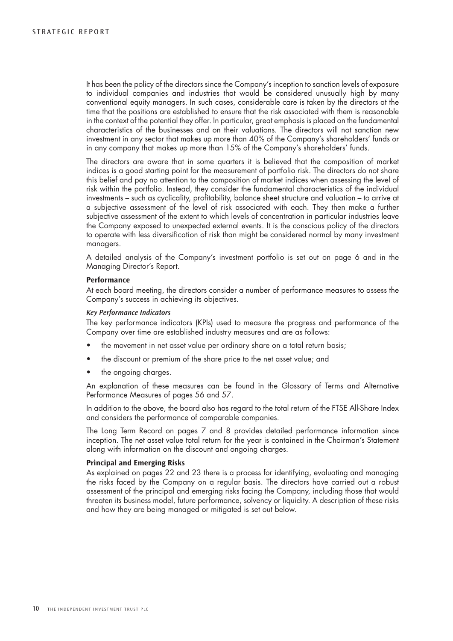It has been the policy of the directors since the Company's inception to sanction levels of exposure to individual companies and industries that would be considered unusually high by many conventional equity managers. In such cases, considerable care is taken by the directors at the time that the positions are established to ensure that the risk associated with them is reasonable in the context of the potential they offer. In particular, great emphasis is placed on the fundamental characteristics of the businesses and on their valuations. The directors will not sanction new investment in any sector that makes up more than 40% of the Company's shareholders' funds or in any company that makes up more than 15% of the Company's shareholders' funds.

The directors are aware that in some quarters it is believed that the composition of market indices is a good starting point for the measurement of portfolio risk. The directors do not share this belief and pay no attention to the composition of market indices when assessing the level of risk within the portfolio. Instead, they consider the fundamental characteristics of the individual investments – such as cyclicality, profitability, balance sheet structure and valuation – to arrive at a subjective assessment of the level of risk associated with each. They then make a further subjective assessment of the extent to which levels of concentration in particular industries leave the Company exposed to unexpected external events. It is the conscious policy of the directors to operate with less diversification of risk than might be considered normal by many investment managers.

A detailed analysis of the Company's investment portfolio is set out on page 6 and in the Managing Director's Report.

#### **Performance**

At each board meeting, the directors consider a number of performance measures to assess the Company's success in achieving its objectives.

#### *Key Performance Indicators*

The key performance indicators (KPIs) used to measure the progress and performance of the Company over time are established industry measures and are as follows:

- the movement in net asset value per ordinary share on a total return basis;
- the discount or premium of the share price to the net asset value; and
- the ongoing charges.

An explanation of these measures can be found in the Glossary of Terms and Alternative Performance Measures of pages 56 and 57.

In addition to the above, the board also has regard to the total return of the FTSE All-Share Index and considers the performance of comparable companies.

The Long Term Record on pages 7 and 8 provides detailed performance information since inception. The net asset value total return for the year is contained in the Chairman's Statement along with information on the discount and ongoing charges.

#### **Principal and Emerging Risks**

As explained on pages 22 and 23 there is a process for identifying, evaluating and managing the risks faced by the Company on a regular basis. The directors have carried out a robust assessment of the principal and emerging risks facing the Company, including those that would threaten its business model, future performance, solvency or liquidity. A description of these risks and how they are being managed or mitigated is set out below.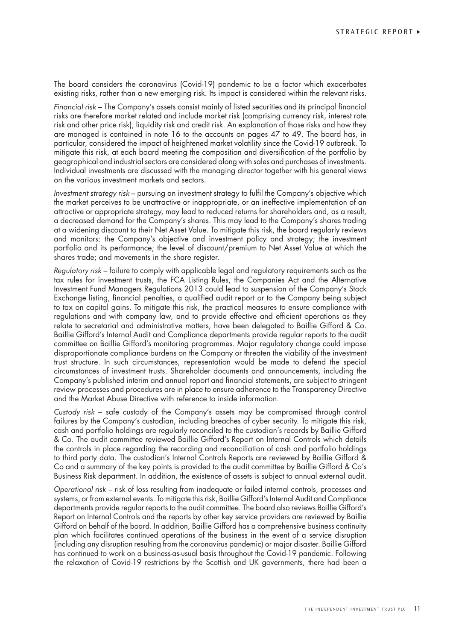The board considers the coronavirus (Covid-19) pandemic to be a factor which exacerbates existing risks, rather than a new emerging risk. Its impact is considered within the relevant risks.

*Financial risk* – The Company's assets consist mainly of listed securities and its principal financial risks are therefore market related and include market risk (comprising currency risk, interest rate risk and other price risk), liquidity risk and credit risk. An explanation of those risks and how they are managed is contained in note 16 to the accounts on pages 47 to 49. The board has, in particular, considered the impact of heightened market volatility since the Covid-19 outbreak. To mitigate this risk, at each board meeting the composition and diversification of the portfolio by geographical and industrial sectors are considered along with sales and purchases of investments. Individual investments are discussed with the managing director together with his general views on the various investment markets and sectors.

*Investment strategy risk* – pursuing an investment strategy to fulfil the Company's objective which the market perceives to be unattractive or inappropriate, or an ineffective implementation of an attractive or appropriate strategy, may lead to reduced returns for shareholders and, as a result, a decreased demand for the Company's shares. This may lead to the Company's shares trading at a widening discount to their Net Asset Value. To mitigate this risk, the board regularly reviews and monitors: the Company's objective and investment policy and strategy; the investment portfolio and its performance; the level of discount/premium to Net Asset Value at which the shares trade; and movements in the share register.

*Regulatory risk* – failure to comply with applicable legal and regulatory requirements such as the tax rules for investment trusts, the FCA Listing Rules, the Companies Act and the Alternative Investment Fund Managers Regulations 2013 could lead to suspension of the Company's Stock Exchange listing, financial penalties, a qualified audit report or to the Company being subject to tax on capital gains. To mitigate this risk, the practical measures to ensure compliance with regulations and with company law, and to provide effective and efficient operations as they relate to secretarial and administrative matters, have been delegated to Baillie Gifford & Co. Baillie Gifford's Internal Audit and Compliance departments provide regular reports to the audit committee on Baillie Gifford's monitoring programmes. Major regulatory change could impose disproportionate compliance burdens on the Company or threaten the viability of the investment trust structure. In such circumstances, representation would be made to defend the special circumstances of investment trusts. Shareholder documents and announcements, including the Company's published interim and annual report and financial statements, are subject to stringent review processes and procedures are in place to ensure adherence to the Transparency Directive and the Market Abuse Directive with reference to inside information.

*Custody risk* – safe custody of the Company's assets may be compromised through control failures by the Company's custodian, including breaches of cyber security. To mitigate this risk, cash and portfolio holdings are regularly reconciled to the custodian's records by Baillie Gifford & Co. The audit committee reviewed Baillie Gifford's Report on Internal Controls which details the controls in place regarding the recording and reconciliation of cash and portfolio holdings to third party data. The custodian's Internal Controls Reports are reviewed by Baillie Gifford & Co and a summary of the key points is provided to the audit committee by Baillie Gifford & Co's Business Risk department. In addition, the existence of assets is subject to annual external audit.

*Operational risk* – risk of loss resulting from inadequate or failed internal controls, processes and systems, or from external events. To mitigate this risk, Baillie Gifford's Internal Audit and Compliance departments provide regular reports to the audit committee. The board also reviews Baillie Gifford's Report on Internal Controls and the reports by other key service providers are reviewed by Baillie Gifford on behalf of the board. In addition, Baillie Gifford has a comprehensive business continuity plan which facilitates continued operations of the business in the event of a service disruption (including any disruption resulting from the coronavirus pandemic) or major disaster. Baillie Gifford has continued to work on a business-as-usual basis throughout the Covid-19 pandemic. Following the relaxation of Covid-19 restrictions by the Scottish and UK governments, there had been a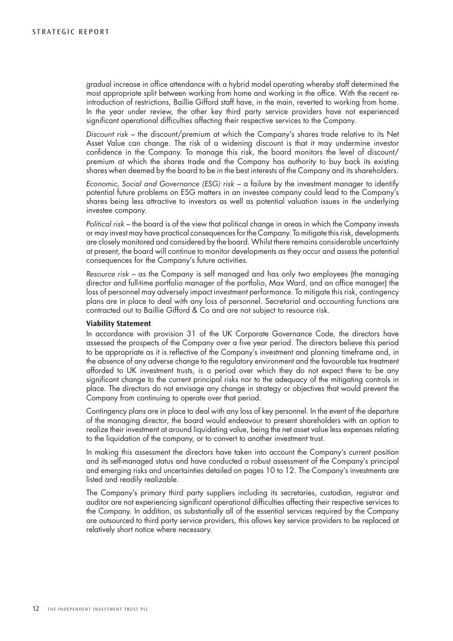gradual increase in office attendance with a hybrid model operating whereby staff determined the most appropriate split between working from home and working in the office. With the recent reintroduction of restrictions, Baillie Gifford staff have, in the main, reverted to working from home. In the year under review, the other key third party service providers have not experienced significant operational difficulties affecting their respective services to the Company.

*Discount risk* – the discount/premium at which the Company's shares trade relative to its Net Asset Value can change. The risk of a widening discount is that it may undermine investor confidence in the Company. To manage this risk, the board monitors the level of discount/ premium at which the shares trade and the Company has authority to buy back its existing shares when deemed by the board to be in the best interests of the Company and its shareholders.

*Economic, Social and Governance (ESG) risk* – a failure by the investment manager to identify potential future problems on ESG matters in an investee company could lead to the Company's shares being less attractive to investors as well as potential valuation issues in the underlying investee company.

*Political risk* – the board is of the view that political change in areas in which the Company invests or may invest may have practical consequences for the Company. To mitigate this risk, developments are closely monitored and considered by the board. Whilst there remains considerable uncertainty at present, the board will continue to monitor developments as they occur and assess the potential consequences for the Company's future activities.

*Resource risk* – as the Company is self managed and has only two employees (the managing director and full-time portfolio manager of the portfolio, Max Ward, and an office manager) the loss of personnel may adversely impact investment performance. To mitigate this risk, contingency plans are in place to deal with any loss of personnel. Secretarial and accounting functions are contracted out to Baillie Gifford & Co and are not subject to resource risk.

#### **Viability Statement**

In accordance with provision 31 of the UK Corporate Governance Code, the directors have assessed the prospects of the Company over a five year period. The directors believe this period to be appropriate as it is reflective of the Company's investment and planning timeframe and, in the absence of any adverse change to the regulatory environment and the favourable tax treatment afforded to UK investment trusts, is a period over which they do not expect there to be any significant change to the current principal risks nor to the adequacy of the mitigating controls in place. The directors do not envisage any change in strategy or objectives that would prevent the Company from continuing to operate over that period.

Contingency plans are in place to deal with any loss of key personnel. In the event of the departure of the managing director, the board would endeavour to present shareholders with an option to realize their investment at around liquidating value, being the net asset value less expenses relating to the liquidation of the company, or to convert to another investment trust.

In making this assessment the directors have taken into account the Company's current position and its self-managed status and have conducted a robust assessment of the Company's principal and emerging risks and uncertainties detailed on pages 10 to 12. The Company's investments are listed and readily realizable.

The Company's primary third party suppliers including its secretaries, custodian, registrar and auditor are not experiencing significant operational difficulties affecting their respective services to the Company. In addition, as substantially all of the essential services required by the Company are outsourced to third party service providers, this allows key service providers to be replaced at relatively short notice where necessary.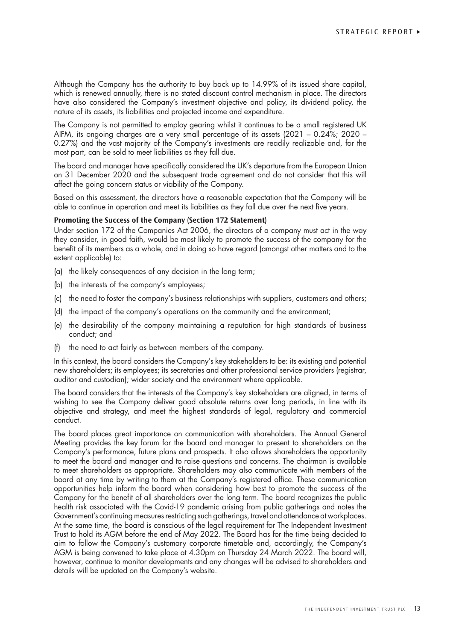Although the Company has the authority to buy back up to 14.99% of its issued share capital, which is renewed annually, there is no stated discount control mechanism in place. The directors have also considered the Company's investment objective and policy, its dividend policy, the nature of its assets, its liabilities and projected income and expenditure.

The Company is not permitted to employ gearing whilst it continues to be a small registered UK AIFM, its ongoing charges are a very small percentage of its assets (2021 – 0.24%; 2020 – 0.27%) and the vast majority of the Company's investments are readily realizable and, for the most part, can be sold to meet liabilities as they fall due.

The board and manager have specifically considered the UK's departure from the European Union on 31 December 2020 and the subsequent trade agreement and do not consider that this will affect the going concern status or viability of the Company.

Based on this assessment, the directors have a reasonable expectation that the Company will be able to continue in operation and meet its liabilities as they fall due over the next five years.

# **Promoting the Success of the Company (Section 172 Statement)**

Under section 172 of the Companies Act 2006, the directors of a company must act in the way they consider, in good faith, would be most likely to promote the success of the company for the benefit of its members as a whole, and in doing so have regard (amongst other matters and to the extent applicable) to:

- (a) the likely consequences of any decision in the long term;
- (b) the interests of the company's employees;
- (c) the need to foster the company's business relationships with suppliers, customers and others;
- (d) the impact of the company's operations on the community and the environment;
- (e) the desirability of the company maintaining a reputation for high standards of business conduct; and
- the need to act fairly as between members of the company.

In this context, the board considers the Company's key stakeholders to be: its existing and potential new shareholders; its employees; its secretaries and other professional service providers (registrar, auditor and custodian); wider society and the environment where applicable.

The board considers that the interests of the Company's key stakeholders are aligned, in terms of wishing to see the Company deliver good absolute returns over long periods, in line with its objective and strategy, and meet the highest standards of legal, regulatory and commercial conduct.

The board places great importance on communication with shareholders. The Annual General Meeting provides the key forum for the board and manager to present to shareholders on the Company's performance, future plans and prospects. It also allows shareholders the opportunity to meet the board and manager and to raise questions and concerns. The chairman is available to meet shareholders as appropriate. Shareholders may also communicate with members of the board at any time by writing to them at the Company's registered office. These communication opportunities help inform the board when considering how best to promote the success of the Company for the benefit of all shareholders over the long term. The board recognizes the public health risk associated with the Covid-19 pandemic arising from public gatherings and notes the Government's continuing measures restricting such gatherings, travel and attendance at workplaces. At the same time, the board is conscious of the legal requirement for The Independent Investment Trust to hold its AGM before the end of May 2022. The Board has for the time being decided to aim to follow the Company's customary corporate timetable and, accordingly, the Company's AGM is being convened to take place at 4.30pm on Thursday 24 March 2022. The board will, however, continue to monitor developments and any changes will be advised to shareholders and details will be updated on the Company's website.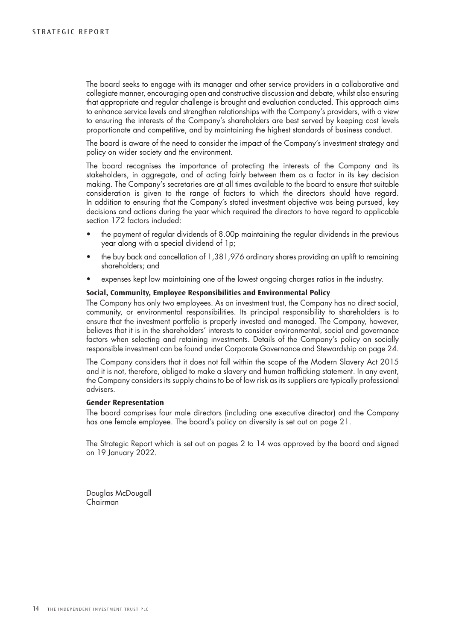The board seeks to engage with its manager and other service providers in a collaborative and collegiate manner, encouraging open and constructive discussion and debate, whilst also ensuring that appropriate and regular challenge is brought and evaluation conducted. This approach aims to enhance service levels and strengthen relationships with the Company's providers, with a view to ensuring the interests of the Company's shareholders are best served by keeping cost levels proportionate and competitive, and by maintaining the highest standards of business conduct.

The board is aware of the need to consider the impact of the Company's investment strategy and policy on wider society and the environment.

The board recognises the importance of protecting the interests of the Company and its stakeholders, in aggregate, and of acting fairly between them as a factor in its key decision making. The Company's secretaries are at all times available to the board to ensure that suitable consideration is given to the range of factors to which the directors should have regard. In addition to ensuring that the Company's stated investment objective was being pursued, key decisions and actions during the year which required the directors to have regard to applicable section 172 factors included:

- the payment of regular dividends of 8.00p maintaining the regular dividends in the previous year along with a special dividend of 1p;
- the buy back and cancellation of 1,381,976 ordinary shares providing an uplift to remaining shareholders; and
- expenses kept low maintaining one of the lowest ongoing charges ratios in the industry.

#### **Social, Community, Employee Responsibilities and Environmental Policy**

The Company has only two employees. As an investment trust, the Company has no direct social, community, or environmental responsibilities. Its principal responsibility to shareholders is to ensure that the investment portfolio is properly invested and managed. The Company, however, believes that it is in the shareholders' interests to consider environmental, social and governance factors when selecting and retaining investments. Details of the Company's policy on socially responsible investment can be found under Corporate Governance and Stewardship on page 24.

The Company considers that it does not fall within the scope of the Modern Slavery Act 2015 and it is not, therefore, obliged to make a slavery and human trafficking statement. In any event, the Company considers its supply chains to be of low risk as its suppliers are typically professional advisers.

### **Gender Representation**

The board comprises four male directors (including one executive director) and the Company has one female employee. The board's policy on diversity is set out on page 21.

The Strategic Report which is set out on pages 2 to 14 was approved by the board and signed on 19 January 2022.

Douglas McDougall Chairman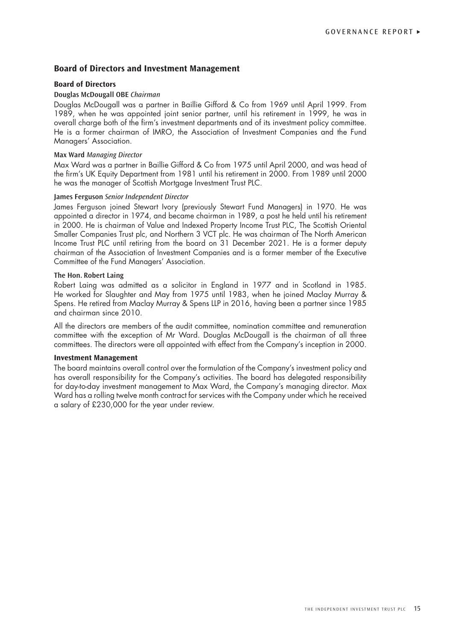# **Board of Directors and Investment Management**

#### **Board of Directors**

#### **Douglas McDougall OBE** *Chairman*

Douglas McDougall was a partner in Baillie Gifford & Co from 1969 until April 1999. From 1989, when he was appointed joint senior partner, until his retirement in 1999, he was in overall charge both of the firm's investment departments and of its investment policy committee. He is a former chairman of IMRO, the Association of Investment Companies and the Fund Managers' Association.

#### **Max Ward** *Managing Director*

Max Ward was a partner in Baillie Gifford & Co from 1975 until April 2000, and was head of the firm's UK Equity Department from 1981 until his retirement in 2000. From 1989 until 2000 he was the manager of Scottish Mortgage Investment Trust PLC.

#### **James Ferguson** *Senior Independent Director*

James Ferguson joined Stewart Ivory (previously Stewart Fund Managers) in 1970. He was appointed a director in 1974, and became chairman in 1989, a post he held until his retirement in 2000. He is chairman of Value and Indexed Property Income Trust PLC, The Scottish Oriental Smaller Companies Trust plc, and Northern 3 VCT plc. He was chairman of The North American Income Trust PLC until retiring from the board on 31 December 2021. He is a former deputy chairman of the Association of Investment Companies and is a former member of the Executive Committee of the Fund Managers' Association.

#### **The Hon. Robert Laing**

Robert Laing was admitted as a solicitor in England in 1977 and in Scotland in 1985. He worked for Slaughter and May from 1975 until 1983, when he joined Maclay Murray & Spens. He retired from Maclay Murray & Spens LLP in 2016, having been a partner since 1985 and chairman since 2010.

All the directors are members of the audit committee, nomination committee and remuneration committee with the exception of Mr Ward. Douglas McDougall is the chairman of all three committees. The directors were all appointed with effect from the Company's inception in 2000.

#### **Investment Management**

The board maintains overall control over the formulation of the Company's investment policy and has overall responsibility for the Company's activities. The board has delegated responsibility for day-to-day investment management to Max Ward, the Company's managing director. Max Ward has a rolling twelve month contract for services with the Company under which he received a salary of £230,000 for the year under review.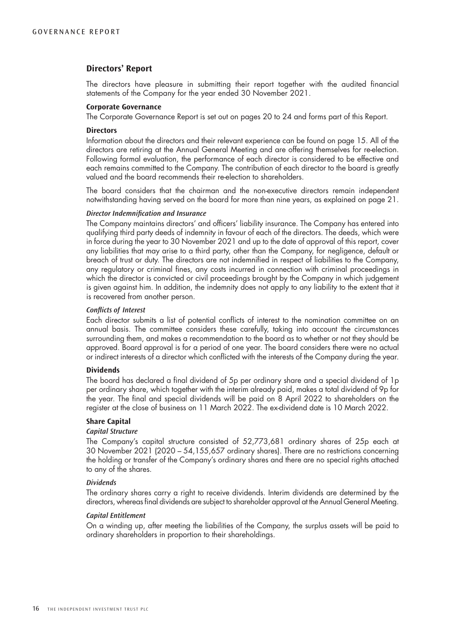# **Directors' Report**

The directors have pleasure in submitting their report together with the audited financial statements of the Company for the year ended 30 November 2021.

# **Corporate Governance**

The Corporate Governance Report is set out on pages 20 to 24 and forms part of this Report.

#### **Directors**

Information about the directors and their relevant experience can be found on page 15. All of the directors are retiring at the Annual General Meeting and are offering themselves for re-election. Following formal evaluation, the performance of each director is considered to be effective and each remains committed to the Company. The contribution of each director to the board is greatly valued and the board recommends their re-election to shareholders.

The board considers that the chairman and the non-executive directors remain independent notwithstanding having served on the board for more than nine years, as explained on page 21.

# *Director Indemnification and Insurance*

The Company maintains directors' and officers' liability insurance. The Company has entered into qualifying third party deeds of indemnity in favour of each of the directors. The deeds, which were in force during the year to 30 November 2021 and up to the date of approval of this report, cover any liabilities that may arise to a third party, other than the Company, for negligence, default or breach of trust or duty. The directors are not indemnified in respect of liabilities to the Company, any regulatory or criminal fines, any costs incurred in connection with criminal proceedings in which the director is convicted or civil proceedings brought by the Company in which judgement is given against him. In addition, the indemnity does not apply to any liability to the extent that it is recovered from another person.

#### *Conflicts of Interest*

Each director submits a list of potential conflicts of interest to the nomination committee on an annual basis. The committee considers these carefully, taking into account the circumstances surrounding them, and makes a recommendation to the board as to whether or not they should be approved. Board approval is for a period of one year. The board considers there were no actual or indirect interests of a director which conflicted with the interests of the Company during the year.

#### **Dividends**

The board has declared a final dividend of 5p per ordinary share and a special dividend of 1p per ordinary share, which together with the interim already paid, makes a total dividend of 9p for the year. The final and special dividends will be paid on 8 April 2022 to shareholders on the register at the close of business on 11 March 2022. The ex-dividend date is 10 March 2022.

#### **Share Capital**

#### *Capital Structure*

The Company's capital structure consisted of 52,773,681 ordinary shares of 25p each at 30 November 2021 (2020 – 54,155,657 ordinary shares). There are no restrictions concerning the holding or transfer of the Company's ordinary shares and there are no special rights attached to any of the shares.

#### *Dividends*

The ordinary shares carry a right to receive dividends. Interim dividends are determined by the directors, whereas final dividends are subject to shareholder approval at the Annual General Meeting.

#### *Capital Entitlement*

On a winding up, after meeting the liabilities of the Company, the surplus assets will be paid to ordinary shareholders in proportion to their shareholdings.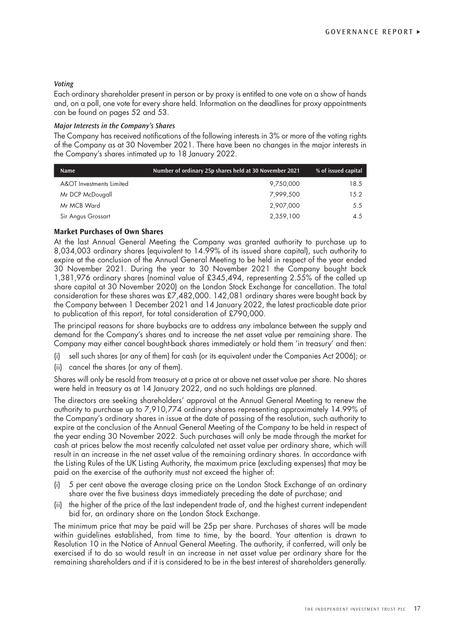#### *Voting*

Each ordinary shareholder present in person or by proxy is entitled to one vote on a show of hands and, on a poll, one vote for every share held. Information on the deadlines for proxy appointments can be found on pages 52 and 53.

#### *Major Interests in the Company's Shares*

The Company has received notifications of the following interests in 3% or more of the voting rights of the Company as at 30 November 2021. There have been no changes in the major interests in the Company's shares intimated up to 18 January 2022.

| <b>Name</b>              | Number of ordinary 25p shares held at 30 November 2021 | % of issued capital |
|--------------------------|--------------------------------------------------------|---------------------|
| A&OT Investments Limited | 9,750,000                                              | 18.5                |
| Mr DCP McDougall         | 7.999.500                                              | 15.2                |
| Mr MCB Ward              | 2,907,000                                              | 5.5                 |
| Sir Angus Grossart       | 2,359,100                                              | 4.5                 |

## **Market Purchases of Own Shares**

At the last Annual General Meeting the Company was granted authority to purchase up to 8,034,003 ordinary shares (equivalent to 14.99% of its issued share capital), such authority to expire at the conclusion of the Annual General Meeting to be held in respect of the year ended 30 November 2021. During the year to 30 November 2021 the Company bought back 1,381,976 ordinary shares (nominal value of £345,494, representing 2.55% of the called up share capital at 30 November 2020) on the London Stock Exchange for cancellation. The total consideration for these shares was £7,482,000. 142,081 ordinary shares were bought back by the Company between 1 December 2021 and 14 January 2022, the latest practicable date prior to publication of this report, for total consideration of £790,000.

The principal reasons for share buybacks are to address any imbalance between the supply and demand for the Company's shares and to increase the net asset value per remaining share. The Company may either cancel bought-back shares immediately or hold them 'in treasury' and then:

- (i) sell such shares (or any of them) for cash (or its equivalent under the Companies Act 2006); or
- (ii) cancel the shares (or any of them).

Shares will only be resold from treasury at a price at or above net asset value per share. No shares were held in treasury as at 14 January 2022, and no such holdings are planned.

The directors are seeking shareholders' approval at the Annual General Meeting to renew the authority to purchase up to 7,910,774 ordinary shares representing approximately 14.99% of the Company's ordinary shares in issue at the date of passing of the resolution, such authority to expire at the conclusion of the Annual General Meeting of the Company to be held in respect of the year ending 30 November 2022. Such purchases will only be made through the market for cash at prices below the most recently calculated net asset value per ordinary share, which will result in an increase in the net asset value of the remaining ordinary shares. In accordance with the Listing Rules of the UK Listing Authority, the maximum price (excluding expenses) that may be paid on the exercise of the authority must not exceed the higher of:

- 5 per cent above the average closing price on the London Stock Exchange of an ordinary share over the five business days immediately preceding the date of purchase; and
- (ii) the higher of the price of the last independent trade of, and the highest current independent bid for, an ordinary share on the London Stock Exchange.

The minimum price that may be paid will be 25p per share. Purchases of shares will be made within guidelines established, from time to time, by the board. Your attention is drawn to Resolution 10 in the Notice of Annual General Meeting. The authority, if conferred, will only be exercised if to do so would result in an increase in net asset value per ordinary share for the remaining shareholders and if it is considered to be in the best interest of shareholders generally.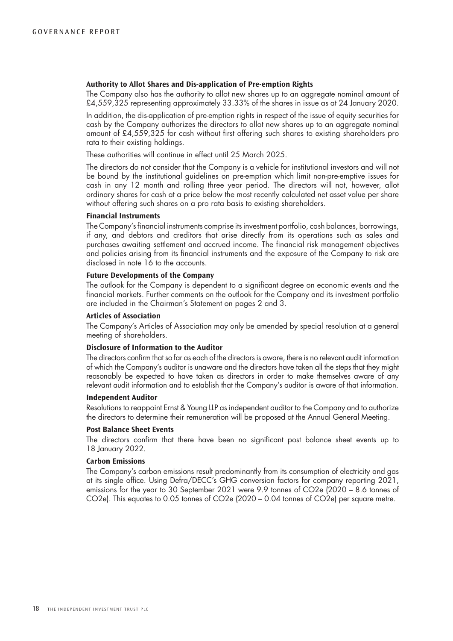#### **Authority to Allot Shares and Dis-application of Pre-emption Rights**

The Company also has the authority to allot new shares up to an aggregate nominal amount of £4,559,325 representing approximately 33.33% of the shares in issue as at 24 January 2020.

In addition, the dis-application of pre-emption rights in respect of the issue of equity securities for cash by the Company authorizes the directors to allot new shares up to an aggregate nominal amount of £4,559,325 for cash without first offering such shares to existing shareholders pro rata to their existing holdings.

These authorities will continue in effect until 25 March 2025.

The directors do not consider that the Company is a vehicle for institutional investors and will not be bound by the institutional guidelines on pre-emption which limit non-pre-emptive issues for cash in any 12 month and rolling three year period. The directors will not, however, allot ordinary shares for cash at a price below the most recently calculated net asset value per share without offering such shares on a pro rata basis to existing shareholders.

#### **Financial Instruments**

The Company's financial instruments comprise its investment portfolio, cash balances, borrowings, if any, and debtors and creditors that arise directly from its operations such as sales and purchases awaiting settlement and accrued income. The financial risk management objectives and policies arising from its financial instruments and the exposure of the Company to risk are disclosed in note 16 to the accounts.

#### **Future Developments of the Company**

The outlook for the Company is dependent to a significant degree on economic events and the financial markets. Further comments on the outlook for the Company and its investment portfolio are included in the Chairman's Statement on pages 2 and 3.

#### **Articles of Association**

The Company's Articles of Association may only be amended by special resolution at a general meeting of shareholders.

#### **Disclosure of Information to the Auditor**

The directors confirm that so far as each of the directors is aware, there is no relevant audit information of which the Company's auditor is unaware and the directors have taken all the steps that they might reasonably be expected to have taken as directors in order to make themselves aware of any relevant audit information and to establish that the Company's auditor is aware of that information.

#### **Independent Auditor**

Resolutions to reappoint Ernst & Young LLP as independent auditor to the Company and to authorize the directors to determine their remuneration will be proposed at the Annual General Meeting.

#### **Post Balance Sheet Events**

The directors confirm that there have been no significant post balance sheet events up to 18 January 2022.

### **Carbon Emissions**

The Company's carbon emissions result predominantly from its consumption of electricity and gas at its single office. Using Defra/DECC's GHG conversion factors for company reporting 2021, emissions for the year to 30 September 2021 were 9.9 tonnes of CO2e (2020 – 8.6 tonnes of CO2e). This equates to 0.05 tonnes of CO2e (2020 – 0.04 tonnes of CO2e) per square metre.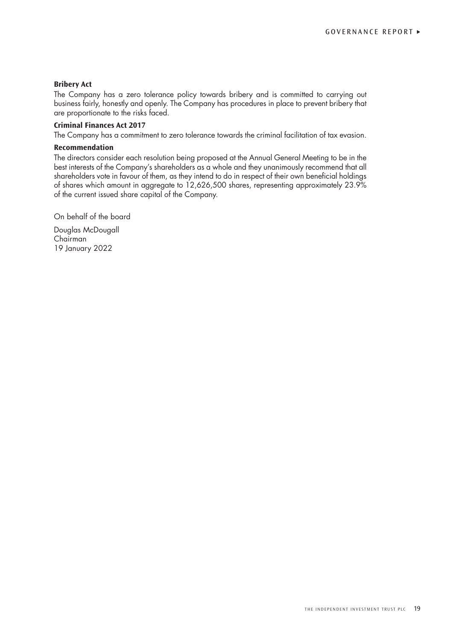#### **Bribery Act**

The Company has a zero tolerance policy towards bribery and is committed to carrying out business fairly, honestly and openly. The Company has procedures in place to prevent bribery that are proportionate to the risks faced.

# **Criminal Finances Act 2017**

The Company has a commitment to zero tolerance towards the criminal facilitation of tax evasion.

#### **Recommendation**

The directors consider each resolution being proposed at the Annual General Meeting to be in the best interests of the Company's shareholders as a whole and they unanimously recommend that all shareholders vote in favour of them, as they intend to do in respect of their own beneficial holdings of shares which amount in aggregate to 12,626,500 shares, representing approximately 23.9% of the current issued share capital of the Company.

On behalf of the board

Douglas McDougall Chairman 19 January 2022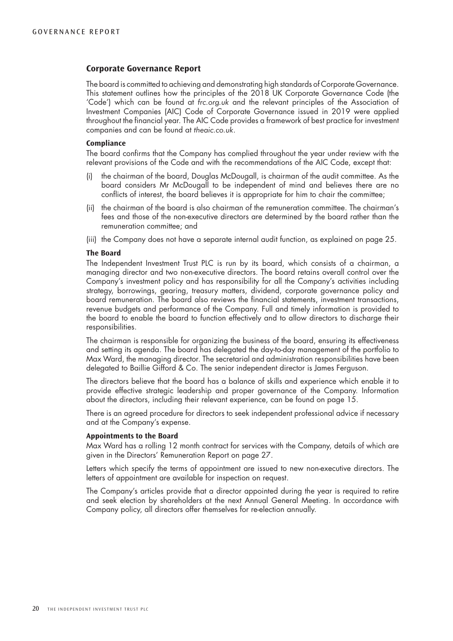# **Corporate Governance Report**

The board is committed to achieving and demonstrating high standards of Corporate Governance. This statement outlines how the principles of the 2018 UK Corporate Governance Code (the 'Code') which can be found at *frc.org.uk* and the relevant principles of the Association of Investment Companies (AIC) Code of Corporate Governance issued in 2019 were applied throughout the financial year. The AIC Code provides a framework of best practice for investment companies and can be found at *theaic.co.uk*.

#### **Compliance**

The board confirms that the Company has complied throughout the year under review with the relevant provisions of the Code and with the recommendations of the AIC Code, except that:

- (i) the chairman of the board, Douglas McDougall, is chairman of the audit committee. As the board considers Mr McDougall to be independent of mind and believes there are no conflicts of interest, the board believes it is appropriate for him to chair the committee;
- (ii) the chairman of the board is also chairman of the remuneration committee. The chairman's fees and those of the non-executive directors are determined by the board rather than the remuneration committee; and
- (iii) the Company does not have a separate internal audit function, as explained on page 25.

#### **The Board**

The Independent Investment Trust PLC is run by its board, which consists of a chairman, a managing director and two non-executive directors. The board retains overall control over the Company's investment policy and has responsibility for all the Company's activities including strategy, borrowings, gearing, treasury matters, dividend, corporate governance policy and board remuneration. The board also reviews the financial statements, investment transactions, revenue budgets and performance of the Company. Full and timely information is provided to the board to enable the board to function effectively and to allow directors to discharge their responsibilities.

The chairman is responsible for organizing the business of the board, ensuring its effectiveness and setting its agenda. The board has delegated the day-to-day management of the portfolio to Max Ward, the managing director. The secretarial and administration responsibilities have been delegated to Baillie Gifford & Co. The senior independent director is James Ferguson.

The directors believe that the board has a balance of skills and experience which enable it to provide effective strategic leadership and proper governance of the Company. Information about the directors, including their relevant experience, can be found on page 15.

There is an agreed procedure for directors to seek independent professional advice if necessary and at the Company's expense.

#### **Appointments to the Board**

Max Ward has a rolling 12 month contract for services with the Company, details of which are given in the Directors' Remuneration Report on page 27.

Letters which specify the terms of appointment are issued to new non-executive directors. The letters of appointment are available for inspection on request.

The Company's articles provide that a director appointed during the year is required to retire and seek election by shareholders at the next Annual General Meeting. In accordance with Company policy, all directors offer themselves for re-election annually.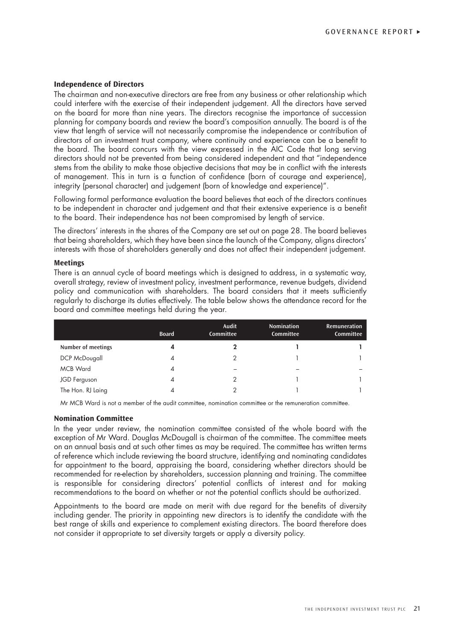#### **Independence of Directors**

The chairman and non-executive directors are free from any business or other relationship which could interfere with the exercise of their independent judgement. All the directors have served on the board for more than nine years. The directors recognise the importance of succession planning for company boards and review the board's composition annually. The board is of the view that length of service will not necessarily compromise the independence or contribution of directors of an investment trust company, where continuity and experience can be a benefit to the board. The board concurs with the view expressed in the AIC Code that long serving directors should not be prevented from being considered independent and that "independence stems from the ability to make those objective decisions that may be in conflict with the interests of management. This in turn is a function of confidence (born of courage and experience), integrity (personal character) and judgement (born of knowledge and experience)".

Following formal performance evaluation the board believes that each of the directors continues to be independent in character and judgement and that their extensive experience is a benefit to the board. Their independence has not been compromised by length of service.

The directors' interests in the shares of the Company are set out on page 28. The board believes that being shareholders, which they have been since the launch of the Company, aligns directors' interests with those of shareholders generally and does not affect their independent judgement.

#### **Meetings**

There is an annual cycle of board meetings which is designed to address, in a systematic way, overall strategy, review of investment policy, investment performance, revenue budgets, dividend policy and communication with shareholders. The board considers that it meets sufficiently regularly to discharge its duties effectively. The table below shows the attendance record for the board and committee meetings held during the year.

|                    | <b>Board</b> | Audit<br>Committee | <b>Nomination</b><br>Committee | <b>Remuneration</b><br>Committee |
|--------------------|--------------|--------------------|--------------------------------|----------------------------------|
| Number of meetings | 4            |                    |                                |                                  |
| DCP McDougall      | 4            |                    |                                |                                  |
| <b>MCB Ward</b>    | 4            |                    |                                |                                  |
| JGD Ferguson       | 4            | っ                  |                                |                                  |
| The Hon. RJ Laing  |              |                    |                                |                                  |

Mr MCB Ward is not a member of the audit committee, nomination committee or the remuneration committee.

#### **Nomination Committee**

In the year under review, the nomination committee consisted of the whole board with the exception of Mr Ward. Douglas McDougall is chairman of the committee. The committee meets on an annual basis and at such other times as may be required. The committee has written terms of reference which include reviewing the board structure, identifying and nominating candidates for appointment to the board, appraising the board, considering whether directors should be recommended for re-election by shareholders, succession planning and training. The committee is responsible for considering directors' potential conflicts of interest and for making recommendations to the board on whether or not the potential conflicts should be authorized.

Appointments to the board are made on merit with due regard for the benefits of diversity including gender. The priority in appointing new directors is to identify the candidate with the best range of skills and experience to complement existing directors. The board therefore does not consider it appropriate to set diversity targets or apply a diversity policy.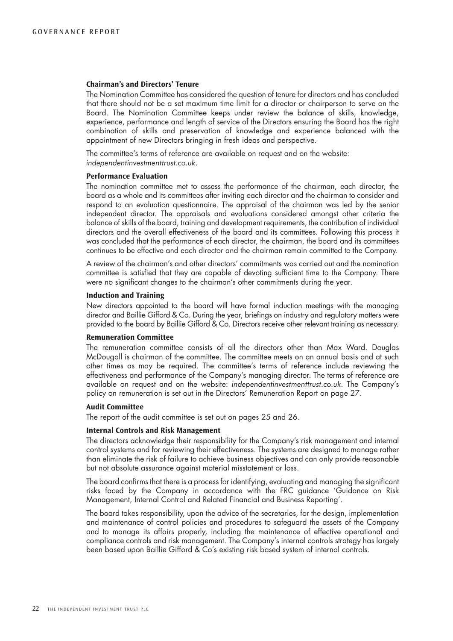#### **Chairman's and Directors' Tenure**

The Nomination Committee has considered the question of tenure for directors and has concluded that there should not be a set maximum time limit for a director or chairperson to serve on the Board. The Nomination Committee keeps under review the balance of skills, knowledge, experience, performance and length of service of the Directors ensuring the Board has the right combination of skills and preservation of knowledge and experience balanced with the appointment of new Directors bringing in fresh ideas and perspective.

The committee's terms of reference are available on request and on the website: *independentinvestmenttrust.co.uk*.

#### **Performance Evaluation**

The nomination committee met to assess the performance of the chairman, each director, the board as a whole and its committees after inviting each director and the chairman to consider and respond to an evaluation questionnaire. The appraisal of the chairman was led by the senior independent director. The appraisals and evaluations considered amongst other criteria the balance of skills of the board, training and development requirements, the contribution of individual directors and the overall effectiveness of the board and its committees. Following this process it was concluded that the performance of each director, the chairman, the board and its committees continues to be effective and each director and the chairman remain committed to the Company.

A review of the chairman's and other directors' commitments was carried out and the nomination committee is satisfied that they are capable of devoting sufficient time to the Company. There were no significant changes to the chairman's other commitments during the year.

#### **Induction and Training**

New directors appointed to the board will have formal induction meetings with the managing director and Baillie Gifford & Co. During the year, briefings on industry and regulatory matters were provided to the board by Baillie Gifford & Co. Directors receive other relevant training as necessary.

#### **Remuneration Committee**

The remuneration committee consists of all the directors other than Max Ward. Douglas McDougall is chairman of the committee. The committee meets on an annual basis and at such other times as may be required. The committee's terms of reference include reviewing the effectiveness and performance of the Company's managing director. The terms of reference are available on request and on the website: *independentinvestmenttrust.co.uk*. The Company's policy on remuneration is set out in the Directors' Remuneration Report on page 27.

#### **Audit Committee**

The report of the audit committee is set out on pages 25 and 26.

#### **Internal Controls and Risk Management**

The directors acknowledge their responsibility for the Company's risk management and internal control systems and for reviewing their effectiveness. The systems are designed to manage rather than eliminate the risk of failure to achieve business objectives and can only provide reasonable but not absolute assurance against material misstatement or loss.

The board confirms that there is a process for identifying, evaluating and managing the significant risks faced by the Company in accordance with the FRC guidance 'Guidance on Risk Management, Internal Control and Related Financial and Business Reporting'.

The board takes responsibility, upon the advice of the secretaries, for the design, implementation and maintenance of control policies and procedures to safeguard the assets of the Company and to manage its affairs properly, including the maintenance of effective operational and compliance controls and risk management. The Company's internal controls strategy has largely been based upon Baillie Gifford & Co's existing risk based system of internal controls.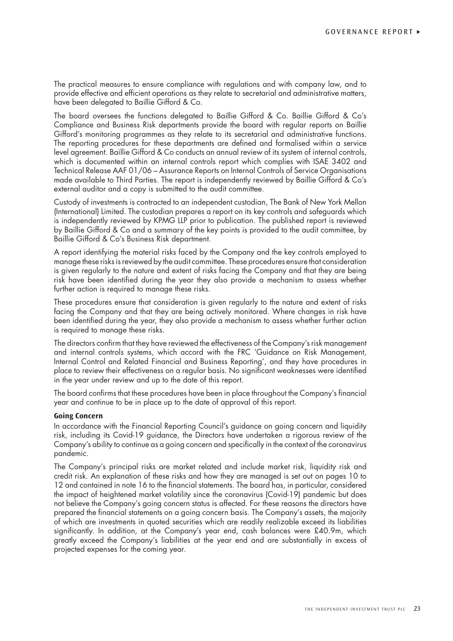The practical measures to ensure compliance with regulations and with company law, and to provide effective and efficient operations as they relate to secretarial and administrative matters, have been delegated to Baillie Gifford & Co.

The board oversees the functions delegated to Baillie Gifford & Co. Baillie Gifford & Co's Compliance and Business Risk departments provide the board with regular reports on Baillie Gifford's monitoring programmes as they relate to its secretarial and administrative functions. The reporting procedures for these departments are defined and formalised within a service level agreement. Baillie Gifford & Co conducts an annual review of its system of internal controls, which is documented within an internal controls report which complies with ISAE 3402 and Technical Release AAF 01/06 – Assurance Reports on Internal Controls of Service Organisations made available to Third Parties. The report is independently reviewed by Baillie Gifford & Co's external auditor and a copy is submitted to the audit committee.

Custody of investments is contracted to an independent custodian, The Bank of New York Mellon (International) Limited. The custodian prepares a report on its key controls and safeguards which is independently reviewed by KPMG LLP prior to publication. The published report is reviewed by Baillie Gifford & Co and a summary of the key points is provided to the audit committee, by Baillie Gifford & Co's Business Risk department.

A report identifying the material risks faced by the Company and the key controls employed to manage these risks is reviewed by the audit committee. These procedures ensure that consideration is given regularly to the nature and extent of risks facing the Company and that they are being risk have been identified during the year they also provide a mechanism to assess whether further action is required to manage these risks.

These procedures ensure that consideration is given regularly to the nature and extent of risks facing the Company and that they are being actively monitored. Where changes in risk have been identified during the year, they also provide a mechanism to assess whether further action is required to manage these risks.

The directors confirm that they have reviewed the effectiveness of the Company's risk management and internal controls systems, which accord with the FRC 'Guidance on Risk Management, Internal Control and Related Financial and Business Reporting', and they have procedures in place to review their effectiveness on a regular basis. No significant weaknesses were identified in the year under review and up to the date of this report.

The board confirms that these procedures have been in place throughout the Company's financial year and continue to be in place up to the date of approval of this report.

#### **Going Concern**

In accordance with the Financial Reporting Council's guidance on going concern and liquidity risk, including its Covid-19 guidance, the Directors have undertaken a rigorous review of the Company's ability to continue as a going concern and specifically in the context of the coronavirus pandemic.

The Company's principal risks are market related and include market risk, liquidity risk and credit risk. An explanation of these risks and how they are managed is set out on pages 10 to 12 and contained in note 16 to the financial statements. The board has, in particular, considered the impact of heightened market volatility since the coronavirus (Covid-19) pandemic but does not believe the Company's going concern status is affected. For these reasons the directors have prepared the financial statements on a going concern basis. The Company's assets, the majority of which are investments in quoted securities which are readily realizable exceed its liabilities significantly. In addition, at the Company's year end, cash balances were £40.9m, which greatly exceed the Company's liabilities at the year end and are substantially in excess of projected expenses for the coming year.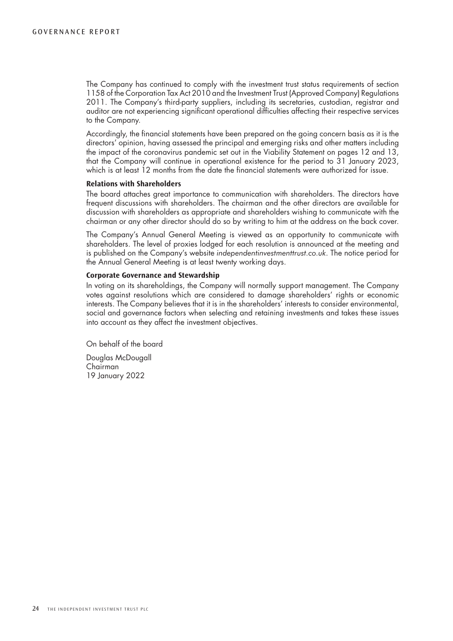The Company has continued to comply with the investment trust status requirements of section 1158 of the Corporation Tax Act 2010 and the Investment Trust (Approved Company) Regulations 2011. The Company's third-party suppliers, including its secretaries, custodian, registrar and auditor are not experiencing significant operational difficulties affecting their respective services to the Company.

Accordingly, the financial statements have been prepared on the going concern basis as it is the directors' opinion, having assessed the principal and emerging risks and other matters including the impact of the coronavirus pandemic set out in the Viability Statement on pages 12 and 13, that the Company will continue in operational existence for the period to 31 January 2023, which is at least 12 months from the date the financial statements were authorized for issue.

#### **Relations with Shareholders**

The board attaches great importance to communication with shareholders. The directors have frequent discussions with shareholders. The chairman and the other directors are available for discussion with shareholders as appropriate and shareholders wishing to communicate with the chairman or any other director should do so by writing to him at the address on the back cover.

The Company's Annual General Meeting is viewed as an opportunity to communicate with shareholders. The level of proxies lodged for each resolution is announced at the meeting and is published on the Company's website *independentinvestmenttrust.co.uk*. The notice period for the Annual General Meeting is at least twenty working days.

#### **Corporate Governance and Stewardship**

In voting on its shareholdings, the Company will normally support management. The Company votes against resolutions which are considered to damage shareholders' rights or economic interests. The Company believes that it is in the shareholders' interests to consider environmental, social and governance factors when selecting and retaining investments and takes these issues into account as they affect the investment objectives.

On behalf of the board Douglas McDougall

Chairman 19 January 2022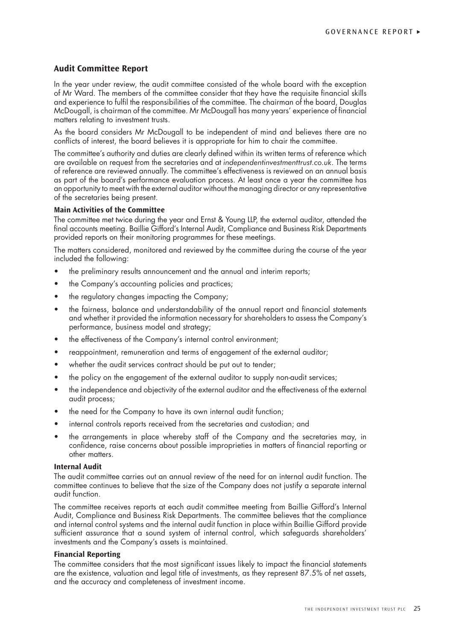# **Audit Committee Report**

In the year under review, the audit committee consisted of the whole board with the exception of Mr Ward. The members of the committee consider that they have the requisite financial skills and experience to fulfil the responsibilities of the committee. The chairman of the board, Douglas McDougall, is chairman of the committee. Mr McDougall has many years' experience of financial matters relating to investment trusts.

As the board considers Mr McDougall to be independent of mind and believes there are no conflicts of interest, the board believes it is appropriate for him to chair the committee.

The committee's authority and duties are clearly defined within its written terms of reference which are available on request from the secretaries and at *independentinvestmenttrust.co.uk*. The terms of reference are reviewed annually. The committee's effectiveness is reviewed on an annual basis as part of the board's performance evaluation process. At least once a year the committee has an opportunity to meet with the external auditor without the managing director or any representative of the secretaries being present.

#### **Main Activities of the Committee**

The committee met twice during the year and Ernst & Young LLP, the external auditor, attended the final accounts meeting. Baillie Gifford's Internal Audit, Compliance and Business Risk Departments provided reports on their monitoring programmes for these meetings.

The matters considered, monitored and reviewed by the committee during the course of the year included the following:

- the preliminary results announcement and the annual and interim reports;
- the Company's accounting policies and practices;
- the regulatory changes impacting the Company:
- the fairness, balance and understandability of the annual report and financial statements and whether it provided the information necessary for shareholders to assess the Company's performance, business model and strategy;
- the effectiveness of the Company's internal control environment;
- reappointment, remuneration and terms of engagement of the external auditor;
- whether the audit services contract should be put out to tender;
- the policy on the engagement of the external auditor to supply non-audit services;
- the independence and objectivity of the external auditor and the effectiveness of the external audit process;
- the need for the Company to have its own internal audit function;
- internal controls reports received from the secretaries and custodian; and
- the arrangements in place whereby staff of the Company and the secretaries may, in confidence, raise concerns about possible improprieties in matters of financial reporting or other matters.

### **Internal Audit**

The audit committee carries out an annual review of the need for an internal audit function. The committee continues to believe that the size of the Company does not justify a separate internal audit function.

The committee receives reports at each audit committee meeting from Baillie Gifford's Internal Audit, Compliance and Business Risk Departments. The committee believes that the compliance and internal control systems and the internal audit function in place within Baillie Gifford provide sufficient assurance that a sound system of internal control, which safeguards shareholders' investments and the Company's assets is maintained.

#### **Financial Reporting**

The committee considers that the most significant issues likely to impact the financial statements are the existence, valuation and legal title of investments, as they represent 87.5% of net assets, and the accuracy and completeness of investment income.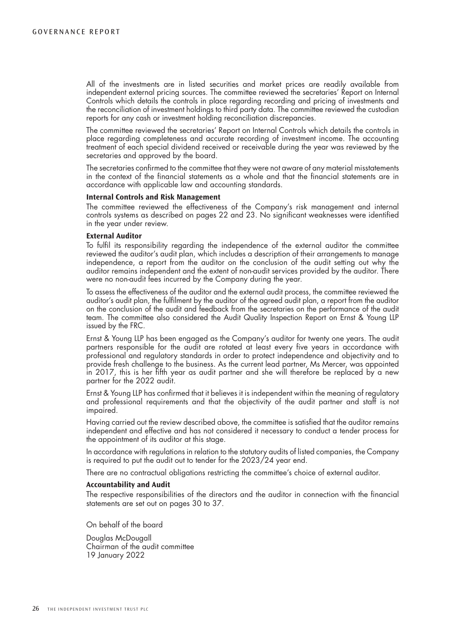All of the investments are in listed securities and market prices are readily available from independent external pricing sources. The committee reviewed the secretaries' Report on Internal Controls which details the controls in place regarding recording and pricing of investments and the reconciliation of investment holdings to third party data. The committee reviewed the custodian reports for any cash or investment holding reconciliation discrepancies.

The committee reviewed the secretaries' Report on Internal Controls which details the controls in place regarding completeness and accurate recording of investment income. The accounting treatment of each special dividend received or receivable during the year was reviewed by the secretaries and approved by the board.

The secretaries confirmed to the committee that they were not aware of any material misstatements in the context of the financial statements as a whole and that the financial statements are in accordance with applicable law and accounting standards.

#### **Internal Controls and Risk Management**

The committee reviewed the effectiveness of the Company's risk management and internal controls systems as described on pages 22 and 23. No significant weaknesses were identified in the year under review.

#### **External Auditor**

To fulfil its responsibility regarding the independence of the external auditor the committee reviewed the auditor's audit plan, which includes a description of their arrangements to manage independence, a report from the auditor on the conclusion of the audit setting out why the auditor remains independent and the extent of non-audit services provided by the auditor. There were no non-audit fees incurred by the Company during the year.

To assess the effectiveness of the auditor and the external audit process, the committee reviewed the auditor's audit plan, the fulfilment by the auditor of the agreed audit plan, a report from the auditor on the conclusion of the audit and feedback from the secretaries on the performance of the audit team. The committee also considered the Audit Quality Inspection Report on Ernst & Young LLP issued by the FRC.

Ernst & Young LLP has been engaged as the Company's auditor for twenty one years. The audit partners responsible for the audit are rotated at least every five years in accordance with professional and regulatory standards in order to protect independence and objectivity and to provide fresh challenge to the business. As the current lead partner, Ms Mercer, was appointed in 2017, this is her fifth year as audit partner and she will therefore be replaced by a new partner for the 2022 audit.

Ernst & Young LLP has confirmed that it believes it is independent within the meaning of regulatory and professional requirements and that the objectivity of the audit partner and staff is not impaired.

Having carried out the review described above, the committee is satisfied that the auditor remains independent and effective and has not considered it necessary to conduct a tender process for the appointment of its auditor at this stage.

In accordance with regulations in relation to the statutory audits of listed companies, the Company is required to put the audit out to tender for the 2023/24 year end.

There are no contractual obligations restricting the committee's choice of external auditor.

#### **Accountability and Audit**

The respective responsibilities of the directors and the auditor in connection with the financial statements are set out on pages 30 to 37.

On behalf of the board

Douglas McDougall Chairman of the audit committee 19 January 2022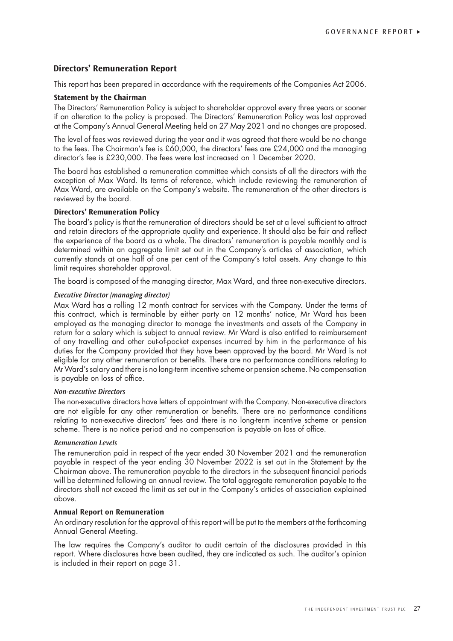# **Directors' Remuneration Report**

This report has been prepared in accordance with the requirements of the Companies Act 2006.

#### **Statement by the Chairman**

The Directors' Remuneration Policy is subject to shareholder approval every three years or sooner if an alteration to the policy is proposed. The Directors' Remuneration Policy was last approved at the Company's Annual General Meeting held on 27 May 2021 and no changes are proposed.

The level of fees was reviewed during the year and it was agreed that there would be no change to the fees. The Chairman's fee is £60,000, the directors' fees are £24,000 and the managing director's fee is £230,000. The fees were last increased on 1 December 2020.

The board has established a remuneration committee which consists of all the directors with the exception of Max Ward. Its terms of reference, which include reviewing the remuneration of Max Ward, are available on the Company's website. The remuneration of the other directors is reviewed by the board.

### **Directors' Remuneration Policy**

The board's policy is that the remuneration of directors should be set at a level sufficient to attract and retain directors of the appropriate quality and experience. It should also be fair and reflect the experience of the board as a whole. The directors' remuneration is payable monthly and is determined within an aggregate limit set out in the Company's articles of association, which currently stands at one half of one per cent of the Company's total assets. Any change to this limit requires shareholder approval.

The board is composed of the managing director, Max Ward, and three non-executive directors.

### *Executive Director (managing director)*

Max Ward has a rolling 12 month contract for services with the Company. Under the terms of this contract, which is terminable by either party on 12 months' notice, Mr Ward has been employed as the managing director to manage the investments and assets of the Company in return for a salary which is subject to annual review. Mr Ward is also entitled to reimbursement of any travelling and other out-of-pocket expenses incurred by him in the performance of his duties for the Company provided that they have been approved by the board. Mr Ward is not eligible for any other remuneration or benefits. There are no performance conditions relating to Mr Ward's salary and there is no long-term incentive scheme or pension scheme. No compensation is payable on loss of office.

#### *Non-executive Directors*

The non-executive directors have letters of appointment with the Company. Non-executive directors are not eligible for any other remuneration or benefits. There are no performance conditions relating to non-executive directors' fees and there is no long-term incentive scheme or pension scheme. There is no notice period and no compensation is payable on loss of office.

#### *Remuneration Levels*

The remuneration paid in respect of the year ended 30 November 2021 and the remuneration payable in respect of the year ending 30 November 2022 is set out in the Statement by the Chairman above. The remuneration payable to the directors in the subsequent financial periods will be determined following an annual review. The total aggregate remuneration payable to the directors shall not exceed the limit as set out in the Company's articles of association explained above.

# **Annual Report on Remuneration**

An ordinary resolution for the approval of this report will be put to the members at the forthcoming Annual General Meeting.

The law requires the Company's auditor to audit certain of the disclosures provided in this report. Where disclosures have been audited, they are indicated as such. The auditor's opinion is included in their report on page 31.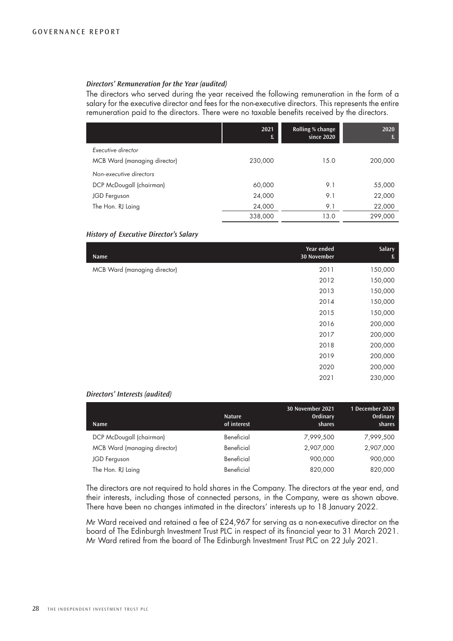#### *Directors' Remuneration for the Year (audited)*

The directors who served during the year received the following remuneration in the form of a salary for the executive director and fees for the non-executive directors. This represents the entire remuneration paid to the directors. There were no taxable benefits received by the directors.

|                              | 2021<br>£ | Rolling % change<br>since 2020 | 2020<br>£ |
|------------------------------|-----------|--------------------------------|-----------|
| Executive director           |           |                                |           |
| MCB Ward (managing director) | 230,000   | 15.0                           | 200,000   |
| Non-executive directors      |           |                                |           |
| DCP McDougall (chairman)     | 60,000    | 9.1                            | 55,000    |
| JGD Ferguson                 | 24,000    | 9.1                            | 22,000    |
| The Hon. RJ Laing            | 24,000    | 9.1                            | 22,000    |
|                              | 338,000   | 13.0                           | 299,000   |

# *History of Executive Director's Salary*

| Name                         | Year ended<br>30 November | Salary<br>£ |
|------------------------------|---------------------------|-------------|
| MCB Ward (managing director) | 2011                      | 150,000     |
|                              | 2012                      | 150,000     |
|                              | 2013                      | 150,000     |
|                              | 2014                      | 150,000     |
|                              | 2015                      | 150,000     |
|                              | 2016                      | 200,000     |
|                              | 2017                      | 200,000     |
|                              | 2018                      | 200,000     |
|                              | 2019                      | 200,000     |
|                              | 2020                      | 200,000     |
|                              | 2021                      | 230,000     |

#### *Directors' Interests (audited)*

| <b>Name</b>                  | <b>Nature</b><br>of interest | 30 November 2021<br>Ordinary<br>shares | 1 December 2020<br>Ordinary<br>shares |
|------------------------------|------------------------------|----------------------------------------|---------------------------------------|
| DCP McDougall (chairman)     | Beneficial                   | 7,999,500                              | 7,999,500                             |
| MCB Ward (managing director) | Beneficial                   | 2,907,000                              | 2,907,000                             |
| JGD Ferguson                 | Beneficial                   | 900,000                                | 900,000                               |
| The Hon. RJ Laing            | Beneficial                   | 820,000                                | 820,000                               |

The directors are not required to hold shares in the Company. The directors at the year end, and their interests, including those of connected persons, in the Company, were as shown above. There have been no changes intimated in the directors' interests up to 18 January 2022.

Mr Ward received and retained a fee of £24,967 for serving as a non-executive director on the board of The Edinburgh Investment Trust PLC in respect of its financial year to 31 March 2021. Mr Ward retired from the board of The Edinburgh Investment Trust PLC on 22 July 2021.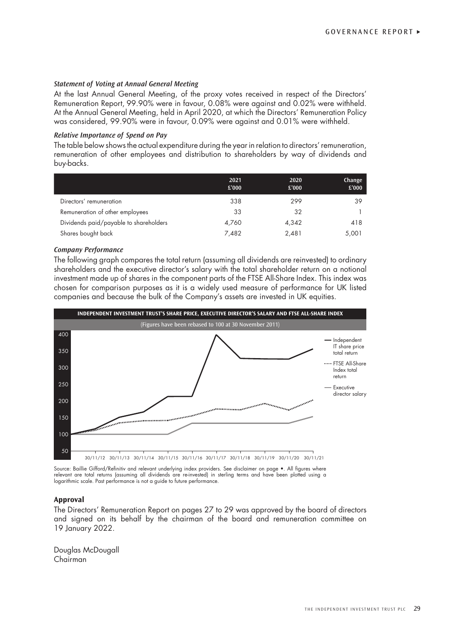### *Statement of Voting at Annual General Meeting*

At the last Annual General Meeting, of the proxy votes received in respect of the Directors' Remuneration Report, 99.90% were in favour, 0.08% were against and 0.02% were withheld. At the Annual General Meeting, held in April 2020, at which the Directors' Remuneration Policy was considered, 99.90% were in favour, 0.09% were against and 0.01% were withheld.

#### *Relative Importance of Spend on Pay*

The table below shows the actual expenditure during the year in relation to directors' remuneration, remuneration of other employees and distribution to shareholders by way of dividends and buy-backs.

|                                        | 2021<br>£'000 | 2020<br>£'000 | Change<br>£'000 |
|----------------------------------------|---------------|---------------|-----------------|
| Directors' remuneration                | 338           | 299           | 39              |
| Remuneration of other employees        | 33            | 32            |                 |
| Dividends paid/payable to shareholders | 4.760         | 4,342         | 418             |
| Shares bought back                     | 7.482         | 2.481         | 5,001           |

#### *Company Performance*

The following graph compares the total return (assuming all dividends are reinvested) to ordinary shareholders and the executive director's salary with the total shareholder return on a notional investment made up of shares in the component parts of the FTSE All-Share Index. This index was chosen for comparison purposes as it is a widely used measure of performance for UK listed companies and because the bulk of the Company's assets are invested in UK equities.



Source: Baillie Gifford/Refinitiv and relevant underlying index providers. See disclaimer on page •. All figures where relevant are total returns (assuming all dividends are re-invested) in sterling terms and have been plotted using a logarithmic scale. Past performance is not a guide to future performance.

#### **Approval**

The Directors' Remuneration Report on pages 27 to 29 was approved by the board of directors and signed on its behalf by the chairman of the board and remuneration committee on 19 January 2022.

Douglas McDougall Chairman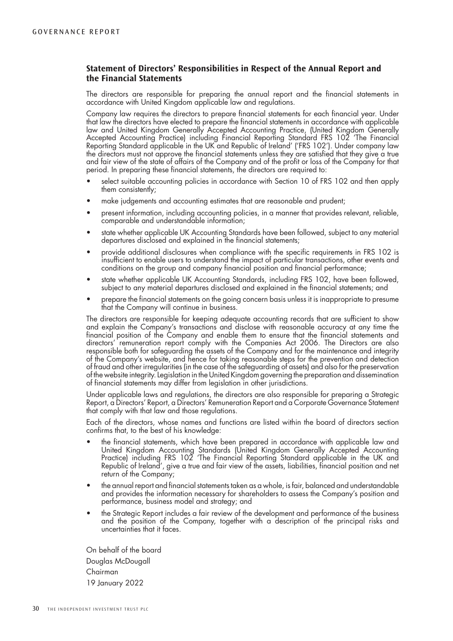# **Statement of Directors' Responsibilities in Respect of the Annual Report and the Financial Statements**

The directors are responsible for preparing the annual report and the financial statements in accordance with United Kingdom applicable law and regulations.

Company law requires the directors to prepare financial statements for each financial year. Under that law the directors have elected to prepare the financial statements in accordance with applicable law and United Kingdom Generally Accepted Accounting Practice, (United Kingdom Generally Accepted Accounting Practice) including Financial Reporting Standard FRS 102 'The Financial Reporting Standard applicable in the UK and Republic of Ireland' ('FRS 102'). Under company law the directors must not approve the financial statements unless they are satisfied that they give a true and fair view of the state of affairs of the Company and of the profit or loss of the Company for that period. In preparing these financial statements, the directors are required to:

- select suitable accounting policies in accordance with Section 10 of FRS 102 and then apply them consistently;
- make judgements and accounting estimates that are reasonable and prudent;
- present information, including accounting policies, in a manner that provides relevant, reliable, comparable and understandable information;
- state whether applicable UK Accounting Standards have been followed, subject to any material departures disclosed and explained in the financial statements;
- provide additional disclosures when compliance with the specific requirements in FRS 102 is insufficient to enable users to understand the impact of particular transactions, other events and conditions on the group and company financial position and financial performance;
- state whether applicable UK Accounting Standards, including FRS 102, have been followed, subject to any material departures disclosed and explained in the financial statements; and
- prepare the financial statements on the going concern basis unless it is inappropriate to presume that the Company will continue in business.

The directors are responsible for keeping adequate accounting records that are sufficient to show and explain the Company's transactions and disclose with reasonable accuracy at any time the financial position of the Company and enable them to ensure that the financial statements and directors' remuneration report comply with the Companies Act 2006. The Directors are also responsible both for safeguarding the assets of the Company and for the maintenance and integrity of the Company's website, and hence for taking reasonable steps for the prevention and detection of fraud and other irregularities (in the case of the safeguarding of assets) and also for the preservation of the website integrity. Legislation in the United Kingdom governing the preparation and dissemination of financial statements may differ from legislation in other jurisdictions.

Under applicable laws and regulations, the directors are also responsible for preparing a Strategic Report, a Directors' Report, a Directors' Remuneration Report and a Corporate Governance Statement that comply with that law and those regulations.

Each of the directors, whose names and functions are listed within the board of directors section confirms that, to the best of his knowledge:

- the financial statements, which have been prepared in accordance with applicable law and United Kingdom Accounting Standards (United Kingdom Generally Accepted Accounting Practice) including FRS 102 'The Financial Reporting Standard applicable in the UK and Republic of Ireland', give a true and fair view of the assets, liabilities, financial position and net return of the Company;
- the annual report and financial statements taken as a whole, is fair, balanced and understandable and provides the information necessary for shareholders to assess the Company's position and performance, business model and strategy; and
- the Strategic Report includes a fair review of the development and performance of the business and the position of the Company, together with a description of the principal risks and uncertainties that it faces.

On behalf of the board Douglas McDougall Chairman 19 January 2022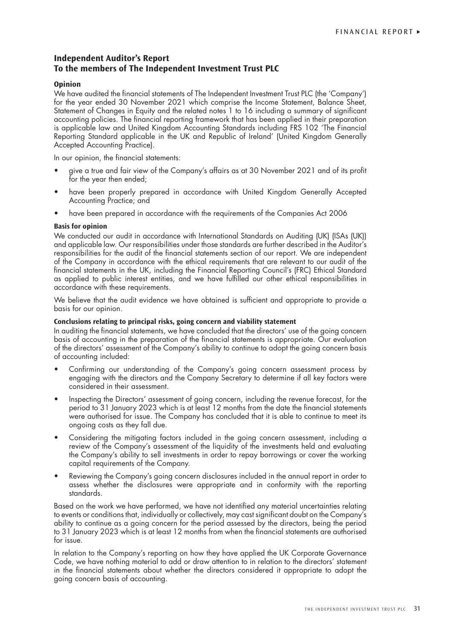# **Independent Auditor's Report To the members of The Independent Investment Trust PLC**

### **Opinion**

We have audited the financial statements of The Independent Investment Trust PLC (the 'Company') for the year ended 30 November 2021 which comprise the Income Statement, Balance Sheet, Statement of Changes in Equity and the related notes 1 to 16 including a summary of significant accounting policies. The financial reporting framework that has been applied in their preparation is applicable law and United Kingdom Accounting Standards including FRS 102 'The Financial Reporting Standard applicable in the UK and Republic of Ireland' (United Kingdom Generally Accepted Accounting Practice).

In our opinion, the financial statements:

- give a true and fair view of the Company's affairs as at 30 November 2021 and of its profit for the year then ended;
- have been properly prepared in accordance with United Kingdom Generally Accepted Accounting Practice; and
- have been prepared in accordance with the requirements of the Companies Act 2006

#### **Basis for opinion**

We conducted our audit in accordance with International Standards on Auditing (UK) (ISAs (UK)) and applicable law. Our responsibilities under those standards are further described in the Auditor's responsibilities for the audit of the financial statements section of our report. We are independent of the Company in accordance with the ethical requirements that are relevant to our audit of the financial statements in the UK, including the Financial Reporting Council's (FRC) Ethical Standard as applied to public interest entities, and we have fulfilled our other ethical responsibilities in accordance with these requirements.

We believe that the audit evidence we have obtained is sufficient and appropriate to provide a basis for our opinion.

#### **Conclusions relating to principal risks, going concern and viability statement**

In auditing the financial statements, we have concluded that the directors' use of the going concern basis of accounting in the preparation of the financial statements is appropriate. Our evaluation of the directors' assessment of the Company's ability to continue to adopt the going concern basis of accounting included:

- Confirming our understanding of the Company's going concern assessment process by engaging with the directors and the Company Secretary to determine if all key factors were considered in their assessment.
- Inspecting the Directors' assessment of going concern, including the revenue forecast, for the period to 31 January 2023 which is at least 12 months from the date the financial statements were authorised for issue. The Company has concluded that it is able to continue to meet its ongoing costs as they fall due.
- Considering the mitigating factors included in the going concern assessment, including a review of the Company's assessment of the liquidity of the investments held and evaluating the Company's ability to sell investments in order to repay borrowings or cover the working capital requirements of the Company.
- Reviewing the Company's going concern disclosures included in the annual report in order to assess whether the disclosures were appropriate and in conformity with the reporting standards.

Based on the work we have performed, we have not identified any material uncertainties relating to events or conditions that, individually or collectively, may cast significant doubt on the Company's ability to continue as a going concern for the period assessed by the directors, being the period to 31 January 2023 which is at least 12 months from when the financial statements are authorised for issue.

In relation to the Company's reporting on how they have applied the UK Corporate Governance Code, we have nothing material to add or draw attention to in relation to the directors' statement in the financial statements about whether the directors considered it appropriate to adopt the going concern basis of accounting.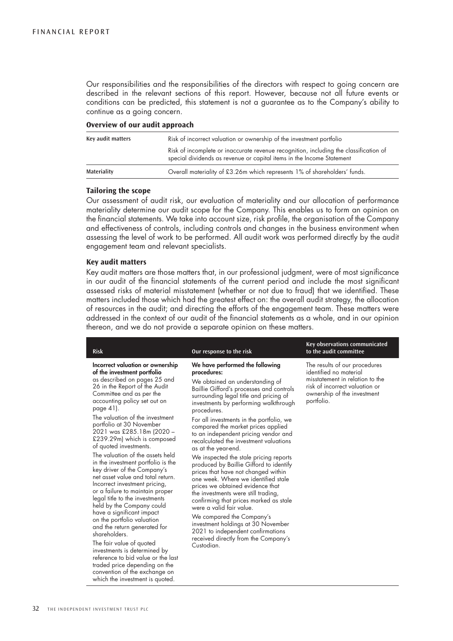Our responsibilities and the responsibilities of the directors with respect to going concern are described in the relevant sections of this report. However, because not all future events or conditions can be predicted, this statement is not a guarantee as to the Company's ability to continue as a going concern.

#### **Overview of our audit approach**

| Key audit matters | Risk of incorrect valuation or ownership of the investment portfolio                                                                                           |
|-------------------|----------------------------------------------------------------------------------------------------------------------------------------------------------------|
|                   | Risk of incomplete or inaccurate revenue recognition, including the classification of<br>special dividends as revenue or capital items in the Income Statement |
| Materiality       | Overall materiality of £3.26m which represents 1% of shareholders' funds.                                                                                      |

#### **Tailoring the scope**

Our assessment of audit risk, our evaluation of materiality and our allocation of performance materiality determine our audit scope for the Company. This enables us to form an opinion on the financial statements. We take into account size, risk profile, the organisation of the Company and effectiveness of controls, including controls and changes in the business environment when assessing the level of work to be performed. All audit work was performed directly by the audit engagement team and relevant specialists.

#### **Key audit matters**

Key audit matters are those matters that, in our professional judgment, were of most significance in our audit of the financial statements of the current period and include the most significant assessed risks of material misstatement (whether or not due to fraud) that we identified. These matters included those which had the greatest effect on: the overall audit strategy, the allocation of resources in the audit; and directing the efforts of the engagement team. These matters were addressed in the context of our audit of the financial statements as a whole, and in our opinion thereon, and we do not provide a separate opinion on these matters.

| <b>Risk</b>                                                                                                                                                                                                                                                                                                                                                                                                                                                                                                                                                                                                                                                                                                                                                                                                                                                   | Our response to the risk                                                                                                                                                                                                                                                                                                                                                                                                                                                                                                                                                                                                                                                                                                                                                                                                                                                                                     | Key observations communicated<br>to the audit committee                                                                                                                   |
|---------------------------------------------------------------------------------------------------------------------------------------------------------------------------------------------------------------------------------------------------------------------------------------------------------------------------------------------------------------------------------------------------------------------------------------------------------------------------------------------------------------------------------------------------------------------------------------------------------------------------------------------------------------------------------------------------------------------------------------------------------------------------------------------------------------------------------------------------------------|--------------------------------------------------------------------------------------------------------------------------------------------------------------------------------------------------------------------------------------------------------------------------------------------------------------------------------------------------------------------------------------------------------------------------------------------------------------------------------------------------------------------------------------------------------------------------------------------------------------------------------------------------------------------------------------------------------------------------------------------------------------------------------------------------------------------------------------------------------------------------------------------------------------|---------------------------------------------------------------------------------------------------------------------------------------------------------------------------|
| Incorrect valuation or ownership<br>of the investment portfolio<br>as described on pages 25 and<br>26 in the Report of the Audit<br>Committee and as per the<br>accounting policy set out on<br>page 41).<br>The valuation of the investment<br>portfolio at 30 November<br>2021 was £285.18m (2020 –<br>£239.29m) which is composed<br>of quoted investments.<br>The valuation of the assets held<br>in the investment portfolio is the<br>key driver of the Company's<br>net asset value and total return.<br>Incorrect investment pricing,<br>or a failure to maintain proper<br>legal title to the investments<br>held by the Company could<br>have a significant impact<br>on the portfolio valuation<br>and the return generated for<br>shareholders.<br>The fair value of quoted<br>investments is determined by<br>reference to bid value or the last | We have performed the following<br>procedures:<br>We obtained an understanding of<br>Baillie Gifford's processes and controls<br>surrounding legal title and pricing of<br>investments by performing walkthrough<br>procedures.<br>For all investments in the portfolio, we<br>compared the market prices applied<br>to an independent pricing vendor and<br>recalculated the investment valuations<br>as at the year-end.<br>We inspected the stale pricing reports<br>produced by Baillie Gifford to identify<br>prices that have not changed within<br>one week. Where we identified stale<br>prices we obtained evidence that<br>the investments were still trading,<br>confirming that prices marked as stale<br>were a valid fair value.<br>We compared the Company's<br>investment holdings at 30 November<br>2021 to independent confirmations<br>received directly from the Company's<br>Custodian. | The results of our procedures<br>identified no material<br>misstatement in relation to the<br>risk of incorrect valuation or<br>ownership of the investment<br>portfolio. |
| traded price depending on the<br>convention of the exchange on<br>which the investment is quoted.                                                                                                                                                                                                                                                                                                                                                                                                                                                                                                                                                                                                                                                                                                                                                             |                                                                                                                                                                                                                                                                                                                                                                                                                                                                                                                                                                                                                                                                                                                                                                                                                                                                                                              |                                                                                                                                                                           |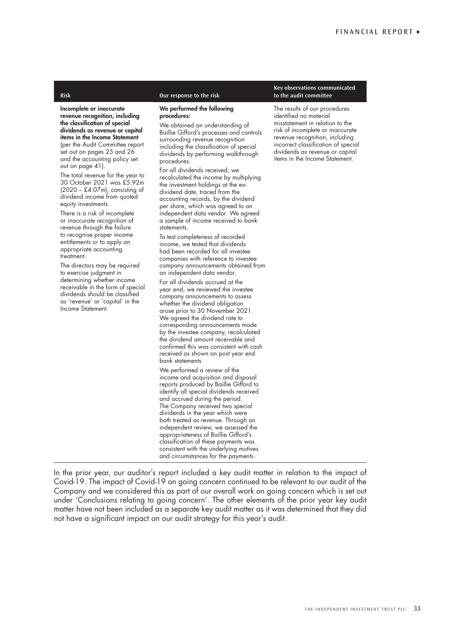Incomplete or inaccurate revenue recognition, including the classification of special dividends as revenue or capital items in the Income Statement (per the Audit Committee report set out on pages 25 and 26 and the accounting policy set

out on page 41). The total revenue for the year to 30 October 2021 was £5.92m  $(2020 - \text{\pounds}4.07\text{m})$ , consisting of dividend income from quoted equity investments.

There is a risk of incomplete or inaccurate recognition of revenue through the failure to recognise proper income entitlements or to apply an appropriate accounting treatment.

The directors may be required to exercise judgment in determining whether income receivable in the form of special dividends should be classified as 'revenue' or 'capital' in the Income Statement.

#### **Risk Our response to the risk**

#### We performed the following procedures:

We obtained an understanding of Baillie Gifford's processes and controls surrounding revenue recognition including the classification of special dividends by performing walkthrough procedures.

For all dividends received, we recalculated the income by multiplying the investment holdings at the exdividend date, traced from the accounting records, by the dividend per share, which was agreed to an independent data vendor. We agreed a sample of income received to bank statements.

To test completeness of recorded income, we tested that dividends had been recorded for all investee companies with reference to investee company announcements obtained from an independent data vendor.

For all dividends accrued at the year end, we reviewed the investee company announcements to assess whether the dividend obligation arose prior to 30 November 2021. We agreed the dividend rate to corresponding announcements made by the investee company, recalculated the dividend amount receivable and confirmed this was consistent with cash received as shown on post year end bank statements

We performed a review of the income and acquisition and disposal reports produced by Baillie Gifford to identify all special dividends received and accrued during the period. The Company received two special dividends in the year which were both treated as revenue. Through an independent review, we assessed the appropriateness of Baillie Gifford's classification of these payments was consistent with the underlying motives and circumstances for the payments.

**Key observations communicated to the audit committee** 

The results of our procedures identified no material misstatement in relation to the risk of incomplete or inaccurate revenue recognition, including incorrect classification of special dividends as revenue or capital items in the Income Statement.

In the prior year, our auditor's report included a key audit matter in relation to the impact of Covid-19. The impact of Covid-19 on going concern continued to be relevant to our audit of the Company and we considered this as part of our overall work on going concern which is set out under 'Conclusions relating to going concern'. The other elements of the prior year key audit matter have not been included as a separate key audit matter as it was determined that they did not have a significant impact on our audit strategy for this year's audit.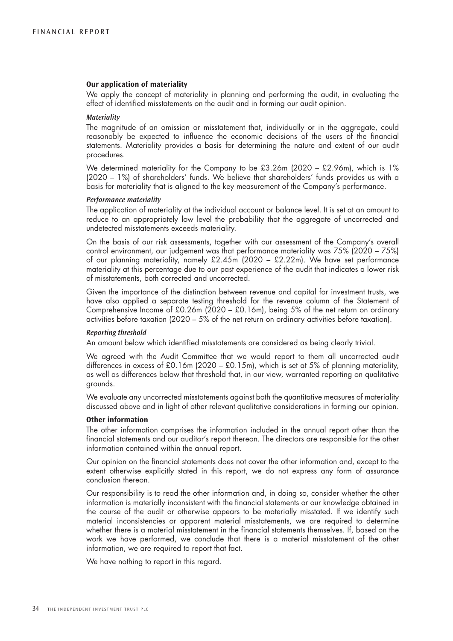#### **Our application of materiality**

We apply the concept of materiality in planning and performing the audit, in evaluating the effect of identified misstatements on the audit and in forming our audit opinion.

#### *Materiality*

The magnitude of an omission or misstatement that, individually or in the aggregate, could reasonably be expected to influence the economic decisions of the users of the financial statements. Materiality provides a basis for determining the nature and extent of our audit procedures.

We determined materiality for the Company to be  $£3.26m$  (2020 – £2.96m), which is 1% (2020 – 1%) of shareholders' funds. We believe that shareholders' funds provides us with a basis for materiality that is aligned to the key measurement of the Company's performance.

### *Performance materiality*

The application of materiality at the individual account or balance level. It is set at an amount to reduce to an appropriately low level the probability that the aggregate of uncorrected and undetected misstatements exceeds materiality.

On the basis of our risk assessments, together with our assessment of the Company's overall control environment, our judgement was that performance materiality was 75% (2020 – 75%) of our planning materiality, namely £2.45m (2020 – £2.22m). We have set performance materiality at this percentage due to our past experience of the audit that indicates a lower risk of misstatements, both corrected and uncorrected.

Given the importance of the distinction between revenue and capital for investment trusts, we have also applied a separate testing threshold for the revenue column of the Statement of Comprehensive Income of £0.26m (2020 – £0.16m), being 5% of the net return on ordinary activities before taxation (2020 – 5% of the net return on ordinary activities before taxation).

#### *Reporting threshold*

An amount below which identified misstatements are considered as being clearly trivial.

We agreed with the Audit Committee that we would report to them all uncorrected audit differences in excess of £0.16m (2020 – £0.15m), which is set at 5% of planning materiality, as well as differences below that threshold that, in our view, warranted reporting on qualitative grounds.

We evaluate any uncorrected misstatements against both the quantitative measures of materiality discussed above and in light of other relevant qualitative considerations in forming our opinion.

#### **Other information**

The other information comprises the information included in the annual report other than the financial statements and our auditor's report thereon. The directors are responsible for the other information contained within the annual report.

Our opinion on the financial statements does not cover the other information and, except to the extent otherwise explicitly stated in this report, we do not express any form of assurance conclusion thereon.

Our responsibility is to read the other information and, in doing so, consider whether the other information is materially inconsistent with the financial statements or our knowledge obtained in the course of the audit or otherwise appears to be materially misstated. If we identify such material inconsistencies or apparent material misstatements, we are required to determine whether there is a material misstatement in the financial statements themselves. If, based on the work we have performed, we conclude that there is a material misstatement of the other information, we are required to report that fact.

We have nothing to report in this regard.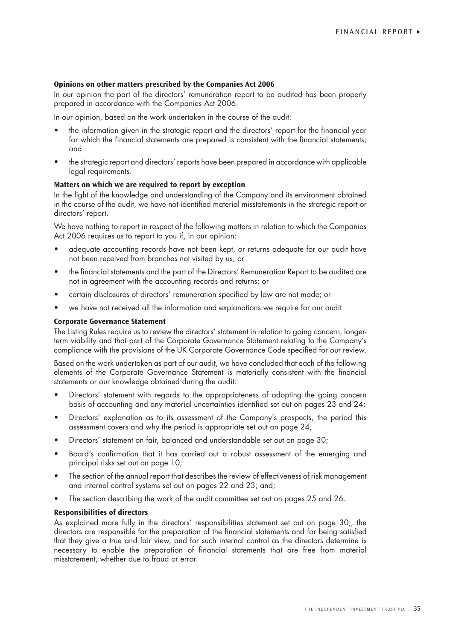#### **Opinions on other matters prescribed by the Companies Act 2006**

In our opinion the part of the directors' remuneration report to be audited has been properly prepared in accordance with the Companies Act 2006.

In our opinion, based on the work undertaken in the course of the audit:

- the information given in the strategic report and the directors' report for the financial year for which the financial statements are prepared is consistent with the financial statements; and
- the strategic report and directors' reports have been prepared in accordance with applicable legal requirements.

#### **Matters on which we are required to report by exception**

In the light of the knowledge and understanding of the Company and its environment obtained in the course of the audit, we have not identified material misstatements in the strategic report or directors' report.

We have nothing to report in respect of the following matters in relation to which the Companies Act 2006 requires us to report to you if, in our opinion:

- adequate accounting records have not been kept, or returns adequate for our audit have not been received from branches not visited by us; or
- the financial statements and the part of the Directors' Remuneration Report to be audited are not in agreement with the accounting records and returns; or
- certain disclosures of directors' remuneration specified by law are not made; or
- we have not received all the information and explanations we require for our audit

### **Corporate Governance Statement**

The Listing Rules require us to review the directors' statement in relation to going concern, longerterm viability and that part of the Corporate Governance Statement relating to the Company's compliance with the provisions of the UK Corporate Governance Code specified for our review.

Based on the work undertaken as part of our audit, we have concluded that each of the following elements of the Corporate Governance Statement is materially consistent with the financial statements or our knowledge obtained during the audit:

- Directors' statement with regards to the appropriateness of adopting the going concern basis of accounting and any material uncertainties identified set out on pages 23 and 24;
- Directors' explanation as to its assessment of the Company's prospects, the period this assessment covers and why the period is appropriate set out on page 24;
- Directors' statement on fair, balanced and understandable set out on page 30;
- Board's confirmation that it has carried out a robust assessment of the emerging and principal risks set out on page 10;
- The section of the annual report that describes the review of effectiveness of risk management and internal control systems set out on pages 22 and 23; and;
- The section describing the work of the audit committee set out on pages 25 and 26.

#### **Responsibilities of directors**

As explained more fully in the directors' responsibilities statement set out on page 30;, the directors are responsible for the preparation of the financial statements and for being satisfied that they give a true and fair view, and for such internal control as the directors determine is necessary to enable the preparation of financial statements that are free from material misstatement, whether due to fraud or error.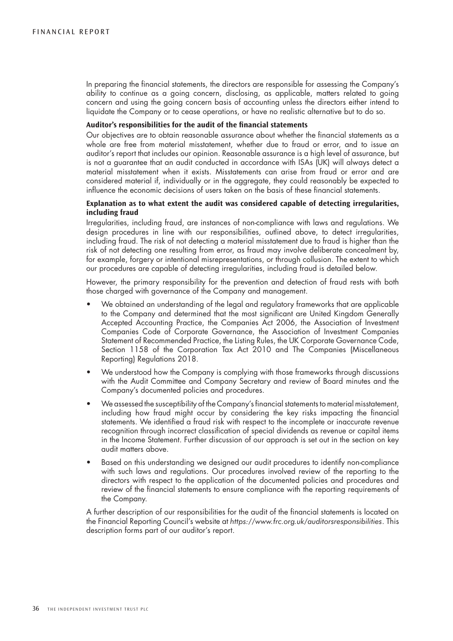In preparing the financial statements, the directors are responsible for assessing the Company's ability to continue as a going concern, disclosing, as applicable, matters related to going concern and using the going concern basis of accounting unless the directors either intend to liquidate the Company or to cease operations, or have no realistic alternative but to do so.

#### **Auditor's responsibilities for the audit of the financial statements**

Our objectives are to obtain reasonable assurance about whether the financial statements as a whole are free from material misstatement, whether due to fraud or error, and to issue an auditor's report that includes our opinion. Reasonable assurance is a high level of assurance, but is not a guarantee that an audit conducted in accordance with ISAs (UK) will always detect a material misstatement when it exists. Misstatements can arise from fraud or error and are considered material if, individually or in the aggregate, they could reasonably be expected to influence the economic decisions of users taken on the basis of these financial statements.

# **Explanation as to what extent the audit was considered capable of detecting irregularities, including fraud**

Irregularities, including fraud, are instances of non-compliance with laws and regulations. We design procedures in line with our responsibilities, outlined above, to detect irregularities, including fraud. The risk of not detecting a material misstatement due to fraud is higher than the risk of not detecting one resulting from error, as fraud may involve deliberate concealment by, for example, forgery or intentional misrepresentations, or through collusion. The extent to which our procedures are capable of detecting irregularities, including fraud is detailed below.

However, the primary responsibility for the prevention and detection of fraud rests with both those charged with governance of the Company and management.

- We obtained an understanding of the legal and regulatory frameworks that are applicable to the Company and determined that the most significant are United Kingdom Generally Accepted Accounting Practice, the Companies Act 2006, the Association of Investment Companies Code of Corporate Governance, the Association of Investment Companies Statement of Recommended Practice, the Listing Rules, the UK Corporate Governance Code, Section 1158 of the Corporation Tax Act 2010 and The Companies (Miscellaneous Reporting) Regulations 2018.
- We understood how the Company is complying with those frameworks through discussions with the Audit Committee and Company Secretary and review of Board minutes and the Company's documented policies and procedures.
- We assessed the susceptibility of the Company's financial statements to material misstatement, including how fraud might occur by considering the key risks impacting the financial statements. We identified a fraud risk with respect to the incomplete or inaccurate revenue recognition through incorrect classification of special dividends as revenue or capital items in the Income Statement. Further discussion of our approach is set out in the section on key audit matters above.
- Based on this understanding we designed our audit procedures to identify non-compliance with such laws and regulations. Our procedures involved review of the reporting to the directors with respect to the application of the documented policies and procedures and review of the financial statements to ensure compliance with the reporting requirements of the Company.

A further description of our responsibilities for the audit of the financial statements is located on the Financial Reporting Council's website at *https://www.frc.org.uk/auditorsresponsibilities*. This description forms part of our auditor's report.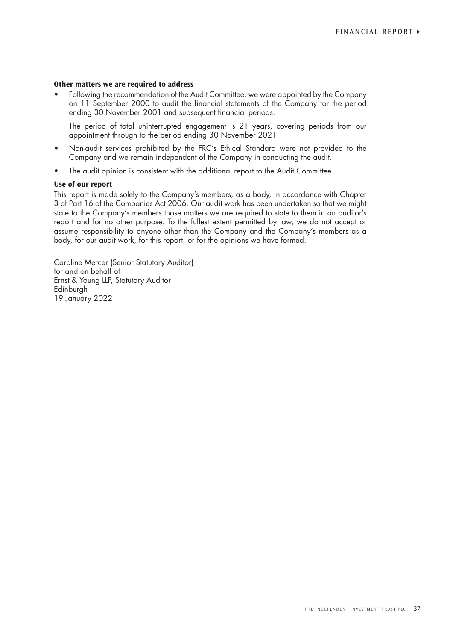# **Other matters we are required to address**

• Following the recommendation of the Audit Committee, we were appointed by the Company on 11 September 2000 to audit the financial statements of the Company for the period ending 30 November 2001 and subsequent financial periods.

The period of total uninterrupted engagement is 21 years, covering periods from our appointment through to the period ending 30 November 2021.

- Non-audit services prohibited by the FRC's Ethical Standard were not provided to the Company and we remain independent of the Company in conducting the audit.
- The audit opinion is consistent with the additional report to the Audit Committee

# **Use of our report**

This report is made solely to the Company's members, as a body, in accordance with Chapter 3 of Part 16 of the Companies Act 2006. Our audit work has been undertaken so that we might state to the Company's members those matters we are required to state to them in an auditor's report and for no other purpose. To the fullest extent permitted by law, we do not accept or assume responsibility to anyone other than the Company and the Company's members as a body, for our audit work, for this report, or for the opinions we have formed.

Caroline Mercer (Senior Statutory Auditor) for and on behalf of Ernst & Young LLP, Statutory Auditor Edinburgh 19 January 2022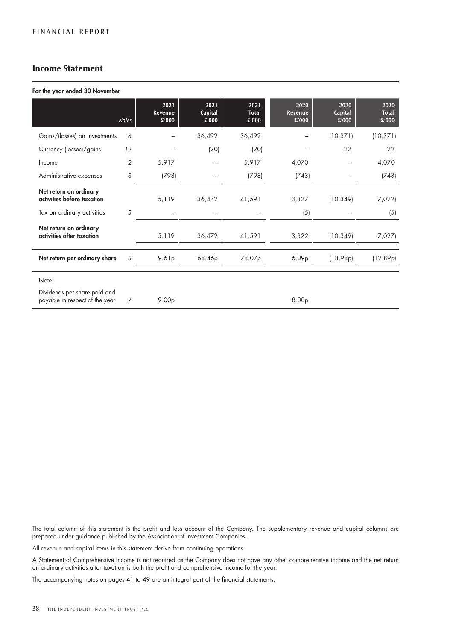# **Income Statement**

#### For the year ended 30 November

|                                                                | <b>Notes</b>   | 2021<br><b>Revenue</b><br>£'000 | 2021<br>Capital<br>£'000 | 2021<br><b>Total</b><br>£'000 | 2020<br>Revenue<br>£'000 | 2020<br>Capital<br>$\pounds$ '000 | 2020<br><b>Total</b><br>£'000 |
|----------------------------------------------------------------|----------------|---------------------------------|--------------------------|-------------------------------|--------------------------|-----------------------------------|-------------------------------|
| Gains/(losses) on investments                                  | 8              |                                 | 36,492                   | 36,492                        |                          | (10, 371)                         | (10, 371)                     |
| Currency (losses)/gains                                        | 12             |                                 | (20)                     | (20)                          |                          | 22                                | 22                            |
| Income                                                         | $\overline{2}$ | 5,917                           | -                        | 5,917                         | 4,070                    |                                   | 4,070                         |
| Administrative expenses                                        | 3              | (798)                           |                          | (798)                         | (743)                    |                                   | (743)                         |
| Net return on ordinary<br>activities before taxation           |                | 5,119                           | 36,472                   | 41,591                        | 3,327                    | (10, 349)                         | (7,022)                       |
| Tax on ordinary activities                                     | 5              |                                 |                          |                               | (5)                      |                                   | (5)                           |
| Net return on ordinary<br>activities after taxation            |                | 5,119                           | 36,472                   | 41,591                        | 3,322                    | (10, 349)                         | (7,027)                       |
| Net return per ordinary share                                  | 6              | 9.61p                           | 68.46p                   | 78.07p                        | 6.09p                    | (18.98p)                          | (12.89p)                      |
| Note:                                                          |                |                                 |                          |                               |                          |                                   |                               |
| Dividends per share paid and<br>payable in respect of the year | 7              | 9.00 <sub>p</sub>               |                          |                               | 8.00p                    |                                   |                               |

The total column of this statement is the profit and loss account of the Company. The supplementary revenue and capital columns are prepared under guidance published by the Association of Investment Companies.

All revenue and capital items in this statement derive from continuing operations.

A Statement of Comprehensive Income is not required as the Company does not have any other comprehensive income and the net return on ordinary activities after taxation is both the profit and comprehensive income for the year.

The accompanying notes on pages 41 to 49 are an integral part of the financial statements.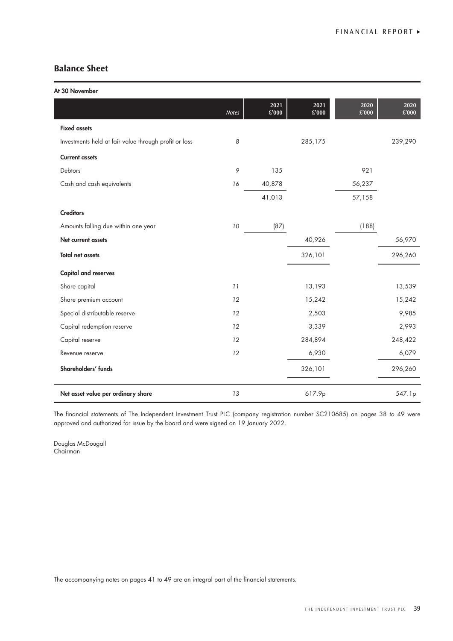# **Balance Sheet**

At 30 November

| <b>OO I JOYGIIIDGI</b>                                |              |                       |                       |               |               |
|-------------------------------------------------------|--------------|-----------------------|-----------------------|---------------|---------------|
|                                                       | <b>Notes</b> | 2021<br>$\pounds'000$ | 2021<br>$\pounds'000$ | 2020<br>£'000 | 2020<br>£'000 |
| <b>Fixed assets</b>                                   |              |                       |                       |               |               |
| Investments held at fair value through profit or loss | 8            |                       | 285,175               |               | 239,290       |
| <b>Current assets</b>                                 |              |                       |                       |               |               |
| Debtors                                               | 9            | 135                   |                       | 921           |               |
| Cash and cash equivalents                             | 16           | 40,878                |                       | 56,237        |               |
|                                                       |              | 41,013                |                       | 57,158        |               |
| <b>Creditors</b>                                      |              |                       |                       |               |               |
| Amounts falling due within one year                   | 10           | (87)                  |                       | (188)         |               |
| Net current assets                                    |              |                       | 40,926                |               | 56,970        |
| <b>Total net assets</b>                               |              |                       | 326,101               |               | 296,260       |
| <b>Capital and reserves</b>                           |              |                       |                       |               |               |
| Share capital                                         | 11           |                       | 13,193                |               | 13,539        |
| Share premium account                                 | 12           |                       | 15,242                |               | 15,242        |
| Special distributable reserve                         | 12           |                       | 2,503                 |               | 9,985         |
| Capital redemption reserve                            | 12           |                       | 3,339                 |               | 2,993         |
| Capital reserve                                       | 12           |                       | 284,894               |               | 248,422       |
| Revenue reserve                                       | 12           |                       | 6,930                 |               | 6,079         |
| Shareholders' funds                                   |              |                       | 326,101               |               | 296,260       |
| Net asset value per ordinary share                    | 13           |                       | 617.9p                |               | 547.1p        |

The financial statements of The Independent Investment Trust PLC (company registration number SC210685) on pages 38 to 49 were approved and authorized for issue by the board and were signed on 19 January 2022.

Douglas McDougall Chairman

The accompanying notes on pages 41 to 49 are an integral part of the financial statements.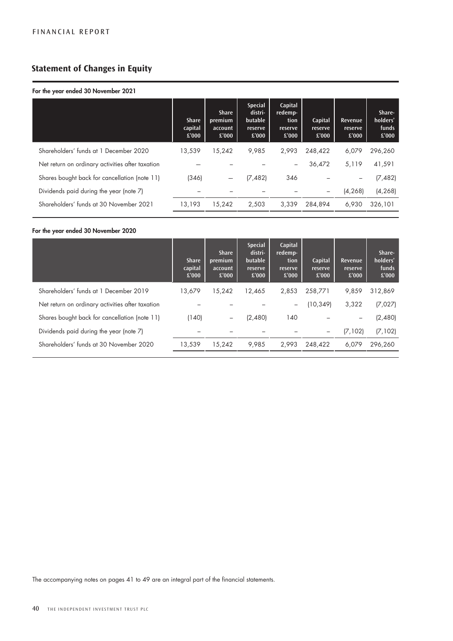# **Statement of Changes in Equity**

# For the year ended 30 November 2021

|                                                  | <b>Share</b><br>capital<br>£'000 | <b>Share</b><br>premium<br>account<br>£'000 | <b>Special</b><br>distri-<br>butable<br>reserve<br>£'000 | Capital<br>redemp-<br>tion<br>reserve<br>£'000 | Capital<br>reserve<br>£'000 | Revenue<br>reserve<br>£'000 | Share-<br>holders'<br>funds<br>£'000 |
|--------------------------------------------------|----------------------------------|---------------------------------------------|----------------------------------------------------------|------------------------------------------------|-----------------------------|-----------------------------|--------------------------------------|
| Shareholders' funds at 1 December 2020           | 13.539                           | 15.242                                      | 9.985                                                    | 2.993                                          | 248.422                     | 6,079                       | 296.260                              |
| Net return on ordinary activities after taxation |                                  |                                             |                                                          | $\qquad \qquad -$                              | 36,472                      | 5.119                       | 41,591                               |
| Shares bought back for cancellation (note 11)    | (346)                            |                                             | (7, 482)                                                 | 346                                            |                             |                             | (7, 482)                             |
| Dividends paid during the year (note 7)          |                                  |                                             |                                                          |                                                |                             | (4, 268)                    | (4, 268)                             |
| Shareholders' funds at 30 November 2021          | 13,193                           | 15,242                                      | 2,503                                                    | 3.339                                          | 284.894                     | 6.930                       | 326,101                              |

# For the year ended 30 November 2020

|                                                  | <b>Share</b><br>capital<br>£'000 | <b>Share</b><br>premium<br>account<br>£'000 | <b>Special</b><br>distri-<br>butable<br>reserve<br>£'000 | Capital<br>redemp-<br>tion<br>reserve<br>£'000 | Capital<br>reserve<br>£'000 | Revenue<br>reserve<br>£'000 | Share-<br>holders'<br>funds<br>£'000 |
|--------------------------------------------------|----------------------------------|---------------------------------------------|----------------------------------------------------------|------------------------------------------------|-----------------------------|-----------------------------|--------------------------------------|
| Shareholders' funds at 1 December 2019           | 13,679                           | 15.242                                      | 12,465                                                   | 2,853                                          | 258,771                     | 9,859                       | 312,869                              |
| Net return on ordinary activities after taxation |                                  |                                             |                                                          | $\qquad \qquad -$                              | (10, 349)                   | 3,322                       | (7,027)                              |
| Shares bought back for cancellation (note 11)    | (140)                            | $\qquad \qquad -$                           | (2,480)                                                  | 140                                            |                             |                             | (2,480)                              |
| Dividends paid during the year (note 7)          |                                  |                                             |                                                          |                                                |                             | (7, 102)                    | (7, 102)                             |
| Shareholders' funds at 30 November 2020          | 13,539                           | 15,242                                      | 9,985                                                    | 2,993                                          | 248,422                     | 6,079                       | 296,260                              |

The accompanying notes on pages 41 to 49 are an integral part of the financial statements.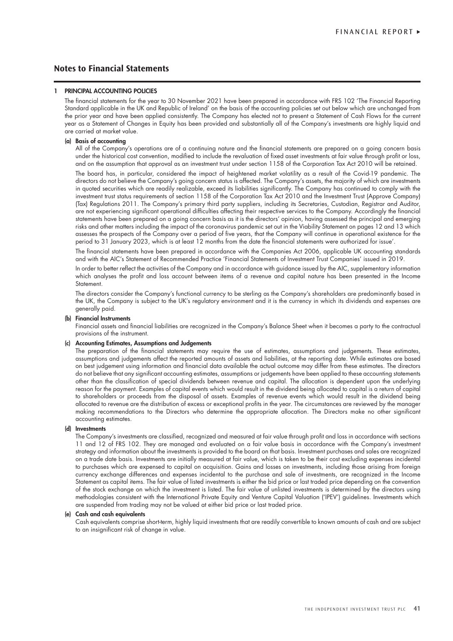# **Notes to Financial Statements**

#### 1 PRINCIPAL ACCOUNTING POLICIES

The financial statements for the year to 30 November 2021 have been prepared in accordance with FRS 102 'The Financial Reporting Standard applicable in the UK and Republic of Ireland' on the basis of the accounting policies set out below which are unchanged from the prior year and have been applied consistently. The Company has elected not to present a Statement of Cash Flows for the current year as a Statement of Changes in Equity has been provided and substantially all of the Company's investments are highly liquid and are carried at market value.

#### (a) Basis of accounting

All of the Company's operations are of a continuing nature and the financial statements are prepared on a going concern basis under the historical cost convention, modified to include the revaluation of fixed asset investments at fair value through profit or loss, and on the assumption that approval as an investment trust under section 1158 of the Corporation Tax Act 2010 will be retained.

The board has, in particular, considered the impact of heightened market volatility as a result of the Covid-19 pandemic. The directors do not believe the Company's going concern status is affected. The Company's assets, the majority of which are investments in quoted securities which are readily realizable, exceed its liabilities significantly. The Company has continued to comply with the investment trust status requirements of section 1158 of the Corporation Tax Act 2010 and the Investment Trust (Approve Company) (Tax) Regulations 2011. The Company's primary third party suppliers, including its Secretaries, Custodian, Registrar and Auditor, are not experiencing significant operational difficulties affecting their respective services to the Company. Accordingly the financial statements have been prepared on a going concern basis as it is the directors' opinion, having assessed the principal and emerging risks and other matters including the impact of the coronavirus pandemic set out in the Viability Statement on pages 12 and 13 which assesses the prospects of the Company over a period of five years, that the Company will continue in operational existence for the period to 31 January 2023, which is at least 12 months from the date the financial statements were authorized for issue'.

The financial statements have been prepared in accordance with the Companies Act 2006, applicable UK accounting standards and with the AIC's Statement of Recommended Practice 'Financial Statements of Investment Trust Companies' issued in 2019.

In order to better reflect the activities of the Company and in accordance with guidance issued by the AIC, supplementary information which analyses the profit and loss account between items of a revenue and capital nature has been presented in the Income Statement.

The directors consider the Company's functional currency to be sterling as the Company's shareholders are predominantly based in the UK, the Company is subject to the UK's regulatory environment and it is the currency in which its dividends and expenses are generally paid.

#### (b) Financial Instruments

Financial assets and financial liabilities are recognized in the Company's Balance Sheet when it becomes a party to the contractual provisions of the instrument.

#### (c) Accounting Estimates, Assumptions and Judgements

The preparation of the financial statements may require the use of estimates, assumptions and judgements. These estimates, assumptions and judgements affect the reported amounts of assets and liabilities, at the reporting date. While estimates are based on best judgement using information and financial data available the actual outcome may differ from these estimates. The directors do not believe that any significant accounting estimates, assumptions or judgements have been applied to these accounting statements other than the classification of special dividends between revenue and capital. The allocation is dependent upon the underlying reason for the payment. Examples of capital events which would result in the dividend being allocated to capital is a return of capital to shareholders or proceeds from the disposal of assets. Examples of revenue events which would result in the dividend being allocated to revenue are the distribution of excess or exceptional profits in the year. The circumstances are reviewed by the manager making recommendations to the Directors who determine the appropriate allocation. The Directors make no other significant accounting estimates.

#### (d) Investments

The Company's investments are classified, recognized and measured at fair value through profit and loss in accordance with sections 11 and 12 of FRS 102. They are managed and evaluated on a fair value basis in accordance with the Company's investment strategy and information about the investments is provided to the board on that basis. Investment purchases and sales are recognized on a trade date basis. Investments are initially measured at fair value, which is taken to be their cost excluding expenses incidental to purchases which are expensed to capital on acquisition. Gains and losses on investments, including those arising from foreign currency exchange differences and expenses incidental to the purchase and sale of investments, are recognized in the Income Statement as capital items. The fair value of listed investments is either the bid price or last traded price depending on the convention of the stock exchange on which the investment is listed. The fair value of unlisted investments is determined by the directors using methodologies consistent with the International Private Equity and Venture Capital Valuation ('IPEV') guidelines. Investments which are suspended from trading may not be valued at either bid price or last traded price.

#### (e) Cash and cash equivalents

Cash equivalents comprise short-term, highly liquid investments that are readily convertible to known amounts of cash and are subject to an insignificant risk of change in value.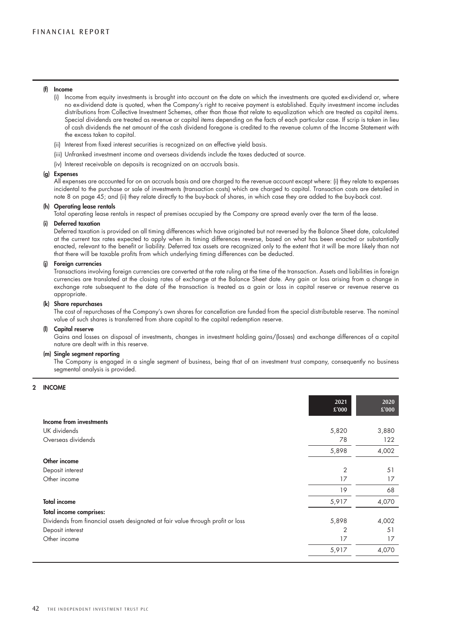#### (f) Income

- (i) Income from equity investments is brought into account on the date on which the investments are quoted ex-dividend or, where no ex-dividend date is quoted, when the Company's right to receive payment is established. Equity investment income includes distributions from Collective Investment Schemes, other than those that relate to equalization which are treated as capital items. Special dividends are treated as revenue or capital items depending on the facts of each particular case. If scrip is taken in lieu of cash dividends the net amount of the cash dividend foregone is credited to the revenue column of the Income Statement with the excess taken to capital.
- (ii) Interest from fixed interest securities is recognized on an effective yield basis.
- (iii) Unfranked investment income and overseas dividends include the taxes deducted at source.
- (iv) Interest receivable on deposits is recognized on an accruals basis.

#### (g) Expenses

All expenses are accounted for on an accruals basis and are charged to the revenue account except where: (i) they relate to expenses incidental to the purchase or sale of investments (transaction costs) which are charged to capital. Transaction costs are detailed in note 8 on page 45; and (ii) they relate directly to the buy-back of shares, in which case they are added to the buy-back cost.

#### (h) Operating lease rentals

Total operating lease rentals in respect of premises occupied by the Company are spread evenly over the term of the lease.

#### (i) Deferred taxation

Deferred taxation is provided on all timing differences which have originated but not reversed by the Balance Sheet date, calculated at the current tax rates expected to apply when its timing differences reverse, based on what has been enacted or substantially enacted, relevant to the benefit or liability. Deferred tax assets are recognized only to the extent that it will be more likely than not that there will be taxable profits from which underlying timing differences can be deducted.

#### (j) Foreign currencies

Transactions involving foreign currencies are converted at the rate ruling at the time of the transaction. Assets and liabilities in foreign currencies are translated at the closing rates of exchange at the Balance Sheet date. Any gain or loss arising from a change in exchange rate subsequent to the date of the transaction is treated as a gain or loss in capital reserve or revenue reserve as appropriate.

#### (k) Share repurchases

The cost of repurchases of the Company's own shares for cancellation are funded from the special distributable reserve. The nominal value of such shares is transferred from share capital to the capital redemption reserve.

#### (l) Capital reserve

Gains and losses on disposal of investments, changes in investment holding gains/(losses) and exchange differences of a capital nature are dealt with in this reserve.

#### (m) Single segment reporting

The Company is engaged in a single segment of business, being that of an investment trust company, consequently no business segmental analysis is provided.

#### 2 INCOME

|                                                                                 | 2021<br>£'000  | 2020<br>£'000 |
|---------------------------------------------------------------------------------|----------------|---------------|
| Income from investments                                                         |                |               |
| UK dividends                                                                    | 5,820          | 3,880         |
| Overseas dividends                                                              | 78             | 122           |
|                                                                                 | 5,898          | 4,002         |
| Other income                                                                    |                |               |
| Deposit interest                                                                | $\overline{2}$ | 51            |
| Other income                                                                    | 17             | 17            |
|                                                                                 | 19             | 68            |
| <b>Total income</b>                                                             | 5,917          | 4,070         |
| Total income comprises:                                                         |                |               |
| Dividends from financial assets designated at fair value through profit or loss | 5,898          | 4,002         |
| Deposit interest                                                                | $\overline{2}$ | 51            |
| Other income                                                                    | 17             | 17            |
|                                                                                 | 5,917          | 4,070         |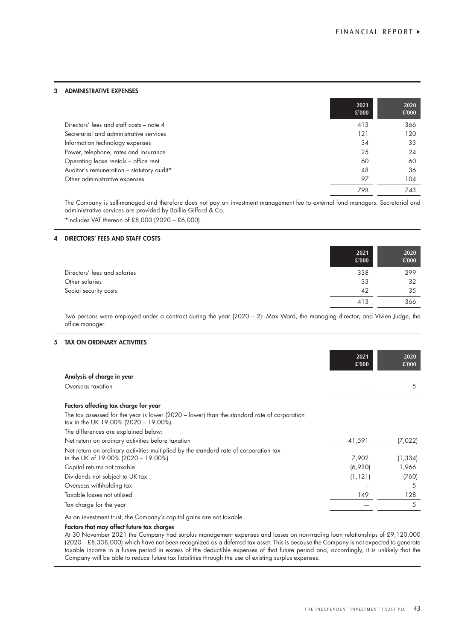#### 3 ADMINISTRATIVE EXPENSES

|                                           | 2021<br>£'000 | 2020<br>£'000 |
|-------------------------------------------|---------------|---------------|
| Directors' fees and staff costs – note 4  | 413           | 366           |
| Secretarial and administrative services   | 121           | 120           |
| Information technology expenses           | 34            | 33            |
| Power, telephone, rates and insurance     | 25            | 24            |
| Operating lease rentals - office rent     | 60            | 60            |
| Auditor's remuneration - statutory audit* | 48            | 36            |
| Other administrative expenses             | 97            | 104           |
|                                           | 798           | 743           |

The Company is self-managed and therefore does not pay an investment management fee to external fund managers. Secretarial and administrative services are provided by Baillie Gifford & Co. \*Includes VAT thereon of £8,000 (2020 – £6,000).

### 4 DIRECTORS' FEES AND STAFF COSTS

|                              | 2021<br>£'000 | 2020<br>£'000 |
|------------------------------|---------------|---------------|
| Directors' fees and salaries | 338           | 299           |
| Other salaries               | 33            | 32            |
| Social security costs        | 42            | 35            |
|                              | 413           | 366           |

Two persons were employed under a contract during the year (2020 – 2): Max Ward, the managing director, and Vivien Judge, the office manager.

#### 5 TAX ON ORDINARY ACTIVITIES

|                                                                                                                                     | 2021<br>£'000 | 2020<br>£'000 |
|-------------------------------------------------------------------------------------------------------------------------------------|---------------|---------------|
| Analysis of charge in year                                                                                                          |               |               |
| Overseas taxation                                                                                                                   |               | 5             |
| Factors affecting tax charge for year                                                                                               |               |               |
| The tax assessed for the year is lower (2020 - lower) than the standard rate of corporation<br>tax in the UK 19.00% (2020 - 19.00%) |               |               |
| The differences are explained below:                                                                                                |               |               |
| Net return on ordinary activities before taxation                                                                                   | 41,591        | (7,022)       |
| Net return on ordinary activities multiplied by the standard rate of corporation tax<br>in the UK of 19.00% (2020 - 19.00%)         | 7,902         | (1, 334)      |
| Capital returns not taxable                                                                                                         | (6,930)       | 1,966         |
| Dividends not subject to UK tax                                                                                                     | (1, 121)      | (760)         |
| Overseas withholding tax                                                                                                            |               | 5             |
| Taxable losses not utilised                                                                                                         | 149           | 128           |
| Tax charge for the year                                                                                                             |               | 5             |

As an investment trust, the Company's capital gains are not taxable.

#### Factors that may affect future tax charges

At 30 November 2021 the Company had surplus management expenses and losses on non-trading loan relationships of £9,120,000 (2020 – £8,338,000) which have not been recognized as a deferred tax asset. This is because the Company is not expected to generate taxable income in a future period in excess of the deductible expenses of that future period and, accordingly, it is unlikely that the Company will be able to reduce future tax liabilities through the use of existing surplus expenses.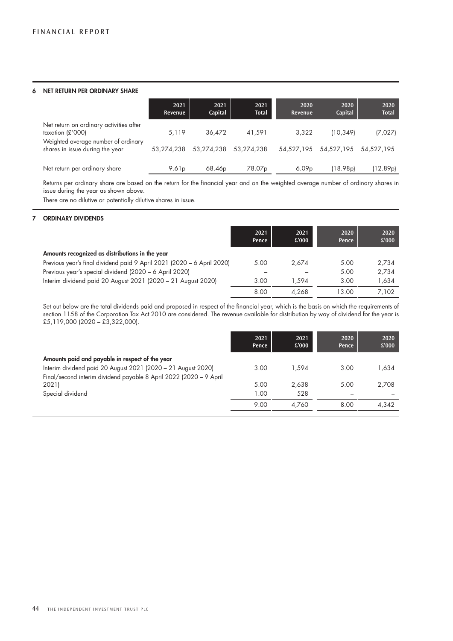#### 6 NET RETURN PER ORDINARY SHARE

|                                                                                                    | 2021<br>Revenue   | 2021<br>Capital    | 2021<br><b>Total</b> | 2020<br>Revenue   | 2020<br>Capital                  | 2020<br><b>Total</b> |
|----------------------------------------------------------------------------------------------------|-------------------|--------------------|----------------------|-------------------|----------------------------------|----------------------|
| Net return on ordinary activities after<br>taxation $E'000$<br>Weighted average number of ordinary | 5,119             | 36.472             | 41.591               | 3.322             | (10.349)                         | (7,027)              |
| shares in issue during the year                                                                    | 53.274.238        | 53.274.238         | 53.274.238           |                   | 54.527.195 54.527.195 54.527.195 |                      |
| Net return per ordinary share                                                                      | 9.61 <sub>p</sub> | 68.46 <sub>p</sub> | 78.07 <sub>p</sub>   | 6.09 <sub>p</sub> | (18.98p)                         | (12.89p)             |

Returns per ordinary share are based on the return for the financial year and on the weighted average number of ordinary shares in issue during the year as shown above.

There are no dilutive or potentially dilutive shares in issue.

#### 7 ORDINARY DIVIDENDS

|                                                                        | 2021<br>Pence | 2021<br>£'000 | 2020<br>Pence | 2020<br>£'000 |
|------------------------------------------------------------------------|---------------|---------------|---------------|---------------|
| Amounts recognized as distributions in the year                        |               |               |               |               |
| Previous year's final dividend paid 9 April 2021 (2020 - 6 April 2020) | 5.00          | 2.674         | 5.00          | 2,734         |
| Previous year's special dividend (2020 – 6 April 2020)                 |               |               | 5.00          | 2,734         |
| Interim dividend paid 20 August 2021 (2020 - 21 August 2020)           | 3.00          | 1.594         | 3.00          | 1,634         |
|                                                                        | 8.00          | 4.268         | 13.00         | 7.102         |

Set out below are the total dividends paid and proposed in respect of the financial year, which is the basis on which the requirements of section 1158 of the Corporation Tax Act 2010 are considered. The revenue available for distribution by way of dividend for the year is £5,119,000 (2020 – £3,322,000).

|                                                                    | 2021<br>Pence | 2021<br>£'000 | 2020<br>Pence | 2020<br>£'000 |
|--------------------------------------------------------------------|---------------|---------------|---------------|---------------|
| Amounts paid and payable in respect of the year                    |               |               |               |               |
| Interim dividend paid 20 August 2021 (2020 - 21 August 2020)       | 3.00          | 1.594         | 3.00          | 634. ا        |
| Final/second interim dividend payable 8 April 2022 (2020 - 9 April |               |               |               |               |
| 2021)                                                              | 5.00          | 2.638         | 5.00          | 2,708         |
| Special dividend                                                   | 1.00          | 528           |               |               |
|                                                                    | 9.00          | 4.760         | 8.00          | 4.342         |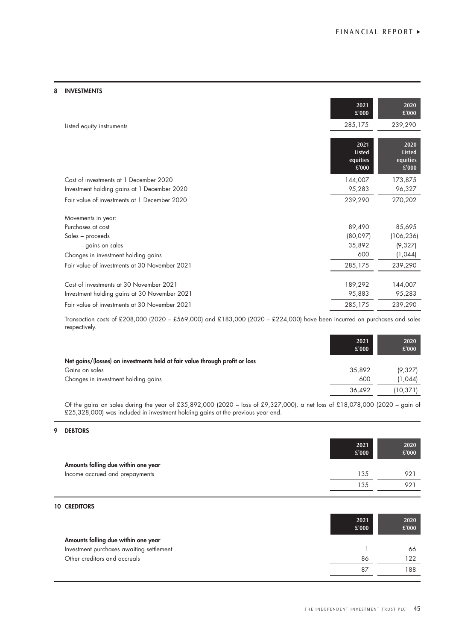#### 8 INVESTMENTS

|                                               | 2021<br>£'000                              | 2020<br>£'000                              |
|-----------------------------------------------|--------------------------------------------|--------------------------------------------|
| Listed equity instruments                     | 285,175                                    | 239,290                                    |
|                                               |                                            |                                            |
|                                               | 2021<br><b>Listed</b><br>equities<br>£'000 | 2020<br><b>Listed</b><br>equities<br>£'000 |
| Cost of investments at 1 December 2020        | 144,007                                    | 173,875                                    |
| Investment holding gains at 1 December 2020   | 95,283                                     | 96,327                                     |
| Fair value of investments at 1 December 2020  | 239,290                                    | 270,202                                    |
| Movements in year:                            |                                            |                                            |
| Purchases at cost                             | 89,490                                     | 85,695                                     |
| Sales – proceeds                              | (80,097)                                   | (106, 236)                                 |
| - gains on sales                              | 35,892                                     | (9,327)                                    |
| Changes in investment holding gains           | 600                                        | (1,044)                                    |
| Fair value of investments at 30 November 2021 | 285,175                                    | 239,290                                    |
| Cost of investments at 30 November 2021       | 189,292                                    | 144,007                                    |
| Investment holding gains at 30 November 2021  | 95,883                                     | 95,283                                     |
| Fair value of investments at 30 November 2021 | 285,175                                    | 239,290                                    |

Transaction costs of £208,000 (2020 – £569,000) and £183,000 (2020 – £224,000) have been incurred on purchases and sales respectively.

| £'000                                                                       | £'000    |
|-----------------------------------------------------------------------------|----------|
| Net gains/(losses) on investments held at fair value through profit or loss |          |
| 35,892<br>Gains on sales                                                    | (9,327)  |
| Changes in investment holding gains<br>600                                  | (1,044)  |
| 36.492                                                                      | (10,371) |

Of the gains on sales during the year of £35,892,000 (2020 – loss of £9,327,000), a net loss of £18,078,000 (2020 – gain of £25,328,000) was included in investment holding gains at the previous year end.

# 9 DEBTORS

|                                          | 2021<br>£'000 | 2020<br>£'000 |
|------------------------------------------|---------------|---------------|
| Amounts falling due within one year      |               |               |
| Income accrued and prepayments           | 135           | 921           |
|                                          | 135           | 921           |
|                                          |               |               |
| <b>10 CREDITORS</b>                      |               |               |
|                                          | 2021<br>£'000 | 2020<br>£'000 |
| Amounts falling due within one year      |               |               |
| Investment purchases awaiting settlement |               | 66            |
| Other creditors and accruals             | 86            | 122           |
|                                          | 87            | 188           |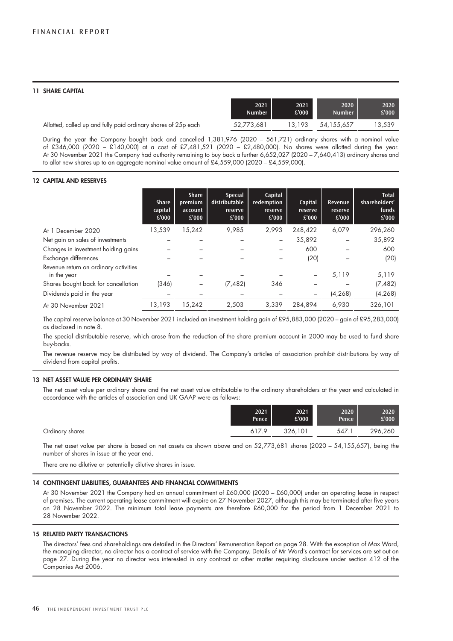#### 11 SHARE CAPITAL

|                                                                | 2021          | 2021   | 2020          | 2020   |
|----------------------------------------------------------------|---------------|--------|---------------|--------|
|                                                                | <b>Number</b> | £'000  | <b>Number</b> | £'000  |
| Allotted, called up and fully paid ordinary shares of 25p each | 52.773.681    | 13.193 | 54.155.657    | 13,539 |

During the year the Company bought back and cancelled 1,381,976 (2020 – 561,721) ordinary shares with a nominal value of £346,000 (2020 – £140,000) at a cost of £7,481,521 (2020 – £2,480,000). No shares were allotted during the year. At 30 November 2021 the Company had authority remaining to buy back a further 6,652,027 (2020 – 7,640,413) ordinary shares and to allot new shares up to an aggregate nominal value amount of £4,559,000 (2020 – £4,559,000).

#### 12 CAPITAL AND RESERVES

|                                                      | <b>Share</b><br>capital<br>£'000 | <b>Share</b><br>premium<br>account<br>£'000 | <b>Special</b><br>distributable<br>reserve<br>£'000 | Capital<br>redemption<br>reserve<br>£'000 | Capital<br>reserve<br>£'000 | Revenue<br>reserve<br>£'000 | <b>Total</b><br>shareholders'<br>funds<br>£'000 |
|------------------------------------------------------|----------------------------------|---------------------------------------------|-----------------------------------------------------|-------------------------------------------|-----------------------------|-----------------------------|-------------------------------------------------|
| At 1 December 2020                                   | 13,539                           | 15,242                                      | 9.985                                               | 2.993                                     | 248,422                     | 6,079                       | 296,260                                         |
| Net gain on sales of investments                     |                                  |                                             |                                                     |                                           | 35,892                      |                             | 35,892                                          |
| Changes in investment holding gains                  |                                  |                                             |                                                     |                                           | 600                         |                             | 600                                             |
| Exchange differences                                 |                                  |                                             |                                                     |                                           | (20)                        |                             | (20)                                            |
| Revenue return on ordinary activities<br>in the year |                                  |                                             |                                                     |                                           |                             | 5,119                       | 5,119                                           |
| Shares bought back for cancellation                  | (346)                            |                                             | (7, 482)                                            | 346                                       |                             |                             | (7, 482)                                        |
| Dividends paid in the year                           |                                  |                                             |                                                     |                                           |                             | (4, 268)                    | (4, 268)                                        |
| At 30 November 2021                                  | 13.193                           | 15.242                                      | 2.503                                               | 3.339                                     | 284.894                     | 6.930                       | 326,101                                         |

The capital reserve balance at 30 November 2021 included an investment holding gain of £95,883,000 (2020 – gain of £95,283,000) as disclosed in note 8.

The special distributable reserve, which arose from the reduction of the share premium account in 2000 may be used to fund share buy-backs.

The revenue reserve may be distributed by way of dividend. The Company's articles of association prohibit distributions by way of dividend from capital profits.

#### 13 NET ASSET VALUE PER ORDINARY SHARE

The net asset value per ordinary share and the net asset value attributable to the ordinary shareholders at the year end calculated in accordance with the articles of association and UK GAAP were as follows:

| Pence                    | £'000   | Pence | £'000'  |
|--------------------------|---------|-------|---------|
| Ordinary shares<br>617.9 | 326,101 | 547.1 | 296,260 |

The net asset value per share is based on net assets as shown above and on 52,773,681 shares (2020 – 54,155,657), being the number of shares in issue at the year end.

There are no dilutive or potentially dilutive shares in issue.

#### 14 CONTINGENT LIABILITIES, GUARANTEES AND FINANCIAL COMMITMENTS

At 30 November 2021 the Company had an annual commitment of £60,000 (2020 – £60,000) under an operating lease in respect of premises. The current operating lease commitment will expire on 27 November 2027, although this may be terminated after five years on 28 November 2022. The minimum total lease payments are therefore £60,000 for the period from 1 December 2021 to 28 November 2022.

#### 15 RELATED PARTY TRANSACTIONS

The directors' fees and shareholdings are detailed in the Directors' Remuneration Report on page 28. With the exception of Max Ward, the managing director, no director has a contract of service with the Company. Details of Mr Ward's contract for services are set out on page 27. During the year no director was interested in any contract or other matter requiring disclosure under section 412 of the Companies Act 2006.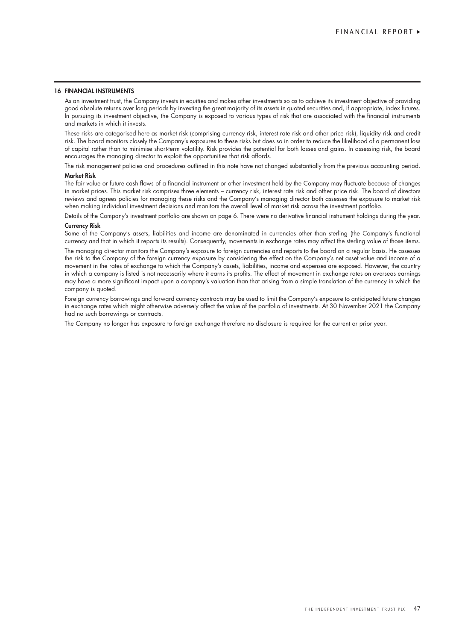#### 16 FINANCIAL INSTRUMENTS

As an investment trust, the Company invests in equities and makes other investments so as to achieve its investment objective of providing good absolute returns over long periods by investing the great majority of its assets in quoted securities and, if appropriate, index futures. In pursuing its investment objective, the Company is exposed to various types of risk that are associated with the financial instruments and markets in which it invests.

These risks are categorised here as market risk (comprising currency risk, interest rate risk and other price risk), liquidity risk and credit risk. The board monitors closely the Company's exposures to these risks but does so in order to reduce the likelihood of a permanent loss of capital rather than to minimise short-term volatility. Risk provides the potential for both losses and gains. In assessing risk, the board encourages the managing director to exploit the opportunities that risk affords.

The risk management policies and procedures outlined in this note have not changed substantially from the previous accounting period. Market Risk

The fair value or future cash flows of a financial instrument or other investment held by the Company may fluctuate because of changes in market prices. This market risk comprises three elements – currency risk, interest rate risk and other price risk. The board of directors reviews and agrees policies for managing these risks and the Company's managing director both assesses the exposure to market risk when making individual investment decisions and monitors the overall level of market risk across the investment portfolio.

Details of the Company's investment portfolio are shown on page 6. There were no derivative financial instrument holdings during the year.

#### Currency Risk

Some of the Company's assets, liabilities and income are denominated in currencies other than sterling (the Company's functional currency and that in which it reports its results). Consequently, movements in exchange rates may affect the sterling value of those items.

The managing director monitors the Company's exposure to foreign currencies and reports to the board on a regular basis. He assesses the risk to the Company of the foreign currency exposure by considering the effect on the Company's net asset value and income of a movement in the rates of exchange to which the Company's assets, liabilities, income and expenses are exposed. However, the country in which a company is listed is not necessarily where it earns its profits. The effect of movement in exchange rates on overseas earnings may have a more significant impact upon a company's valuation than that arising from a simple translation of the currency in which the company is quoted.

Foreign currency borrowings and forward currency contracts may be used to limit the Company's exposure to anticipated future changes in exchange rates which might otherwise adversely affect the value of the portfolio of investments. At 30 November 2021 the Company had no such borrowings or contracts.

The Company no longer has exposure to foreign exchange therefore no disclosure is required for the current or prior year.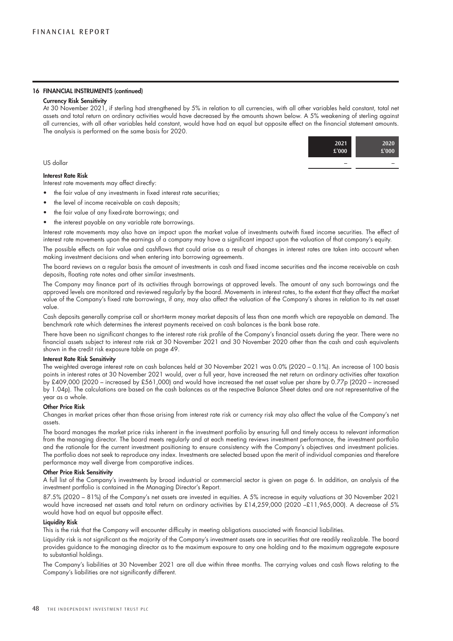#### 16 FINANCIAL INSTRUMENTS (continued)

#### Currency Risk Sensitivity

At 30 November 2021, if sterling had strengthened by 5% in relation to all currencies, with all other variables held constant, total net assets and total return on ordinary activities would have decreased by the amounts shown below. A 5% weakening of sterling against all currencies, with all other variables held constant, would have had an equal but opposite effect on the financial statement amounts. The analysis is performed on the same basis for 2020.



#### Interest Rate Risk

Interest rate movements may affect directly:

- the fair value of any investments in fixed interest rate securities;
- the level of income receivable on cash deposits;
- the fair value of any fixed-rate borrowings; and
- the interest payable on any variable rate borrowings.

Interest rate movements may also have an impact upon the market value of investments outwith fixed income securities. The effect of interest rate movements upon the earnings of a company may have a significant impact upon the valuation of that company's equity.

The possible effects on fair value and cashflows that could arise as a result of changes in interest rates are taken into account when making investment decisions and when entering into borrowing agreements.

The board reviews on a regular basis the amount of investments in cash and fixed income securities and the income receivable on cash deposits, floating rate notes and other similar investments.

The Company may finance part of its activities through borrowings at approved levels. The amount of any such borrowings and the approved levels are monitored and reviewed regularly by the board. Movements in interest rates, to the extent that they affect the market value of the Company's fixed rate borrowings, if any, may also affect the valuation of the Company's shares in relation to its net asset value.

Cash deposits generally comprise call or short-term money market deposits of less than one month which are repayable on demand. The benchmark rate which determines the interest payments received on cash balances is the bank base rate.

There have been no significant changes to the interest rate risk profile of the Company's financial assets during the year. There were no financial assets subject to interest rate risk at 30 November 2021 and 30 November 2020 other than the cash and cash equivalents shown in the credit risk exposure table on page 49.

#### Interest Rate Risk Sensitivity

The weighted average interest rate on cash balances held at 30 November 2021 was 0.0% (2020 – 0.1%). An increase of 100 basis points in interest rates at 30 November 2021 would, over a full year, have increased the net return on ordinary activities after taxation by £409,000 (2020 – increased by £561,000) and would have increased the net asset value per share by 0.77p (2020 – increased by 1.04p). The calculations are based on the cash balances as at the respective Balance Sheet dates and are not representative of the year as a whole.

#### Other Price Risk

Changes in market prices other than those arising from interest rate risk or currency risk may also affect the value of the Company's net assets.

The board manages the market price risks inherent in the investment portfolio by ensuring full and timely access to relevant information from the managing director. The board meets regularly and at each meeting reviews investment performance, the investment portfolio and the rationale for the current investment positioning to ensure consistency with the Company's objectives and investment policies. The portfolio does not seek to reproduce any index. Investments are selected based upon the merit of individual companies and therefore performance may well diverge from comparative indices.

#### Other Price Risk Sensitivity

A full list of the Company's investments by broad industrial or commercial sector is given on page 6. In addition, an analysis of the investment portfolio is contained in the Managing Director's Report.

87.5% (2020 – 81%) of the Company's net assets are invested in equities. A 5% increase in equity valuations at 30 November 2021 would have increased net assets and total return on ordinary activities by £14,259,000 (2020 –£11,965,000). A decrease of 5% would have had an equal but opposite effect.

#### Liquidity Risk

This is the risk that the Company will encounter difficulty in meeting obligations associated with financial liabilities.

Liquidity risk is not significant as the majority of the Company's investment assets are in securities that are readily realizable. The board provides guidance to the managing director as to the maximum exposure to any one holding and to the maximum aggregate exposure to substantial holdings.

The Company's liabilities at 30 November 2021 are all due within three months. The carrying values and cash flows relating to the Company's liabilities are not significantly different.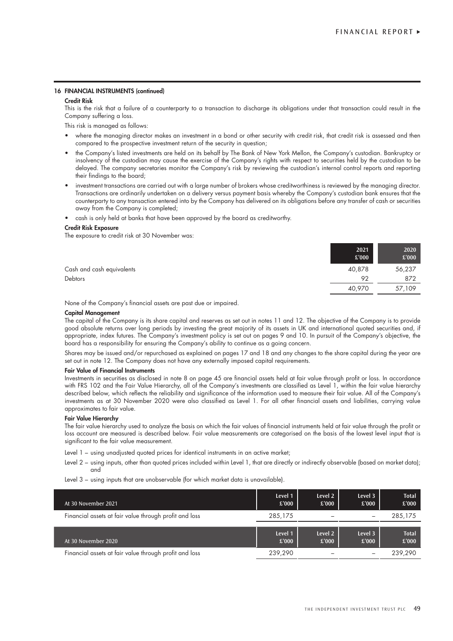#### 16 FINANCIAL INSTRUMENTS (continued)

#### Credit Risk

This is the risk that a failure of a counterparty to a transaction to discharge its obligations under that transaction could result in the Company suffering a loss.

This risk is managed as follows:

- where the managing director makes an investment in a bond or other security with credit risk, that credit risk is assessed and then compared to the prospective investment return of the security in question;
- the Company's listed investments are held on its behalf by The Bank of New York Mellon, the Company's custodian. Bankruptcy or insolvency of the custodian may cause the exercise of the Company's rights with respect to securities held by the custodian to be delayed. The company secretaries monitor the Company's risk by reviewing the custodian's internal control reports and reporting their findings to the board;
- investment transactions are carried out with a large number of brokers whose creditworthiness is reviewed by the managing director. Transactions are ordinarily undertaken on a delivery versus payment basis whereby the Company's custodian bank ensures that the counterparty to any transaction entered into by the Company has delivered on its obligations before any transfer of cash or securities away from the Company is completed;
- cash is only held at banks that have been approved by the board as creditworthy.

#### Credit Risk Exposure

The exposure to credit risk at 30 November was:

|                           | 2021<br>£'000 | 2020<br>£'000 |
|---------------------------|---------------|---------------|
| Cash and cash equivalents | 40,878        | 56,237        |
| <b>Debtors</b>            | 92            | 872           |
|                           | 40,970        | 57,109        |

None of the Company's financial assets are past due or impaired.

#### Capital Management

The capital of the Company is its share capital and reserves as set out in notes 11 and 12. The objective of the Company is to provide good absolute returns over long periods by investing the great majority of its assets in UK and international quoted securities and, if appropriate, index futures. The Company's investment policy is set out on pages 9 and 10. In pursuit of the Company's objective, the board has a responsibility for ensuring the Company's ability to continue as a going concern.

Shares may be issued and/or repurchased as explained on pages 17 and 18 and any changes to the share capital during the year are set out in note 12. The Company does not have any externally imposed capital requirements.

#### Fair Value of Financial Instruments

Investments in securities as disclosed in note 8 on page 45 are financial assets held at fair value through profit or loss. In accordance with FRS 102 and the Fair Value Hierarchy, all of the Company's investments are classified as Level 1, within the fair value hierarchy described below, which reflects the reliability and significance of the information used to measure their fair value. All of the Company's investments as at 30 November 2020 were also classified as Level 1. For all other financial assets and liabilities, carrying value approximates to fair value.

#### Fair Value Hierarchy

The fair value hierarchy used to analyze the basis on which the fair values of financial instruments held at fair value through the profit or loss account are measured is described below. Fair value measurements are categorised on the basis of the lowest level input that is significant to the fair value measurement.

- Level 1 using unadjusted quoted prices for identical instruments in an active market;
- Level 2 using inputs, other than quoted prices included within Level 1, that are directly or indirectly observable (based on market data); and
- Level 3 using inputs that are unobservable (for which market data is unavailable).

| At 30 November 2021                                    | Level 1<br>£'000 | Level 2<br>£'000 | Level 3<br>£'000 | <b>Total</b><br>£'000 |
|--------------------------------------------------------|------------------|------------------|------------------|-----------------------|
| Financial assets at fair value through profit and loss | 285,175          |                  |                  | 285,175               |
|                                                        |                  |                  |                  |                       |
| At 30 November 2020                                    | Level 1<br>£'000 | Level 2<br>£'000 | Level 3<br>£'000 | <b>Total</b><br>£'000 |
| Financial assets at fair value through profit and loss | 239.290          |                  |                  | 239.290               |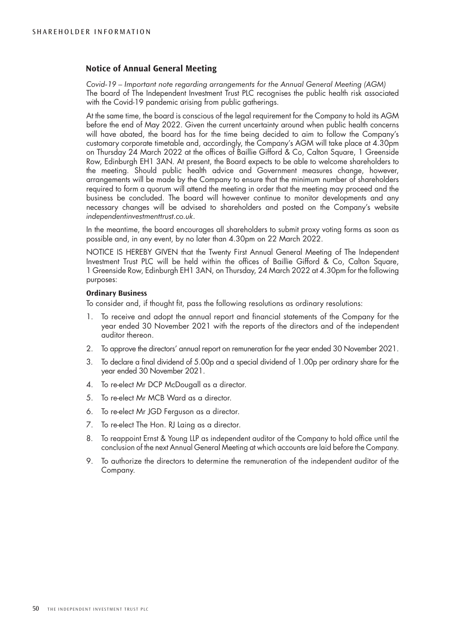# **Notice of Annual General Meeting**

*Covid-19 – Important note regarding arrangements for the Annual General Meeting (AGM)* The board of The Independent Investment Trust PLC recognises the public health risk associated with the Covid-19 pandemic arising from public gatherings.

At the same time, the board is conscious of the legal requirement for the Company to hold its AGM before the end of May 2022. Given the current uncertainty around when public health concerns will have abated, the board has for the time being decided to aim to follow the Company's customary corporate timetable and, accordingly, the Company's AGM will take place at 4.30pm on Thursday 24 March 2022 at the offices of Baillie Gifford & Co, Calton Square, 1 Greenside Row, Edinburgh EH1 3AN. At present, the Board expects to be able to welcome shareholders to the meeting. Should public health advice and Government measures change, however, arrangements will be made by the Company to ensure that the minimum number of shareholders required to form a quorum will attend the meeting in order that the meeting may proceed and the business be concluded. The board will however continue to monitor developments and any necessary changes will be advised to shareholders and posted on the Company's website *independentinvestmenttrust.co.uk*.

In the meantime, the board encourages all shareholders to submit proxy voting forms as soon as possible and, in any event, by no later than 4.30pm on 22 March 2022.

NOTICE IS HEREBY GIVEN that the Twenty First Annual General Meeting of The Independent Investment Trust PLC will be held within the offices of Baillie Gifford & Co, Calton Square, 1 Greenside Row, Edinburgh EH1 3AN, on Thursday, 24 March 2022 at 4.30pm for the following purposes:

### **Ordinary Business**

To consider and, if thought fit, pass the following resolutions as ordinary resolutions:

- 1. To receive and adopt the annual report and financial statements of the Company for the year ended 30 November 2021 with the reports of the directors and of the independent auditor thereon.
- 2. To approve the directors' annual report on remuneration for the year ended 30 November 2021.
- 3. To declare a final dividend of 5.00p and a special dividend of 1.00p per ordinary share for the year ended 30 November 2021.
- 4. To re-elect Mr DCP McDougall as a director.
- 5. To re-elect Mr MCB Ward as a director.
- 6. To re-elect Mr JGD Ferguson as a director.
- 7. To re-elect The Hon. RJ Laing as a director.
- 8. To reappoint Ernst & Young LLP as independent auditor of the Company to hold office until the conclusion of the next Annual General Meeting at which accounts are laid before the Company.
- 9. To authorize the directors to determine the remuneration of the independent auditor of the Company.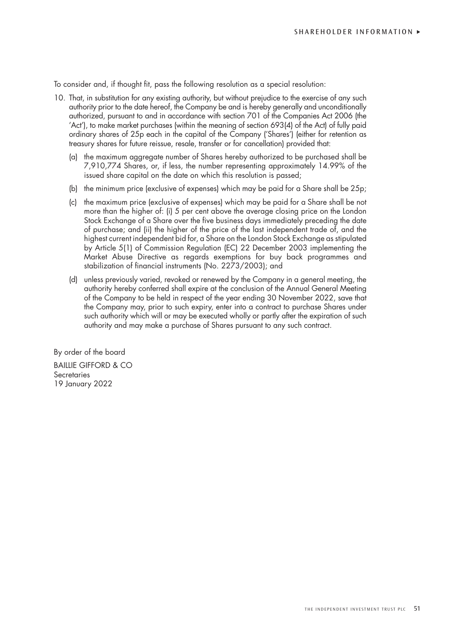To consider and, if thought fit, pass the following resolution as a special resolution:

- 10. That, in substitution for any existing authority, but without prejudice to the exercise of any such authority prior to the date hereof, the Company be and is hereby generally and unconditionally authorized, pursuant to and in accordance with section 701 of the Companies Act 2006 (the 'Act'), to make market purchases (within the meaning of section 693(4) of the Act) of fully paid ordinary shares of 25p each in the capital of the Company ('Shares') (either for retention as treasury shares for future reissue, resale, transfer or for cancellation) provided that:
	- (a) the maximum aggregate number of Shares hereby authorized to be purchased shall be 7,910,774 Shares, or, if less, the number representing approximately 14.99% of the issued share capital on the date on which this resolution is passed;
	- (b) the minimum price (exclusive of expenses) which may be paid for a Share shall be 25p;
	- (c) the maximum price (exclusive of expenses) which may be paid for a Share shall be not more than the higher of: (i) 5 per cent above the average closing price on the London Stock Exchange of a Share over the five business days immediately preceding the date of purchase; and (ii) the higher of the price of the last independent trade of, and the highest current independent bid for, a Share on the London Stock Exchange as stipulated by Article 5(1) of Commission Regulation (EC) 22 December 2003 implementing the Market Abuse Directive as regards exemptions for buy back programmes and stabilization of financial instruments (No. 2273/2003); and
	- (d) unless previously varied, revoked or renewed by the Company in a general meeting, the authority hereby conferred shall expire at the conclusion of the Annual General Meeting of the Company to be held in respect of the year ending 30 November 2022, save that the Company may, prior to such expiry, enter into a contract to purchase Shares under such authority which will or may be executed wholly or partly after the expiration of such authority and may make a purchase of Shares pursuant to any such contract.

By order of the board BAILLIE GIFFORD & CO **Secretaries** 19 January 2022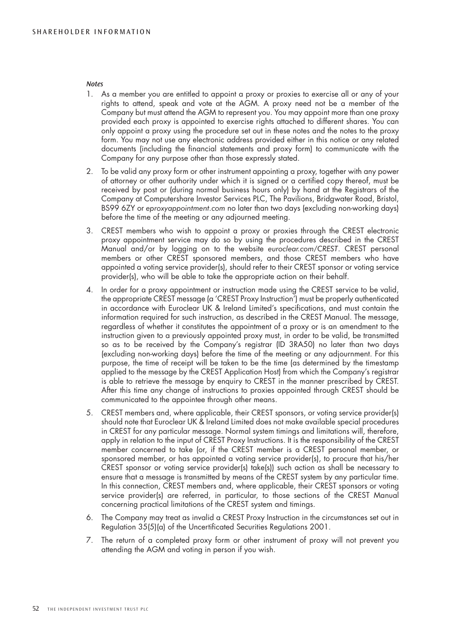#### *Notes*

- 1. As a member you are entitled to appoint a proxy or proxies to exercise all or any of your rights to attend, speak and vote at the AGM. A proxy need not be a member of the Company but must attend the AGM to represent you. You may appoint more than one proxy provided each proxy is appointed to exercise rights attached to different shares. You can only appoint a proxy using the procedure set out in these notes and the notes to the proxy form. You may not use any electronic address provided either in this notice or any related documents (including the financial statements and proxy form) to communicate with the Company for any purpose other than those expressly stated.
- 2. To be valid any proxy form or other instrument appointing a proxy, together with any power of attorney or other authority under which it is signed or a certified copy thereof, must be received by post or (during normal business hours only) by hand at the Registrars of the Company at Computershare Investor Services PLC, The Pavilions, Bridgwater Road, Bristol, BS99 6ZY or *eproxyappointment.com* no later than two days (excluding non-working days) before the time of the meeting or any adjourned meeting.
- 3. CREST members who wish to appoint a proxy or proxies through the CREST electronic proxy appointment service may do so by using the procedures described in the CREST Manual and/or by logging on to the website *euroclear.com/CREST*. CREST personal members or other CREST sponsored members, and those CREST members who have appointed a voting service provider(s), should refer to their CREST sponsor or voting service provider(s), who will be able to take the appropriate action on their behalf.
- 4. In order for a proxy appointment or instruction made using the CREST service to be valid, the appropriate CREST message (a 'CREST Proxy Instruction') must be properly authenticated in accordance with Euroclear UK & Ireland Limited's specifications, and must contain the information required for such instruction, as described in the CREST Manual. The message, regardless of whether it constitutes the appointment of a proxy or is an amendment to the instruction given to a previously appointed proxy must, in order to be valid, be transmitted so as to be received by the Company's registrar (ID 3RA50) no later than two days (excluding non-working days) before the time of the meeting or any adjournment. For this purpose, the time of receipt will be taken to be the time (as determined by the timestamp applied to the message by the CREST Application Host) from which the Company's registrar is able to retrieve the message by enquiry to CREST in the manner prescribed by CREST. After this time any change of instructions to proxies appointed through CREST should be communicated to the appointee through other means.
- 5. CREST members and, where applicable, their CREST sponsors, or voting service provider(s) should note that Euroclear UK & Ireland Limited does not make available special procedures in CREST for any particular message. Normal system timings and limitations will, therefore, apply in relation to the input of CREST Proxy Instructions. It is the responsibility of the CREST member concerned to take (or, if the CREST member is a CREST personal member, or sponsored member, or has appointed a voting service provider(s), to procure that his/her CREST sponsor or voting service provider(s) take(s)) such action as shall be necessary to ensure that a message is transmitted by means of the CREST system by any particular time. In this connection, CREST members and, where applicable, their CREST sponsors or voting service provider(s) are referred, in particular, to those sections of the CREST Manual concerning practical limitations of the CREST system and timings.
- 6. The Company may treat as invalid a CREST Proxy Instruction in the circumstances set out in Regulation 35(5)(a) of the Uncertificated Securities Regulations 2001.
- 7. The return of a completed proxy form or other instrument of proxy will not prevent you attending the AGM and voting in person if you wish.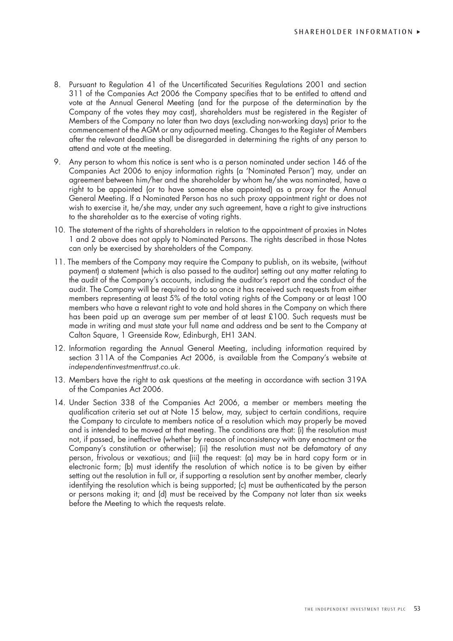- 8. Pursuant to Regulation 41 of the Uncertificated Securities Regulations 2001 and section 311 of the Companies Act 2006 the Company specifies that to be entitled to attend and vote at the Annual General Meeting (and for the purpose of the determination by the Company of the votes they may cast), shareholders must be registered in the Register of Members of the Company no later than two days (excluding non-working days) prior to the commencement of the AGM or any adjourned meeting. Changes to the Register of Members after the relevant deadline shall be disregarded in determining the rights of any person to attend and vote at the meeting.
- 9. Any person to whom this notice is sent who is a person nominated under section 146 of the Companies Act 2006 to enjoy information rights (a 'Nominated Person') may, under an agreement between him/her and the shareholder by whom he/she was nominated, have a right to be appointed (or to have someone else appointed) as a proxy for the Annual General Meeting. If a Nominated Person has no such proxy appointment right or does not wish to exercise it, he/she may, under any such agreement, have a right to give instructions to the shareholder as to the exercise of voting rights.
- 10. The statement of the rights of shareholders in relation to the appointment of proxies in Notes 1 and 2 above does not apply to Nominated Persons. The rights described in those Notes can only be exercised by shareholders of the Company.
- 11. The members of the Company may require the Company to publish, on its website, (without payment) a statement (which is also passed to the auditor) setting out any matter relating to the audit of the Company's accounts, including the auditor's report and the conduct of the audit. The Company will be required to do so once it has received such requests from either members representing at least 5% of the total voting rights of the Company or at least 100 members who have a relevant right to vote and hold shares in the Company on which there has been paid up an average sum per member of at least £100. Such requests must be made in writing and must state your full name and address and be sent to the Company at Calton Square, 1 Greenside Row, Edinburgh, EH1 3AN.
- 12. Information regarding the Annual General Meeting, including information required by section 311A of the Companies Act 2006, is available from the Company's website at *independentinvestmenttrust.co.uk*.
- 13. Members have the right to ask questions at the meeting in accordance with section 319A of the Companies Act 2006.
- 14. Under Section 338 of the Companies Act 2006, a member or members meeting the qualification criteria set out at Note 15 below, may, subject to certain conditions, require the Company to circulate to members notice of a resolution which may properly be moved and is intended to be moved at that meeting. The conditions are that: (i) the resolution must not, if passed, be ineffective (whether by reason of inconsistency with any enactment or the Company's constitution or otherwise); (ii) the resolution must not be defamatory of any person, frivolous or vexatious; and (iii) the request: (a) may be in hard copy form or in electronic form; (b) must identify the resolution of which notice is to be given by either setting out the resolution in full or, if supporting a resolution sent by another member, clearly identifying the resolution which is being supported; (c) must be authenticated by the person or persons making it; and (d) must be received by the Company not later than six weeks before the Meeting to which the requests relate.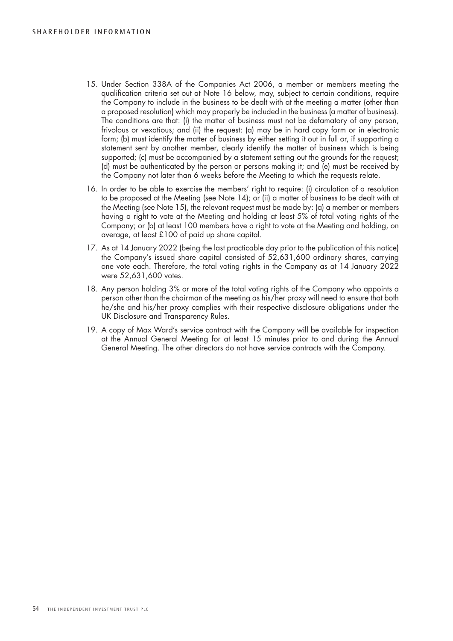- 15. Under Section 338A of the Companies Act 2006, a member or members meeting the qualification criteria set out at Note 16 below, may, subject to certain conditions, require the Company to include in the business to be dealt with at the meeting a matter (other than a proposed resolution) which may properly be included in the business (a matter of business). The conditions are that: (i) the matter of business must not be defamatory of any person, frivolous or vexatious; and (ii) the request: (a) may be in hard copy form or in electronic form; (b) must identify the matter of business by either setting it out in full or, if supporting a statement sent by another member, clearly identify the matter of business which is being supported; (c) must be accompanied by a statement setting out the grounds for the request; (d) must be authenticated by the person or persons making it; and (e) must be received by the Company not later than 6 weeks before the Meeting to which the requests relate.
- 16. In order to be able to exercise the members' right to require: (i) circulation of a resolution to be proposed at the Meeting (see Note 14); or (ii) a matter of business to be dealt with at the Meeting (see Note 15), the relevant request must be made by: (a) a member or members having a right to vote at the Meeting and holding at least 5% of total voting rights of the Company; or (b) at least 100 members have a right to vote at the Meeting and holding, on average, at least £100 of paid up share capital.
- 17. As at 14 January 2022 (being the last practicable day prior to the publication of this notice) the Company's issued share capital consisted of 52,631,600 ordinary shares, carrying one vote each. Therefore, the total voting rights in the Company as at 14 January 2022 were 52,631,600 votes.
- 18. Any person holding 3% or more of the total voting rights of the Company who appoints a person other than the chairman of the meeting as his/her proxy will need to ensure that both he/she and his/her proxy complies with their respective disclosure obligations under the UK Disclosure and Transparency Rules.
- 19. A copy of Max Ward's service contract with the Company will be available for inspection at the Annual General Meeting for at least 15 minutes prior to and during the Annual General Meeting. The other directors do not have service contracts with the Company.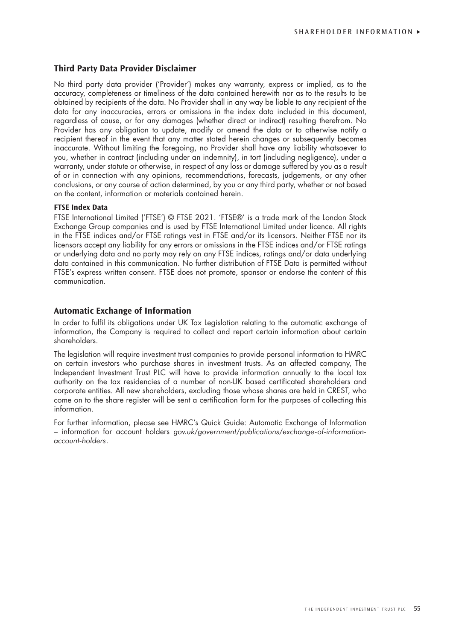# **Third Party Data Provider Disclaimer**

No third party data provider ('Provider') makes any warranty, express or implied, as to the accuracy, completeness or timeliness of the data contained herewith nor as to the results to be obtained by recipients of the data. No Provider shall in any way be liable to any recipient of the data for any inaccuracies, errors or omissions in the index data included in this document, regardless of cause, or for any damages (whether direct or indirect) resulting therefrom. No Provider has any obligation to update, modify or amend the data or to otherwise notify a recipient thereof in the event that any matter stated herein changes or subsequently becomes inaccurate. Without limiting the foregoing, no Provider shall have any liability whatsoever to you, whether in contract (including under an indemnity), in tort (including negligence), under a warranty, under statute or otherwise, in respect of any loss or damage suffered by you as a result of or in connection with any opinions, recommendations, forecasts, judgements, or any other conclusions, or any course of action determined, by you or any third party, whether or not based on the content, information or materials contained herein.

### **FTSE Index Data**

FTSE International Limited ('FTSE') © FTSE 2021. 'FTSE®' is a trade mark of the London Stock Exchange Group companies and is used by FTSE International Limited under licence. All rights in the FTSE indices and/or FTSE ratings vest in FTSE and/or its licensors. Neither FTSE nor its licensors accept any liability for any errors or omissions in the FTSE indices and/or FTSE ratings or underlying data and no party may rely on any FTSE indices, ratings and/or data underlying data contained in this communication. No further distribution of FTSE Data is permitted without FTSE's express written consent. FTSE does not promote, sponsor or endorse the content of this communication.

# **Automatic Exchange of Information**

In order to fulfil its obligations under UK Tax Legislation relating to the automatic exchange of information, the Company is required to collect and report certain information about certain shareholders.

The legislation will require investment trust companies to provide personal information to HMRC on certain investors who purchase shares in investment trusts. As an affected company, The Independent Investment Trust PLC will have to provide information annually to the local tax authority on the tax residencies of a number of non-UK based certificated shareholders and corporate entities. All new shareholders, excluding those whose shares are held in CREST, who come on to the share register will be sent a certification form for the purposes of collecting this information.

For further information, please see HMRC's Quick Guide: Automatic Exchange of Information – information for account holders *gov.uk/government/publications/exchange-of-informationaccount-holders*.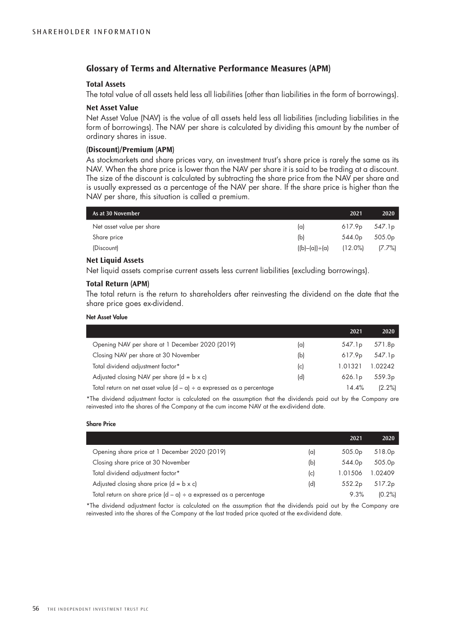# **Glossary of Terms and Alternative Performance Measures (APM)**

### **Total Assets**

The total value of all assets held less all liabilities (other than liabilities in the form of borrowings).

#### **Net Asset Value**

Net Asset Value (NAV) is the value of all assets held less all liabilities (including liabilities in the form of borrowings). The NAV per share is calculated by dividing this amount by the number of ordinary shares in issue.

### **(Discount)/Premium (APM)**

As stockmarkets and share prices vary, an investment trust's share price is rarely the same as its NAV. When the share price is lower than the NAV per share it is said to be trading at a discount. The size of the discount is calculated by subtracting the share price from the NAV per share and is usually expressed as a percentage of the NAV per share. If the share price is higher than the NAV per share, this situation is called a premium.

| As at 30 November         |                  | 2021       | 2020               |
|---------------------------|------------------|------------|--------------------|
| Net asset value per share | $(\alpha)$       | 617.9p     | 547.1 <sub>p</sub> |
| Share price               | (b)              | 544.0p     | 505.0 <sub>p</sub> |
| (Discount)                | $((b)-(a))+ (a)$ | $(12.0\%)$ | $(7.7\%)$          |

#### **Net Liquid Assets**

Net liquid assets comprise current assets less current liabilities (excluding borrowings).

# **Total Return (APM)**

The total return is the return to shareholders after reinvesting the dividend on the date that the share price goes ex-dividend.

#### Net Asset Value

|                                                                            |     | 2021               | 2020               |
|----------------------------------------------------------------------------|-----|--------------------|--------------------|
| Opening NAV per share at 1 December 2020 (2019)                            | (a) | 547.1 <sub>p</sub> | 571.8 <sub>p</sub> |
| Closing NAV per share at 30 November                                       | (b) | 617.9 <sub>p</sub> | 547.1p             |
| Total dividend adjustment factor*                                          | (c) | 1.01321            | 1.02242            |
| Adjusted closing NAV per share $(d = b \times c)$                          | (d) | 626.1 <sub>p</sub> | 559.3 <sub>p</sub> |
| Total return on net asset value $(d - a) \div a$ expressed as a percentage |     | 14.4%              | (2.2%)             |

\*The dividend adjustment factor is calculated on the assumption that the dividends paid out by the Company are reinvested into the shares of the Company at the cum income NAV at the ex-dividend date.

#### Share Price

|                                                                        |     | 2021               | 2020               |
|------------------------------------------------------------------------|-----|--------------------|--------------------|
| Opening share price at 1 December 2020 (2019)                          | (a) | 505.0 <sub>p</sub> | 518.0 <sub>p</sub> |
| Closing share price at 30 November                                     | (b) | 544.0 <sub>p</sub> | 505.0 <sub>p</sub> |
| Total dividend adjustment factor*                                      | c   | 1.01506            | 1.02409            |
| Adjusted closing share price $(d = b \times c)$                        | (d) | 552.2 <sub>p</sub> | 517.2p             |
| Total return on share price $(d - a) \div a$ expressed as a percentage |     | 9.3%               | (0.2%              |

\*The dividend adjustment factor is calculated on the assumption that the dividends paid out by the Company are reinvested into the shares of the Company at the last traded price quoted at the ex-dividend date.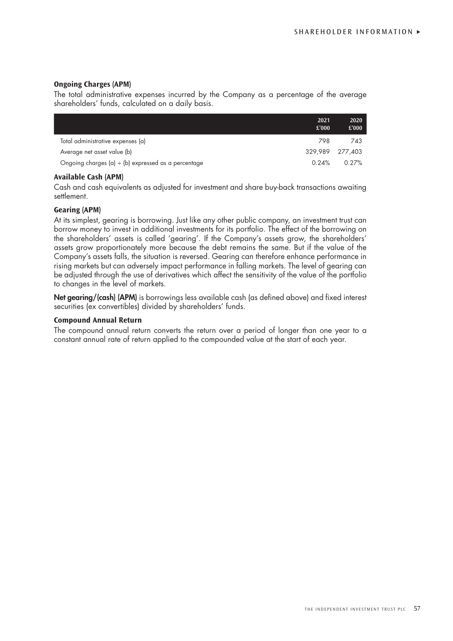# **Ongoing Charges (APM)**

The total administrative expenses incurred by the Company as a percentage of the average shareholders' funds, calculated on a daily basis.

|                                                          | 2021<br>£'000   | 2020<br>£'000 |
|----------------------------------------------------------|-----------------|---------------|
| Total administrative expenses (a)                        | 798             | 743           |
| Average net asset value (b)                              | 329.989 277.403 |               |
| Ongoing charges $(a) \div (b)$ expressed as a percentage | 0.24%           | $0.27\%$      |

# **Available Cash (APM)**

Cash and cash equivalents as adjusted for investment and share buy-back transactions awaiting settlement.

# **Gearing (APM)**

At its simplest, gearing is borrowing. Just like any other public company, an investment trust can borrow money to invest in additional investments for its portfolio. The effect of the borrowing on the shareholders' assets is called 'gearing'. If the Company's assets grow, the shareholders' assets grow proportionately more because the debt remains the same. But if the value of the Company's assets falls, the situation is reversed. Gearing can therefore enhance performance in rising markets but can adversely impact performance in falling markets. The level of gearing can be adjusted through the use of derivatives which affect the sensitivity of the value of the portfolio to changes in the level of markets.

Net gearing/(cash) (APM) is borrowings less available cash (as defined above) and fixed interest securities (ex convertibles) divided by shareholders' funds.

# **Compound Annual Return**

The compound annual return converts the return over a period of longer than one year to a constant annual rate of return applied to the compounded value at the start of each year.